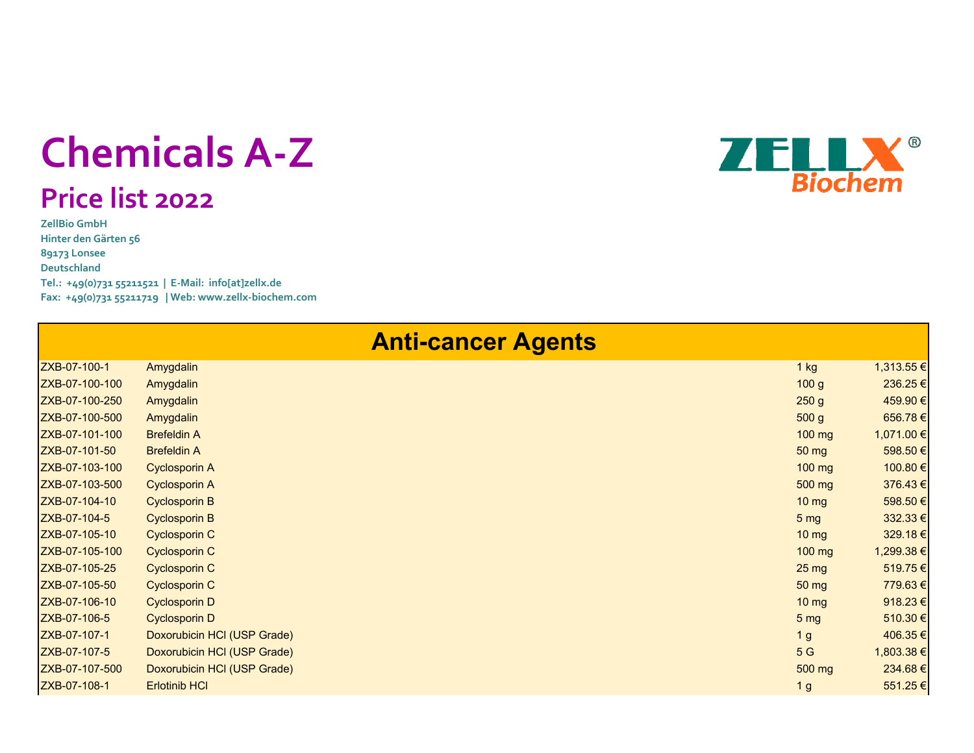## **Chemicals A‐Z**

## **Price list <sup>202</sup><sup>2</sup>**

**ZellBio GmbHHinter den Gärten 56 89173 Lonsee DeutschlandTel.: +49(0)731 55211521 | <sup>E</sup>‐Mail: info[at]zellx.de Fax: +49(0)731 55211719 | Web: www.zellx‐biochem.com**



| <b>Anti-cancer Agents</b> |                             |                   |            |  |
|---------------------------|-----------------------------|-------------------|------------|--|
| ZXB-07-100-1              | Amygdalin                   | 1 kg              | 1,313.55 € |  |
| ZXB-07-100-100            | Amygdalin                   | 100 g             | 236.25€    |  |
| ZXB-07-100-250            | Amygdalin                   | 250 g             | 459.90 €   |  |
| ZXB-07-100-500            | Amygdalin                   | 500 <sub>g</sub>  | 656.78€    |  |
| ZXB-07-101-100            | <b>Brefeldin A</b>          | 100 mg            | 1,071.00 € |  |
| ZXB-07-101-50             | <b>Brefeldin A</b>          | $50 \text{ mg}$   | 598.50€    |  |
| ZXB-07-103-100            | <b>Cyclosporin A</b>        | $100$ mg          | 100.80 €   |  |
| ZXB-07-103-500            | <b>Cyclosporin A</b>        | $500$ mg          | 376.43€    |  |
| ZXB-07-104-10             | <b>Cyclosporin B</b>        | $10 \, \text{mg}$ | 598.50 €   |  |
| ZXB-07-104-5              | <b>Cyclosporin B</b>        | 5 <sub>mg</sub>   | 332.33 €   |  |
| ZXB-07-105-10             | <b>Cyclosporin C</b>        | $10 \mathrm{mg}$  | 329.18€    |  |
| ZXB-07-105-100            | <b>Cyclosporin C</b>        | $100$ mg          | 1,299.38 € |  |
| ZXB-07-105-25             | <b>Cyclosporin C</b>        | $25 \text{ mg}$   | 519.75€    |  |
| ZXB-07-105-50             | <b>Cyclosporin C</b>        | $50 \text{ mg}$   | 779.63€    |  |
| ZXB-07-106-10             | <b>Cyclosporin D</b>        | $10 \, \text{mg}$ | 918.23€    |  |
| ZXB-07-106-5              | <b>Cyclosporin D</b>        | 5 <sub>mg</sub>   | 510.30 €   |  |
| ZXB-07-107-1              | Doxorubicin HCI (USP Grade) | 1 <sub>g</sub>    | 406.35€    |  |
| ZXB-07-107-5              | Doxorubicin HCI (USP Grade) | 5G                | 1,803.38 € |  |
| ZXB-07-107-500            | Doxorubicin HCI (USP Grade) | 500 mg            | 234.68€    |  |
| ZXB-07-108-1              | <b>Erlotinib HCI</b>        | 1 <sub>g</sub>    | 551.25€    |  |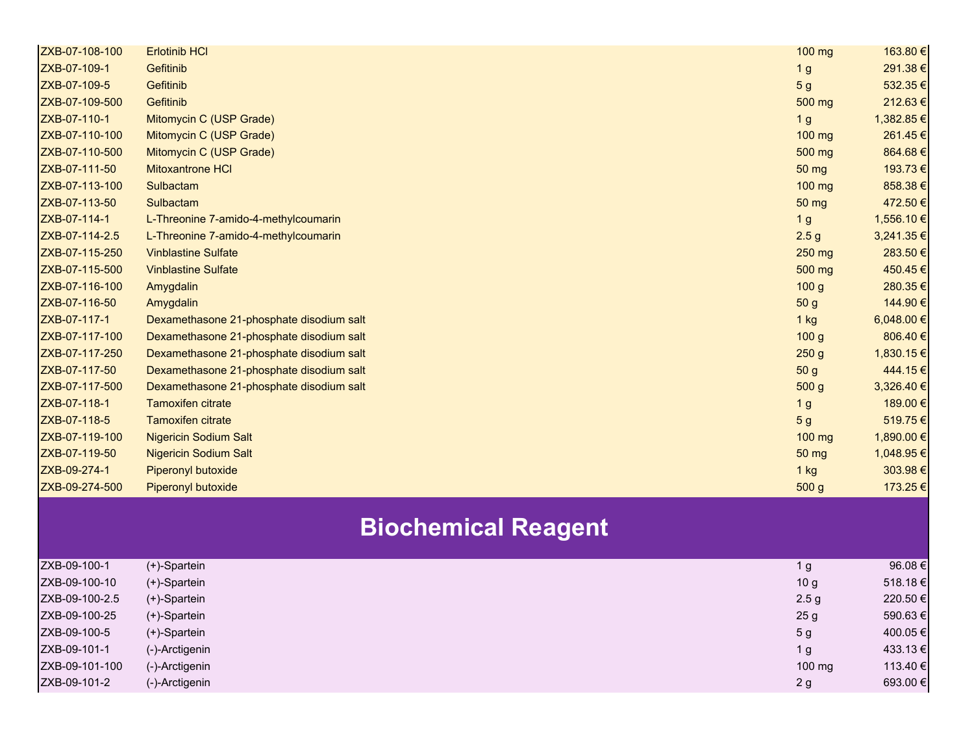| ZXB-07-108-100 | <b>Erlotinib HCI</b>                     | 100 mg           | 163.80 €   |
|----------------|------------------------------------------|------------------|------------|
| ZXB-07-109-1   | Gefitinib                                | 1 <sub>g</sub>   | 291.38€    |
| ZXB-07-109-5   | Gefitinib                                | 5 <sub>g</sub>   | 532.35€    |
| ZXB-07-109-500 | Gefitinib                                | 500 mg           | 212.63€    |
| ZXB-07-110-1   | Mitomycin C (USP Grade)                  | 1 <sub>g</sub>   | 1,382.85€  |
| ZXB-07-110-100 | Mitomycin C (USP Grade)                  | 100 mg           | 261.45€    |
| ZXB-07-110-500 | Mitomycin C (USP Grade)                  | 500 mg           | 864.68€    |
| ZXB-07-111-50  | <b>Mitoxantrone HCI</b>                  | 50 mg            | 193.73€    |
| ZXB-07-113-100 | Sulbactam                                | 100 mg           | 858.38€    |
| ZXB-07-113-50  | Sulbactam                                | 50 mg            | 472.50€    |
| ZXB-07-114-1   | L-Threonine 7-amido-4-methylcoumarin     | 1 <sub>g</sub>   | 1,556.10 € |
| ZXB-07-114-2.5 | L-Threonine 7-amido-4-methylcoumarin     | 2.5 <sub>g</sub> | 3,241.35 € |
| ZXB-07-115-250 | <b>Vinblastine Sulfate</b>               | 250 mg           | 283.50€    |
| ZXB-07-115-500 | <b>Vinblastine Sulfate</b>               | 500 mg           | 450.45€    |
| ZXB-07-116-100 | Amygdalin                                | 100 <sub>g</sub> | 280.35€    |
| ZXB-07-116-50  | Amygdalin                                | 50 <sub>g</sub>  | 144.90€    |
| ZXB-07-117-1   | Dexamethasone 21-phosphate disodium salt | $1$ kg           | 6,048.00 € |
| ZXB-07-117-100 | Dexamethasone 21-phosphate disodium salt | 100 <sub>g</sub> | 806.40€    |
| ZXB-07-117-250 | Dexamethasone 21-phosphate disodium salt | 250 <sub>g</sub> | 1,830.15 € |
| ZXB-07-117-50  | Dexamethasone 21-phosphate disodium salt | 50 <sub>g</sub>  | 444.15€    |
| ZXB-07-117-500 | Dexamethasone 21-phosphate disodium salt | 500 g            | 3,326.40 € |
| ZXB-07-118-1   | <b>Tamoxifen citrate</b>                 | 1 <sub>g</sub>   | 189.00€    |
| ZXB-07-118-5   | <b>Tamoxifen citrate</b>                 | 5 <sub>g</sub>   | 519.75€    |
| ZXB-07-119-100 | <b>Nigericin Sodium Salt</b>             | 100 mg           | 1,890.00 € |
| ZXB-07-119-50  | <b>Nigericin Sodium Salt</b>             | 50 mg            | 1,048.95 € |
| ZXB-09-274-1   | Piperonyl butoxide                       | $1$ kg           | 303.98€    |
| ZXB-09-274-500 | Piperonyl butoxide                       | 500 g            | 173.25€    |
|                | <b>Biochemical Reagent</b>               |                  |            |
|                |                                          |                  |            |
| ZXB-09-100-1   | (+)-Spartein                             | 1 <sub>g</sub>   | 96.08€     |
| ZXB-09-100-10  | (+)-Spartein                             | 10 <sub>g</sub>  | 518.18€    |
| ZXB-09-100-2.5 | (+)-Spartein                             | 2.5 <sub>g</sub> | 220.50 €   |
| ZXB-09-100-25  | (+)-Spartein                             | 25 <sub>g</sub>  | 590.63€    |
| ZXB-09-100-5   | (+)-Spartein                             | 5 <sub>g</sub>   | 400.05 €   |
| ZXB-09-101-1   | (-)-Arctigenin                           | 1 <sub>g</sub>   | 433.13€    |
| ZXB-09-101-100 | (-)-Arctigenin                           | 100 mg           | 113.40 €   |
| ZXB-09-101-2   | (-)-Arctigenin                           | 2g               | 693.00€    |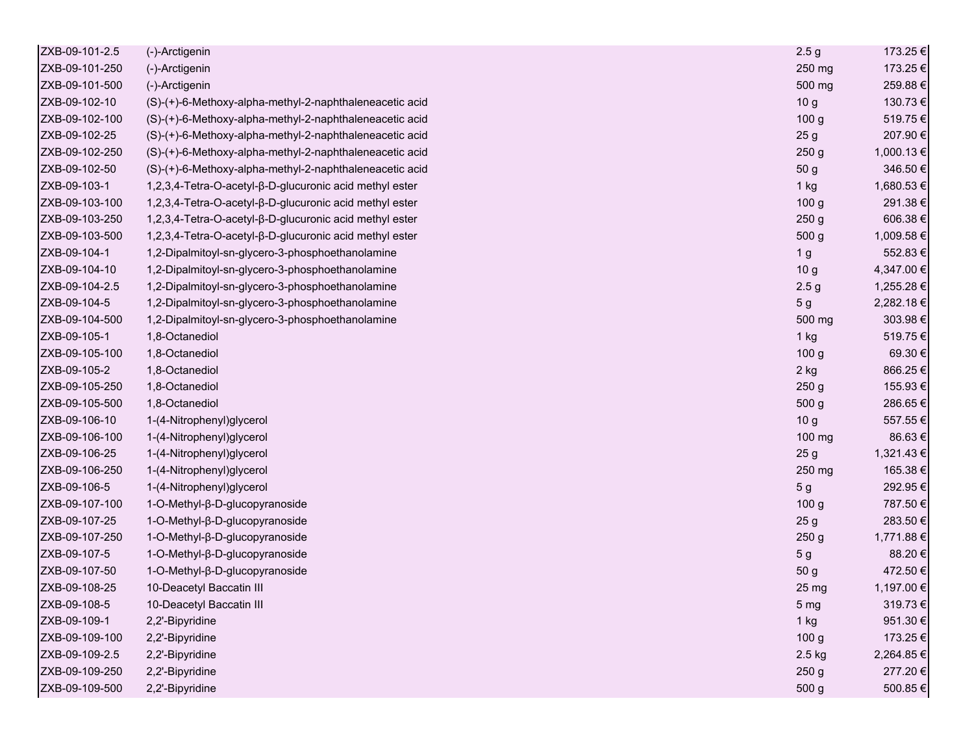| ZXB-09-101-2.5 | (-)-Arctigenin                                          | 2.5 <sub>g</sub> | 173.25€    |
|----------------|---------------------------------------------------------|------------------|------------|
| ZXB-09-101-250 | (-)-Arctigenin                                          | 250 mg           | 173.25€    |
| ZXB-09-101-500 | (-)-Arctigenin                                          | 500 mg           | 259.88€    |
| ZXB-09-102-10  | (S)-(+)-6-Methoxy-alpha-methyl-2-naphthaleneacetic acid | 10 <sub>g</sub>  | 130.73€    |
| ZXB-09-102-100 | (S)-(+)-6-Methoxy-alpha-methyl-2-naphthaleneacetic acid | 100 <sub>g</sub> | 519.75€    |
| ZXB-09-102-25  | (S)-(+)-6-Methoxy-alpha-methyl-2-naphthaleneacetic acid | 25 <sub>g</sub>  | 207.90€    |
| ZXB-09-102-250 | (S)-(+)-6-Methoxy-alpha-methyl-2-naphthaleneacetic acid | 250 <sub>g</sub> | 1,000.13 € |
| ZXB-09-102-50  | (S)-(+)-6-Methoxy-alpha-methyl-2-naphthaleneacetic acid | 50 g             | 346.50€    |
| ZXB-09-103-1   | 1,2,3,4-Tetra-O-acetyl-β-D-glucuronic acid methyl ester | 1 kg             | 1,680.53€  |
| ZXB-09-103-100 | 1,2,3,4-Tetra-O-acetyl-β-D-glucuronic acid methyl ester | 100 <sub>g</sub> | 291.38€    |
| ZXB-09-103-250 | 1,2,3,4-Tetra-O-acetyl-β-D-glucuronic acid methyl ester | 250 <sub>g</sub> | 606.38€    |
| ZXB-09-103-500 | 1,2,3,4-Tetra-O-acetyl-β-D-glucuronic acid methyl ester | 500 g            | 1,009.58 € |
| ZXB-09-104-1   | 1,2-Dipalmitoyl-sn-glycero-3-phosphoethanolamine        | 1 <sub>g</sub>   | 552.83€    |
| ZXB-09-104-10  | 1,2-Dipalmitoyl-sn-glycero-3-phosphoethanolamine        | 10 <sub>g</sub>  | 4,347.00 € |
| ZXB-09-104-2.5 | 1,2-Dipalmitoyl-sn-glycero-3-phosphoethanolamine        | 2.5 <sub>g</sub> | 1,255.28 € |
| ZXB-09-104-5   | 1,2-Dipalmitoyl-sn-glycero-3-phosphoethanolamine        | 5 <sub>g</sub>   | 2,282.18€  |
| ZXB-09-104-500 | 1,2-Dipalmitoyl-sn-glycero-3-phosphoethanolamine        | 500 mg           | 303.98€    |
| ZXB-09-105-1   | 1,8-Octanediol                                          | 1 kg             | 519.75€    |
| ZXB-09-105-100 | 1,8-Octanediol                                          | 100 g            | 69.30€     |
| ZXB-09-105-2   | 1,8-Octanediol                                          | 2 kg             | 866.25€    |
| ZXB-09-105-250 | 1,8-Octanediol                                          | 250 <sub>g</sub> | 155.93€    |
| ZXB-09-105-500 | 1,8-Octanediol                                          | 500 g            | 286.65€    |
| ZXB-09-106-10  | 1-(4-Nitrophenyl)glycerol                               | 10 <sub>g</sub>  | 557.55€    |
| ZXB-09-106-100 | 1-(4-Nitrophenyl)glycerol                               | 100 mg           | 86.63€     |
| ZXB-09-106-25  | 1-(4-Nitrophenyl)glycerol                               | 25 <sub>g</sub>  | 1,321.43 € |
| ZXB-09-106-250 | 1-(4-Nitrophenyl)glycerol                               | 250 mg           | 165.38€    |
| ZXB-09-106-5   | 1-(4-Nitrophenyl)glycerol                               | 5 <sub>g</sub>   | 292.95€    |
| ZXB-09-107-100 | 1-O-Methyl-β-D-glucopyranoside                          | 100 <sub>g</sub> | 787.50€    |
| ZXB-09-107-25  | 1-O-Methyl-β-D-glucopyranoside                          | 25 <sub>g</sub>  | 283.50€    |
| ZXB-09-107-250 | 1-O-Methyl-β-D-glucopyranoside                          | 250 g            | 1,771.88 € |
| ZXB-09-107-5   | 1-O-Methyl-β-D-glucopyranoside                          | 5 <sub>g</sub>   | 88.20€     |
| ZXB-09-107-50  | 1-O-Methyl-β-D-glucopyranoside                          | 50 g             | 472.50€    |
| ZXB-09-108-25  | 10-Deacetyl Baccatin III                                | 25 <sub>mg</sub> | 1,197.00 € |
| ZXB-09-108-5   | 10-Deacetyl Baccatin III                                | 5 <sub>mg</sub>  | 319.73€    |
| ZXB-09-109-1   | 2,2'-Bipyridine                                         | 1 kg             | 951.30€    |
| ZXB-09-109-100 | 2,2'-Bipyridine                                         | 100 <sub>g</sub> | 173.25€    |
| ZXB-09-109-2.5 | 2,2'-Bipyridine                                         | 2.5 kg           | 2,264.85€  |
| ZXB-09-109-250 | 2,2'-Bipyridine                                         | 250 <sub>g</sub> | 277.20€    |
| ZXB-09-109-500 | 2,2'-Bipyridine                                         | 500 g            | 500.85€    |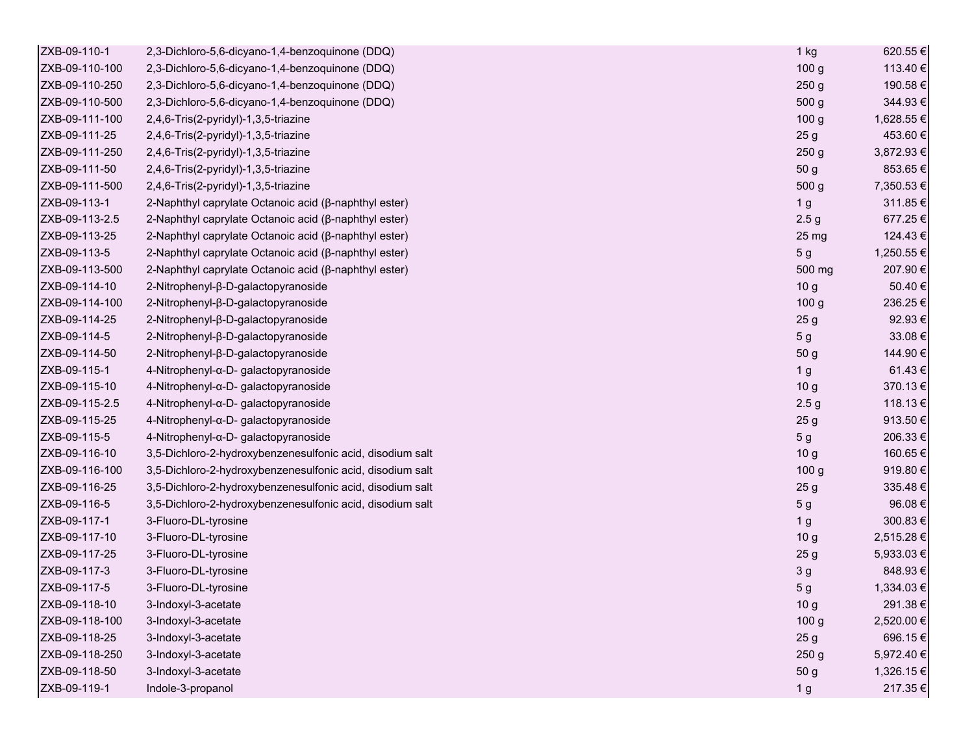| ZXB-09-110-1   | 2,3-Dichloro-5,6-dicyano-1,4-benzoquinone (DDQ)           | 1 kg             | 620.55€    |
|----------------|-----------------------------------------------------------|------------------|------------|
| ZXB-09-110-100 | 2,3-Dichloro-5,6-dicyano-1,4-benzoquinone (DDQ)           | 100 <sub>g</sub> | 113.40 €   |
| ZXB-09-110-250 | 2,3-Dichloro-5,6-dicyano-1,4-benzoquinone (DDQ)           | 250 <sub>g</sub> | 190.58€    |
| ZXB-09-110-500 | 2,3-Dichloro-5,6-dicyano-1,4-benzoquinone (DDQ)           | 500 g            | 344.93€    |
| ZXB-09-111-100 | 2,4,6-Tris(2-pyridyl)-1,3,5-triazine                      | 100 <sub>g</sub> | 1,628.55 € |
| ZXB-09-111-25  | 2,4,6-Tris(2-pyridyl)-1,3,5-triazine                      | 25 <sub>g</sub>  | 453.60€    |
| ZXB-09-111-250 | 2,4,6-Tris(2-pyridyl)-1,3,5-triazine                      | 250 <sub>g</sub> | 3,872.93 € |
| ZXB-09-111-50  | 2,4,6-Tris(2-pyridyl)-1,3,5-triazine                      | 50 g             | 853.65€    |
| ZXB-09-111-500 | 2,4,6-Tris(2-pyridyl)-1,3,5-triazine                      | 500 g            | 7,350.53 € |
| ZXB-09-113-1   | 2-Naphthyl caprylate Octanoic acid (β-naphthyl ester)     | 1 <sub>g</sub>   | 311.85€    |
| ZXB-09-113-2.5 | 2-Naphthyl caprylate Octanoic acid (β-naphthyl ester)     | 2.5 <sub>g</sub> | 677.25€    |
| ZXB-09-113-25  | 2-Naphthyl caprylate Octanoic acid (β-naphthyl ester)     | 25 <sub>mg</sub> | 124.43€    |
| ZXB-09-113-5   | 2-Naphthyl caprylate Octanoic acid (β-naphthyl ester)     | 5 <sub>g</sub>   | 1,250.55 € |
| ZXB-09-113-500 | 2-Naphthyl caprylate Octanoic acid (β-naphthyl ester)     | 500 mg           | 207.90€    |
| ZXB-09-114-10  | 2-Nitrophenyl-β-D-galactopyranoside                       | 10 <sub>g</sub>  | 50.40 €    |
| ZXB-09-114-100 | 2-Nitrophenyl-β-D-galactopyranoside                       | 100 <sub>g</sub> | 236.25€    |
| ZXB-09-114-25  | 2-Nitrophenyl-β-D-galactopyranoside                       | 25 <sub>g</sub>  | 92.93€     |
| ZXB-09-114-5   | 2-Nitrophenyl-β-D-galactopyranoside                       | 5 g              | 33.08€     |
| ZXB-09-114-50  | 2-Nitrophenyl-β-D-galactopyranoside                       | 50 g             | 144.90€    |
| ZXB-09-115-1   | 4-Nitrophenyl-α-D- galactopyranoside                      | 1 <sub>g</sub>   | 61.43€     |
| ZXB-09-115-10  | 4-Nitrophenyl-α-D- galactopyranoside                      | 10 <sub>g</sub>  | 370.13€    |
| ZXB-09-115-2.5 | 4-Nitrophenyl-α-D- galactopyranoside                      | 2.5 <sub>g</sub> | 118.13€    |
| ZXB-09-115-25  | 4-Nitrophenyl-α-D- galactopyranoside                      | 25 <sub>g</sub>  | 913.50€    |
| ZXB-09-115-5   | 4-Nitrophenyl-α-D- galactopyranoside                      | 5 <sub>g</sub>   | 206.33€    |
| ZXB-09-116-10  | 3,5-Dichloro-2-hydroxybenzenesulfonic acid, disodium salt | 10 <sub>g</sub>  | 160.65€    |
| ZXB-09-116-100 | 3,5-Dichloro-2-hydroxybenzenesulfonic acid, disodium salt | 100 <sub>g</sub> | 919.80€    |
| ZXB-09-116-25  | 3,5-Dichloro-2-hydroxybenzenesulfonic acid, disodium salt | 25 <sub>g</sub>  | 335.48€    |
| ZXB-09-116-5   | 3,5-Dichloro-2-hydroxybenzenesulfonic acid, disodium salt | 5 <sub>g</sub>   | 96.08€     |
| ZXB-09-117-1   | 3-Fluoro-DL-tyrosine                                      | 1 <sub>g</sub>   | 300.83€    |
| ZXB-09-117-10  | 3-Fluoro-DL-tyrosine                                      | 10 <sub>g</sub>  | 2,515.28€  |
| ZXB-09-117-25  | 3-Fluoro-DL-tyrosine                                      | 25 <sub>g</sub>  | 5,933.03€  |
| ZXB-09-117-3   | 3-Fluoro-DL-tyrosine                                      | 3 <sub>g</sub>   | 848.93€    |
| ZXB-09-117-5   | 3-Fluoro-DL-tyrosine                                      | 5 <sub>g</sub>   | 1,334.03 € |
| ZXB-09-118-10  | 3-Indoxyl-3-acetate                                       | 10 <sub>g</sub>  | 291.38€    |
| ZXB-09-118-100 | 3-Indoxyl-3-acetate                                       | 100 <sub>g</sub> | 2,520.00 € |
| ZXB-09-118-25  | 3-Indoxyl-3-acetate                                       | 25 <sub>g</sub>  | 696.15€    |
| ZXB-09-118-250 | 3-Indoxyl-3-acetate                                       | 250 <sub>g</sub> | 5,972.40 € |
| ZXB-09-118-50  | 3-Indoxyl-3-acetate                                       | 50 g             | 1,326.15 € |
| ZXB-09-119-1   | Indole-3-propanol                                         | 1 <sub>g</sub>   | 217.35€    |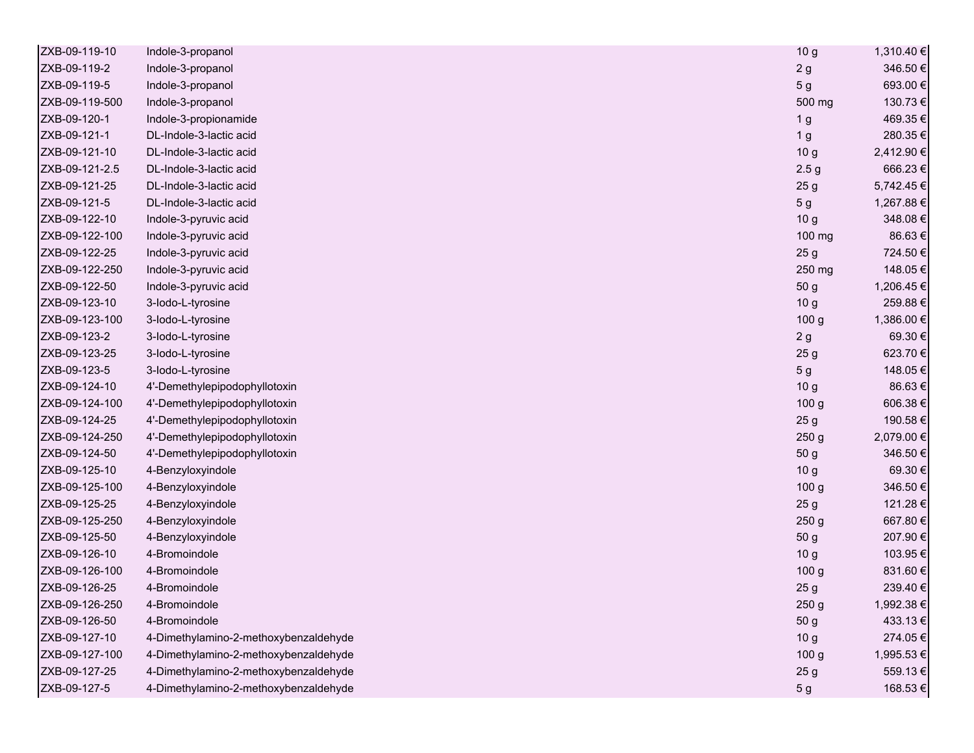| ZXB-09-119-10  | Indole-3-propanol                     | 10 <sub>g</sub>  | 1,310.40 € |
|----------------|---------------------------------------|------------------|------------|
| ZXB-09-119-2   | Indole-3-propanol                     | 2g               | 346.50€    |
| ZXB-09-119-5   | Indole-3-propanol                     | 5 g              | 693.00€    |
| ZXB-09-119-500 | Indole-3-propanol                     | 500 mg           | 130.73€    |
| ZXB-09-120-1   | Indole-3-propionamide                 | 1 <sub>g</sub>   | 469.35€    |
| ZXB-09-121-1   | DL-Indole-3-lactic acid               | 1 <sub>g</sub>   | 280.35€    |
| ZXB-09-121-10  | DL-Indole-3-lactic acid               | 10 <sub>g</sub>  | 2,412.90 € |
| ZXB-09-121-2.5 | DL-Indole-3-lactic acid               | 2.5 <sub>g</sub> | 666.23€    |
| ZXB-09-121-25  | DL-Indole-3-lactic acid               | 25 <sub>g</sub>  | 5,742.45€  |
| ZXB-09-121-5   | DL-Indole-3-lactic acid               | 5 <sub>g</sub>   | 1,267.88 € |
| ZXB-09-122-10  | Indole-3-pyruvic acid                 | 10 <sub>g</sub>  | 348.08€    |
| ZXB-09-122-100 | Indole-3-pyruvic acid                 | 100 mg           | 86.63€     |
| ZXB-09-122-25  | Indole-3-pyruvic acid                 | 25 <sub>g</sub>  | 724.50€    |
| ZXB-09-122-250 | Indole-3-pyruvic acid                 | 250 mg           | 148.05€    |
| ZXB-09-122-50  | Indole-3-pyruvic acid                 | 50 g             | 1,206.45€  |
| ZXB-09-123-10  | 3-lodo-L-tyrosine                     | 10 <sub>g</sub>  | 259.88€    |
| ZXB-09-123-100 | 3-lodo-L-tyrosine                     | 100 <sub>g</sub> | 1,386.00 € |
| ZXB-09-123-2   | 3-lodo-L-tyrosine                     | 2g               | 69.30€     |
| ZXB-09-123-25  | 3-lodo-L-tyrosine                     | 25 <sub>g</sub>  | 623.70€    |
| ZXB-09-123-5   | 3-lodo-L-tyrosine                     | 5 <sub>g</sub>   | 148.05€    |
| ZXB-09-124-10  | 4'-Demethylepipodophyllotoxin         | 10 <sub>g</sub>  | 86.63€     |
| ZXB-09-124-100 | 4'-Demethylepipodophyllotoxin         | 100 <sub>g</sub> | 606.38€    |
| ZXB-09-124-25  | 4'-Demethylepipodophyllotoxin         | 25 <sub>g</sub>  | 190.58€    |
| ZXB-09-124-250 | 4'-Demethylepipodophyllotoxin         | 250 <sub>g</sub> | 2,079.00 € |
| ZXB-09-124-50  | 4'-Demethylepipodophyllotoxin         | 50 g             | 346.50€    |
| ZXB-09-125-10  | 4-Benzyloxyindole                     | 10 <sub>g</sub>  | 69.30€     |
| ZXB-09-125-100 | 4-Benzyloxyindole                     | 100 <sub>g</sub> | 346.50€    |
| ZXB-09-125-25  | 4-Benzyloxyindole                     | 25 <sub>g</sub>  | 121.28€    |
| ZXB-09-125-250 | 4-Benzyloxyindole                     | 250 <sub>g</sub> | 667.80€    |
| ZXB-09-125-50  | 4-Benzyloxyindole                     | 50 g             | 207.90€    |
| ZXB-09-126-10  | 4-Bromoindole                         | 10 <sub>g</sub>  | 103.95€    |
| ZXB-09-126-100 | 4-Bromoindole                         | 100 <sub>g</sub> | 831.60€    |
| ZXB-09-126-25  | 4-Bromoindole                         | 25 <sub>g</sub>  | 239.40€    |
| ZXB-09-126-250 | 4-Bromoindole                         | 250 <sub>g</sub> | 1,992.38 € |
| ZXB-09-126-50  | 4-Bromoindole                         | 50 g             | 433.13€    |
| ZXB-09-127-10  | 4-Dimethylamino-2-methoxybenzaldehyde | 10 <sub>g</sub>  | 274.05€    |
| ZXB-09-127-100 | 4-Dimethylamino-2-methoxybenzaldehyde | 100 <sub>g</sub> | 1,995.53€  |
| ZXB-09-127-25  | 4-Dimethylamino-2-methoxybenzaldehyde | 25 <sub>g</sub>  | 559.13€    |
| ZXB-09-127-5   | 4-Dimethylamino-2-methoxybenzaldehyde | 5 <sub>g</sub>   | 168.53€    |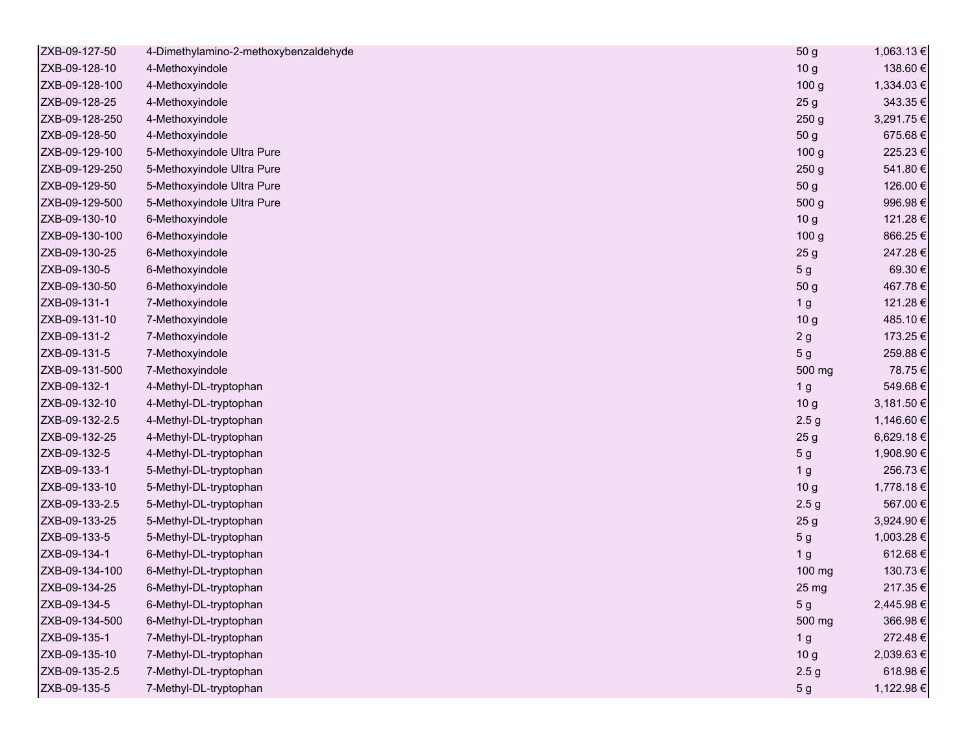| ZXB-09-127-50  | 4-Dimethylamino-2-methoxybenzaldehyde | 50 g             | 1,063.13 € |
|----------------|---------------------------------------|------------------|------------|
| ZXB-09-128-10  | 4-Methoxyindole                       | 10 <sub>g</sub>  | 138.60€    |
| ZXB-09-128-100 | 4-Methoxyindole                       | 100 <sub>g</sub> | 1,334.03 € |
| ZXB-09-128-25  | 4-Methoxyindole                       | 25 <sub>g</sub>  | 343.35€    |
| ZXB-09-128-250 | 4-Methoxyindole                       | 250 <sub>g</sub> | 3,291.75 € |
| ZXB-09-128-50  | 4-Methoxyindole                       | 50 g             | 675.68€    |
| ZXB-09-129-100 | 5-Methoxyindole Ultra Pure            | 100 <sub>g</sub> | 225.23€    |
| ZXB-09-129-250 | 5-Methoxyindole Ultra Pure            | 250 <sub>g</sub> | 541.80€    |
| ZXB-09-129-50  | 5-Methoxyindole Ultra Pure            | 50 g             | 126.00€    |
| ZXB-09-129-500 | 5-Methoxyindole Ultra Pure            | 500 g            | 996.98€    |
| ZXB-09-130-10  | 6-Methoxyindole                       | 10 <sub>g</sub>  | 121.28€    |
| ZXB-09-130-100 | 6-Methoxyindole                       | 100 <sub>g</sub> | 866.25€    |
| ZXB-09-130-25  | 6-Methoxyindole                       | 25 <sub>g</sub>  | 247.28€    |
| ZXB-09-130-5   | 6-Methoxyindole                       | 5 <sub>g</sub>   | 69.30€     |
| ZXB-09-130-50  | 6-Methoxyindole                       | 50 g             | 467.78€    |
| ZXB-09-131-1   | 7-Methoxyindole                       | 1 <sub>g</sub>   | 121.28€    |
| ZXB-09-131-10  | 7-Methoxyindole                       | 10 <sub>g</sub>  | 485.10€    |
| ZXB-09-131-2   | 7-Methoxyindole                       | 2g               | 173.25€    |
| ZXB-09-131-5   | 7-Methoxyindole                       | 5 <sub>g</sub>   | 259.88€    |
| ZXB-09-131-500 | 7-Methoxyindole                       | 500 mg           | 78.75€     |
| ZXB-09-132-1   | 4-Methyl-DL-tryptophan                | 1 <sub>g</sub>   | 549.68€    |
| ZXB-09-132-10  | 4-Methyl-DL-tryptophan                | 10 <sub>g</sub>  | 3,181.50 € |
| ZXB-09-132-2.5 | 4-Methyl-DL-tryptophan                | 2.5 <sub>g</sub> | 1,146.60 € |
| ZXB-09-132-25  | 4-Methyl-DL-tryptophan                | 25 <sub>g</sub>  | 6,629.18€  |
| ZXB-09-132-5   | 4-Methyl-DL-tryptophan                | 5 <sub>g</sub>   | 1,908.90 € |
| ZXB-09-133-1   | 5-Methyl-DL-tryptophan                | 1 <sub>g</sub>   | 256.73€    |
| ZXB-09-133-10  | 5-Methyl-DL-tryptophan                | 10 <sub>g</sub>  | 1,778.18€  |
| ZXB-09-133-2.5 | 5-Methyl-DL-tryptophan                | 2.5 <sub>g</sub> | 567.00€    |
| ZXB-09-133-25  | 5-Methyl-DL-tryptophan                | 25 <sub>g</sub>  | 3,924.90 € |
| ZXB-09-133-5   | 5-Methyl-DL-tryptophan                | 5 <sub>g</sub>   | 1,003.28 € |
| ZXB-09-134-1   | 6-Methyl-DL-tryptophan                | 1 <sub>g</sub>   | 612.68€    |
| ZXB-09-134-100 | 6-Methyl-DL-tryptophan                | 100 mg           | 130.73€    |
| ZXB-09-134-25  | 6-Methyl-DL-tryptophan                | 25 <sub>mg</sub> | 217.35€    |
| ZXB-09-134-5   | 6-Methyl-DL-tryptophan                | 5 g              | 2,445.98 € |
| ZXB-09-134-500 | 6-Methyl-DL-tryptophan                | 500 mg           | 366.98€    |
| ZXB-09-135-1   | 7-Methyl-DL-tryptophan                | 1 <sub>g</sub>   | 272.48€    |
| ZXB-09-135-10  | 7-Methyl-DL-tryptophan                | 10 <sub>g</sub>  | 2,039.63€  |
| ZXB-09-135-2.5 | 7-Methyl-DL-tryptophan                | 2.5 <sub>g</sub> | 618.98€    |
| ZXB-09-135-5   | 7-Methyl-DL-tryptophan                | 5 <sub>g</sub>   | 1,122.98 € |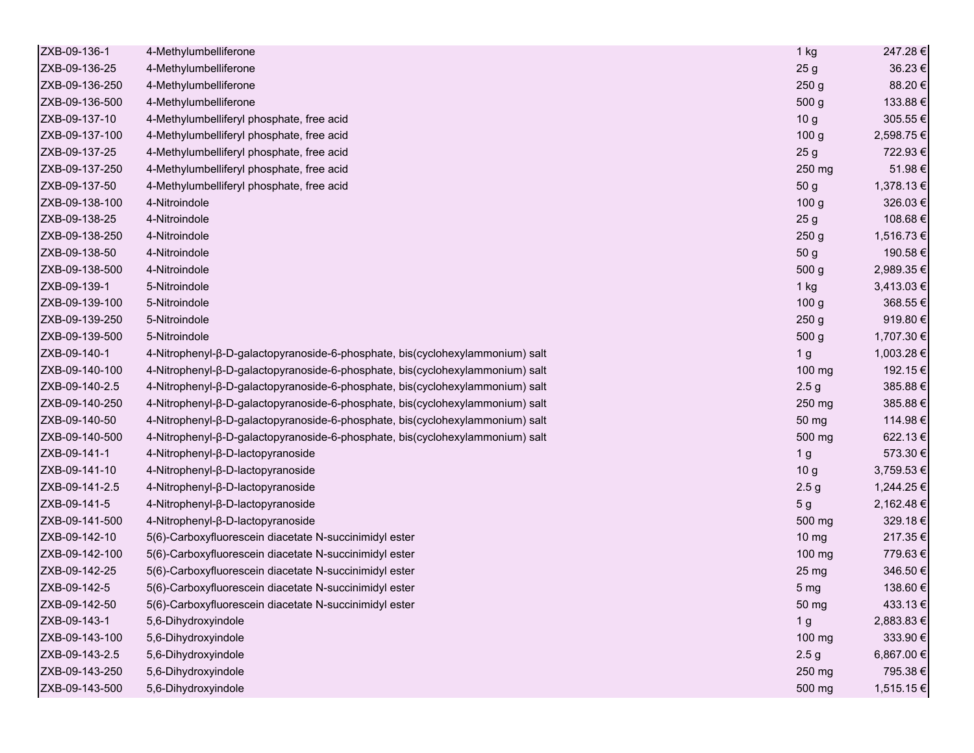| ZXB-09-136-1   | 4-Methylumbelliferone                                                         | 1 kg             | 247.28€    |
|----------------|-------------------------------------------------------------------------------|------------------|------------|
| ZXB-09-136-25  | 4-Methylumbelliferone                                                         | 25 <sub>g</sub>  | 36.23€     |
| ZXB-09-136-250 | 4-Methylumbelliferone                                                         | 250 <sub>g</sub> | 88.20€     |
| ZXB-09-136-500 | 4-Methylumbelliferone                                                         | 500 g            | 133.88€    |
| ZXB-09-137-10  | 4-Methylumbelliferyl phosphate, free acid                                     | 10 <sub>g</sub>  | 305.55€    |
| ZXB-09-137-100 | 4-Methylumbelliferyl phosphate, free acid                                     | 100 <sub>g</sub> | 2,598.75€  |
| ZXB-09-137-25  | 4-Methylumbelliferyl phosphate, free acid                                     | 25 <sub>g</sub>  | 722.93€    |
| ZXB-09-137-250 | 4-Methylumbelliferyl phosphate, free acid                                     | 250 mg           | 51.98€     |
| ZXB-09-137-50  | 4-Methylumbelliferyl phosphate, free acid                                     | 50 g             | 1,378.13€  |
| ZXB-09-138-100 | 4-Nitroindole                                                                 | 100 <sub>g</sub> | 326.03€    |
| ZXB-09-138-25  | 4-Nitroindole                                                                 | 25 <sub>g</sub>  | 108.68€    |
| ZXB-09-138-250 | 4-Nitroindole                                                                 | 250 <sub>g</sub> | 1,516.73 € |
| ZXB-09-138-50  | 4-Nitroindole                                                                 | 50 g             | 190.58€    |
| ZXB-09-138-500 | 4-Nitroindole                                                                 | 500 g            | 2,989.35 € |
| ZXB-09-139-1   | 5-Nitroindole                                                                 | 1 kg             | 3,413.03 € |
| ZXB-09-139-100 | 5-Nitroindole                                                                 | 100 <sub>g</sub> | 368.55€    |
| ZXB-09-139-250 | 5-Nitroindole                                                                 | 250 <sub>g</sub> | 919.80€    |
| ZXB-09-139-500 | 5-Nitroindole                                                                 | 500 g            | 1,707.30 € |
| ZXB-09-140-1   | 4-Nitrophenyl-ß-D-galactopyranoside-6-phosphate, bis(cyclohexylammonium) salt | 1 <sub>g</sub>   | 1,003.28 € |
| ZXB-09-140-100 | 4-Nitrophenyl-β-D-galactopyranoside-6-phosphate, bis(cyclohexylammonium) salt | 100 mg           | 192.15€    |
| ZXB-09-140-2.5 | 4-Nitrophenyl-β-D-galactopyranoside-6-phosphate, bis(cyclohexylammonium) salt | 2.5 <sub>g</sub> | 385.88€    |
| ZXB-09-140-250 | 4-Nitrophenyl-β-D-galactopyranoside-6-phosphate, bis(cyclohexylammonium) salt | 250 mg           | 385.88€    |
| ZXB-09-140-50  | 4-Nitrophenyl-β-D-galactopyranoside-6-phosphate, bis(cyclohexylammonium) salt | 50 mg            | 114.98€    |
| ZXB-09-140-500 | 4-Nitrophenyl-β-D-galactopyranoside-6-phosphate, bis(cyclohexylammonium) salt | 500 mg           | 622.13€    |
| ZXB-09-141-1   | 4-Nitrophenyl-β-D-lactopyranoside                                             | 1 <sub>g</sub>   | 573.30€    |
| ZXB-09-141-10  | 4-Nitrophenyl-β-D-lactopyranoside                                             | 10 <sub>g</sub>  | 3,759.53 € |
| ZXB-09-141-2.5 | 4-Nitrophenyl-β-D-lactopyranoside                                             | 2.5 <sub>g</sub> | 1,244.25 € |
| ZXB-09-141-5   | 4-Nitrophenyl-β-D-lactopyranoside                                             | 5 <sub>g</sub>   | 2,162.48€  |
| ZXB-09-141-500 | 4-Nitrophenyl-β-D-lactopyranoside                                             | 500 mg           | 329.18€    |
| ZXB-09-142-10  | 5(6)-Carboxyfluorescein diacetate N-succinimidyl ester                        | $10 \mathrm{mg}$ | 217.35€    |
| ZXB-09-142-100 | 5(6)-Carboxyfluorescein diacetate N-succinimidyl ester                        | 100 mg           | 779.63€    |
| ZXB-09-142-25  | 5(6)-Carboxyfluorescein diacetate N-succinimidyl ester                        | 25 mg            | 346.50€    |
| ZXB-09-142-5   | 5(6)-Carboxyfluorescein diacetate N-succinimidyl ester                        | 5 <sub>mg</sub>  | 138.60€    |
| ZXB-09-142-50  | 5(6)-Carboxyfluorescein diacetate N-succinimidyl ester                        | 50 mg            | 433.13 €   |
| ZXB-09-143-1   | 5,6-Dihydroxyindole                                                           | 1 <sub>g</sub>   | 2,883.83€  |
| ZXB-09-143-100 | 5,6-Dihydroxyindole                                                           | 100 mg           | 333.90€    |
| ZXB-09-143-2.5 | 5,6-Dihydroxyindole                                                           | 2.5 <sub>g</sub> | 6,867.00 € |
| ZXB-09-143-250 | 5,6-Dihydroxyindole                                                           | 250 mg           | 795.38€    |
| ZXB-09-143-500 | 5,6-Dihydroxyindole                                                           | 500 mg           | 1,515.15€  |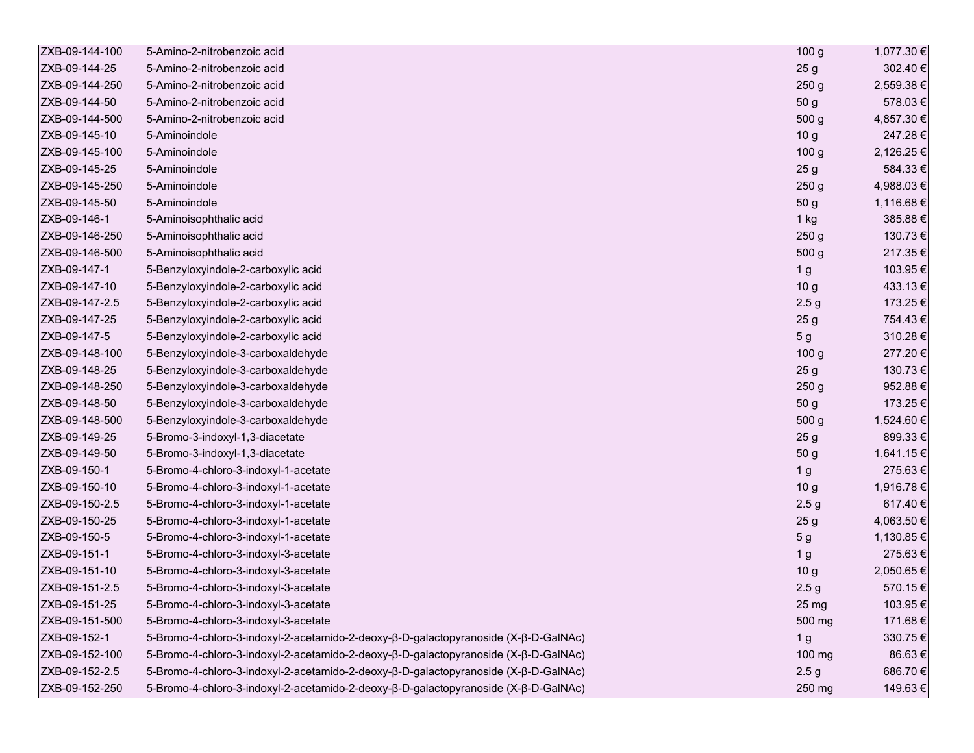| ZXB-09-144-100 | 5-Amino-2-nitrobenzoic acid                                                         | 100 <sub>g</sub> | 1,077.30 € |
|----------------|-------------------------------------------------------------------------------------|------------------|------------|
| ZXB-09-144-25  | 5-Amino-2-nitrobenzoic acid                                                         | 25 <sub>g</sub>  | 302.40€    |
| ZXB-09-144-250 | 5-Amino-2-nitrobenzoic acid                                                         | 250 <sub>g</sub> | 2,559.38 € |
| ZXB-09-144-50  | 5-Amino-2-nitrobenzoic acid                                                         | 50 g             | 578.03€    |
| ZXB-09-144-500 | 5-Amino-2-nitrobenzoic acid                                                         | 500 g            | 4,857.30 € |
| ZXB-09-145-10  | 5-Aminoindole                                                                       | 10 <sub>g</sub>  | 247.28€    |
| ZXB-09-145-100 | 5-Aminoindole                                                                       | 100 <sub>g</sub> | 2,126.25 € |
| ZXB-09-145-25  | 5-Aminoindole                                                                       | 25 <sub>g</sub>  | 584.33€    |
| ZXB-09-145-250 | 5-Aminoindole                                                                       | 250 <sub>g</sub> | 4,988.03€  |
| ZXB-09-145-50  | 5-Aminoindole                                                                       | 50 g             | 1,116.68 € |
| ZXB-09-146-1   | 5-Aminoisophthalic acid                                                             | 1 kg             | 385.88€    |
| ZXB-09-146-250 | 5-Aminoisophthalic acid                                                             | 250 <sub>g</sub> | 130.73€    |
| ZXB-09-146-500 | 5-Aminoisophthalic acid                                                             | 500 <sub>g</sub> | 217.35€    |
| ZXB-09-147-1   | 5-Benzyloxyindole-2-carboxylic acid                                                 | 1 <sub>g</sub>   | 103.95€    |
| ZXB-09-147-10  | 5-Benzyloxyindole-2-carboxylic acid                                                 | 10 <sub>g</sub>  | 433.13€    |
| ZXB-09-147-2.5 | 5-Benzyloxyindole-2-carboxylic acid                                                 | 2.5 <sub>g</sub> | 173.25€    |
| ZXB-09-147-25  | 5-Benzyloxyindole-2-carboxylic acid                                                 | 25 <sub>g</sub>  | 754.43€    |
| ZXB-09-147-5   | 5-Benzyloxyindole-2-carboxylic acid                                                 | 5 <sub>g</sub>   | 310.28€    |
| ZXB-09-148-100 | 5-Benzyloxyindole-3-carboxaldehyde                                                  | 100 <sub>g</sub> | 277.20€    |
| ZXB-09-148-25  | 5-Benzyloxyindole-3-carboxaldehyde                                                  | 25 <sub>g</sub>  | 130.73€    |
| ZXB-09-148-250 | 5-Benzyloxyindole-3-carboxaldehyde                                                  | 250 <sub>g</sub> | 952.88€    |
| ZXB-09-148-50  | 5-Benzyloxyindole-3-carboxaldehyde                                                  | 50 g             | 173.25 €   |
| ZXB-09-148-500 | 5-Benzyloxyindole-3-carboxaldehyde                                                  | 500 <sub>g</sub> | 1,524.60 € |
| ZXB-09-149-25  | 5-Bromo-3-indoxyl-1,3-diacetate                                                     | 25 <sub>g</sub>  | 899.33€    |
| ZXB-09-149-50  | 5-Bromo-3-indoxyl-1,3-diacetate                                                     | 50 g             | 1,641.15 € |
| ZXB-09-150-1   | 5-Bromo-4-chloro-3-indoxyl-1-acetate                                                | 1 <sub>g</sub>   | 275.63€    |
| ZXB-09-150-10  | 5-Bromo-4-chloro-3-indoxyl-1-acetate                                                | 10 <sub>g</sub>  | 1,916.78€  |
| ZXB-09-150-2.5 | 5-Bromo-4-chloro-3-indoxyl-1-acetate                                                | 2.5 <sub>g</sub> | 617.40€    |
| ZXB-09-150-25  | 5-Bromo-4-chloro-3-indoxyl-1-acetate                                                | 25 <sub>g</sub>  | 4,063.50 € |
| ZXB-09-150-5   | 5-Bromo-4-chloro-3-indoxyl-1-acetate                                                | 5 <sub>g</sub>   | 1,130.85 € |
| ZXB-09-151-1   | 5-Bromo-4-chloro-3-indoxyl-3-acetate                                                | 1 <sub>g</sub>   | 275.63€    |
| ZXB-09-151-10  | 5-Bromo-4-chloro-3-indoxyl-3-acetate                                                | 10 <sub>g</sub>  | 2,050.65€  |
| ZXB-09-151-2.5 | 5-Bromo-4-chloro-3-indoxyl-3-acetate                                                | 2.5 <sub>g</sub> | 570.15€    |
| ZXB-09-151-25  | 5-Bromo-4-chloro-3-indoxyl-3-acetate                                                | 25 <sub>mg</sub> | 103.95€    |
| ZXB-09-151-500 | 5-Bromo-4-chloro-3-indoxyl-3-acetate                                                | 500 mg           | 171.68€    |
| ZXB-09-152-1   | 5-Bromo-4-chloro-3-indoxyl-2-acetamido-2-deoxy-β-D-galactopyranoside (X-β-D-GalNAc) | 1 <sub>g</sub>   | 330.75€    |
| ZXB-09-152-100 | 5-Bromo-4-chloro-3-indoxyl-2-acetamido-2-deoxy-β-D-galactopyranoside (X-β-D-GalNAc) | 100 mg           | 86.63€     |
| ZXB-09-152-2.5 | 5-Bromo-4-chloro-3-indoxyl-2-acetamido-2-deoxy-β-D-galactopyranoside (X-β-D-GalNAc) | 2.5 <sub>g</sub> | 686.70€    |
| ZXB-09-152-250 | 5-Bromo-4-chloro-3-indoxyl-2-acetamido-2-deoxy-β-D-galactopyranoside (X-β-D-GalNAc) | 250 mg           | 149.63€    |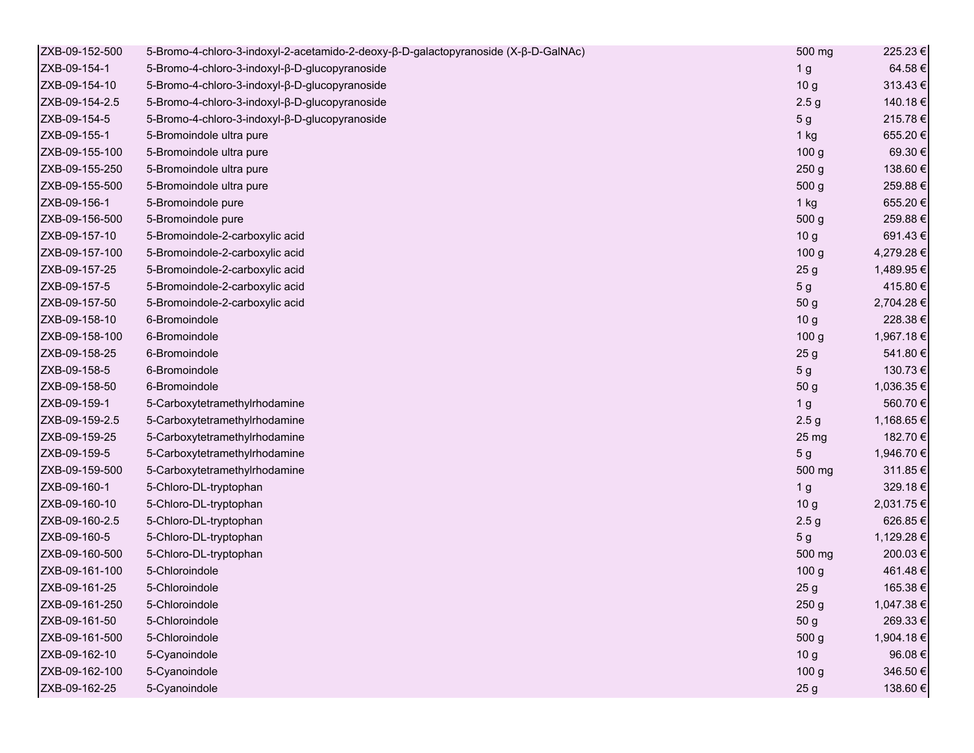| ZXB-09-152-500 | 5-Bromo-4-chloro-3-indoxyl-2-acetamido-2-deoxy-β-D-galactopyranoside (X-β-D-GalNAc) | 500 mg           | 225.23 €   |
|----------------|-------------------------------------------------------------------------------------|------------------|------------|
| ZXB-09-154-1   | 5-Bromo-4-chloro-3-indoxyl-β-D-glucopyranoside                                      | 1 <sub>g</sub>   | 64.58€     |
| ZXB-09-154-10  | 5-Bromo-4-chloro-3-indoxyl-β-D-glucopyranoside                                      | 10 <sub>g</sub>  | 313.43€    |
| ZXB-09-154-2.5 | 5-Bromo-4-chloro-3-indoxyl-β-D-glucopyranoside                                      | 2.5 <sub>g</sub> | 140.18€    |
| ZXB-09-154-5   | 5-Bromo-4-chloro-3-indoxyl-β-D-glucopyranoside                                      | 5 <sub>g</sub>   | 215.78€    |
| ZXB-09-155-1   | 5-Bromoindole ultra pure                                                            | $1$ kg           | 655.20€    |
| ZXB-09-155-100 | 5-Bromoindole ultra pure                                                            | 100 <sub>g</sub> | 69.30€     |
| ZXB-09-155-250 | 5-Bromoindole ultra pure                                                            | 250 <sub>g</sub> | 138.60€    |
| ZXB-09-155-500 | 5-Bromoindole ultra pure                                                            | 500 g            | 259.88€    |
| ZXB-09-156-1   | 5-Bromoindole pure                                                                  | $1$ kg           | 655.20€    |
| ZXB-09-156-500 | 5-Bromoindole pure                                                                  | 500 g            | 259.88€    |
| ZXB-09-157-10  | 5-Bromoindole-2-carboxylic acid                                                     | 10 <sub>g</sub>  | 691.43€    |
| ZXB-09-157-100 | 5-Bromoindole-2-carboxylic acid                                                     | 100 <sub>g</sub> | 4,279.28 € |
| ZXB-09-157-25  | 5-Bromoindole-2-carboxylic acid                                                     | 25 <sub>g</sub>  | 1,489.95 € |
| ZXB-09-157-5   | 5-Bromoindole-2-carboxylic acid                                                     | 5 <sub>g</sub>   | 415.80€    |
| ZXB-09-157-50  | 5-Bromoindole-2-carboxylic acid                                                     | 50 g             | 2,704.28 € |
| ZXB-09-158-10  | 6-Bromoindole                                                                       | 10 <sub>g</sub>  | 228.38€    |
| ZXB-09-158-100 | 6-Bromoindole                                                                       | 100 <sub>g</sub> | 1,967.18€  |
| ZXB-09-158-25  | 6-Bromoindole                                                                       | 25 <sub>g</sub>  | 541.80€    |
| ZXB-09-158-5   | 6-Bromoindole                                                                       | 5 <sub>g</sub>   | 130.73€    |
| ZXB-09-158-50  | 6-Bromoindole                                                                       | 50 g             | 1,036.35 € |
| ZXB-09-159-1   | 5-Carboxytetramethylrhodamine                                                       | 1 <sub>g</sub>   | 560.70€    |
| ZXB-09-159-2.5 | 5-Carboxytetramethylrhodamine                                                       | 2.5 <sub>g</sub> | 1,168.65 € |
| ZXB-09-159-25  | 5-Carboxytetramethylrhodamine                                                       | 25 <sub>mg</sub> | 182.70€    |
| ZXB-09-159-5   | 5-Carboxytetramethylrhodamine                                                       | 5 <sub>g</sub>   | 1,946.70 € |
| ZXB-09-159-500 | 5-Carboxytetramethylrhodamine                                                       | 500 mg           | 311.85€    |
| ZXB-09-160-1   | 5-Chloro-DL-tryptophan                                                              | 1 <sub>g</sub>   | 329.18€    |
| ZXB-09-160-10  | 5-Chloro-DL-tryptophan                                                              | 10 <sub>g</sub>  | 2,031.75 € |
| ZXB-09-160-2.5 | 5-Chloro-DL-tryptophan                                                              | 2.5 <sub>g</sub> | 626.85€    |
| ZXB-09-160-5   | 5-Chloro-DL-tryptophan                                                              | 5 <sub>g</sub>   | 1,129.28 € |
| ZXB-09-160-500 | 5-Chloro-DL-tryptophan                                                              | 500 mg           | 200.03€    |
| ZXB-09-161-100 | 5-Chloroindole                                                                      | 100 <sub>g</sub> | 461.48€    |
| ZXB-09-161-25  | 5-Chloroindole                                                                      | 25 <sub>g</sub>  | 165.38€    |
| ZXB-09-161-250 | 5-Chloroindole                                                                      | 250 g            | 1,047.38 € |
| ZXB-09-161-50  | 5-Chloroindole                                                                      | 50 <sub>g</sub>  | 269.33€    |
| ZXB-09-161-500 | 5-Chloroindole                                                                      | 500 g            | 1,904.18€  |
| ZXB-09-162-10  | 5-Cyanoindole                                                                       | 10 <sub>g</sub>  | 96.08€     |
| ZXB-09-162-100 | 5-Cyanoindole                                                                       | 100 g            | 346.50€    |
| ZXB-09-162-25  | 5-Cyanoindole                                                                       | 25 g             | 138.60€    |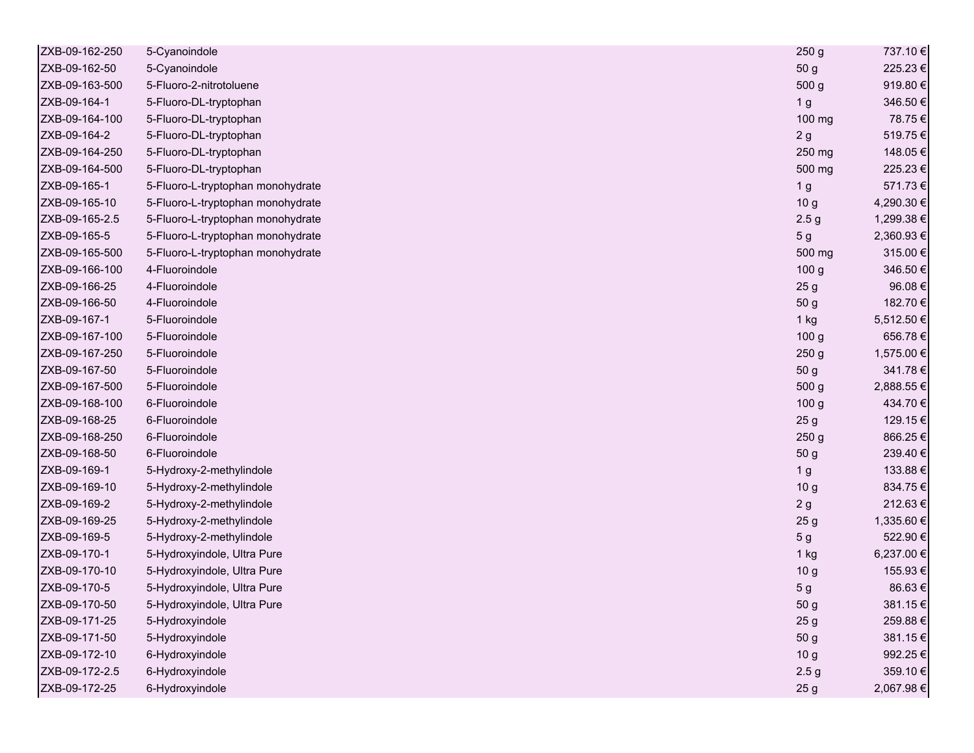| ZXB-09-162-250 | 5-Cyanoindole                     | 250 <sub>g</sub> | 737.10€    |
|----------------|-----------------------------------|------------------|------------|
| ZXB-09-162-50  | 5-Cyanoindole                     | 50 g             | 225.23€    |
| ZXB-09-163-500 | 5-Fluoro-2-nitrotoluene           | 500 g            | 919.80€    |
| ZXB-09-164-1   | 5-Fluoro-DL-tryptophan            | 1 <sub>g</sub>   | 346.50€    |
| ZXB-09-164-100 | 5-Fluoro-DL-tryptophan            | 100 mg           | 78.75€     |
| ZXB-09-164-2   | 5-Fluoro-DL-tryptophan            | 2g               | 519.75€    |
| ZXB-09-164-250 | 5-Fluoro-DL-tryptophan            | 250 mg           | 148.05€    |
| ZXB-09-164-500 | 5-Fluoro-DL-tryptophan            | 500 mg           | 225.23€    |
| ZXB-09-165-1   | 5-Fluoro-L-tryptophan monohydrate | 1 g              | 571.73€    |
| ZXB-09-165-10  | 5-Fluoro-L-tryptophan monohydrate | 10 <sub>g</sub>  | 4,290.30 € |
| ZXB-09-165-2.5 | 5-Fluoro-L-tryptophan monohydrate | 2.5 <sub>g</sub> | 1,299.38 € |
| ZXB-09-165-5   | 5-Fluoro-L-tryptophan monohydrate | 5 <sub>g</sub>   | 2,360.93€  |
| ZXB-09-165-500 | 5-Fluoro-L-tryptophan monohydrate | 500 mg           | 315.00€    |
| ZXB-09-166-100 | 4-Fluoroindole                    | 100 <sub>g</sub> | 346.50€    |
| ZXB-09-166-25  | 4-Fluoroindole                    | 25 <sub>g</sub>  | 96.08€     |
| ZXB-09-166-50  | 4-Fluoroindole                    | 50 g             | 182.70€    |
| ZXB-09-167-1   | 5-Fluoroindole                    | $1$ kg           | 5,512.50 € |
| ZXB-09-167-100 | 5-Fluoroindole                    | 100 <sub>g</sub> | 656.78€    |
| ZXB-09-167-250 | 5-Fluoroindole                    | 250 <sub>g</sub> | 1,575.00 € |
| ZXB-09-167-50  | 5-Fluoroindole                    | 50 g             | 341.78€    |
| ZXB-09-167-500 | 5-Fluoroindole                    | 500 <sub>g</sub> | 2,888.55 € |
| ZXB-09-168-100 | 6-Fluoroindole                    | 100 <sub>g</sub> | 434.70€    |
| ZXB-09-168-25  | 6-Fluoroindole                    | 25 <sub>g</sub>  | 129.15€    |
| ZXB-09-168-250 | 6-Fluoroindole                    | 250 <sub>g</sub> | 866.25€    |
| ZXB-09-168-50  | 6-Fluoroindole                    | 50 g             | 239.40€    |
| ZXB-09-169-1   | 5-Hydroxy-2-methylindole          | 1 <sub>g</sub>   | 133.88€    |
| ZXB-09-169-10  | 5-Hydroxy-2-methylindole          | 10 <sub>g</sub>  | 834.75€    |
| ZXB-09-169-2   | 5-Hydroxy-2-methylindole          | 2g               | 212.63€    |
| ZXB-09-169-25  | 5-Hydroxy-2-methylindole          | 25 g             | 1,335.60 € |
| ZXB-09-169-5   | 5-Hydroxy-2-methylindole          | 5 <sub>g</sub>   | 522.90€    |
| ZXB-09-170-1   | 5-Hydroxyindole, Ultra Pure       | 1 kg             | 6,237.00 € |
| ZXB-09-170-10  | 5-Hydroxyindole, Ultra Pure       | 10 <sub>g</sub>  | 155.93€    |
| ZXB-09-170-5   | 5-Hydroxyindole, Ultra Pure       | 5 g              | 86.63€     |
| ZXB-09-170-50  | 5-Hydroxyindole, Ultra Pure       | 50 g             | 381.15€    |
| ZXB-09-171-25  | 5-Hydroxyindole                   | 25 <sub>g</sub>  | 259.88€    |
| ZXB-09-171-50  | 5-Hydroxyindole                   | 50 g             | 381.15€    |
| ZXB-09-172-10  | 6-Hydroxyindole                   | 10 <sub>g</sub>  | 992.25€    |
| ZXB-09-172-2.5 | 6-Hydroxyindole                   | 2.5 <sub>g</sub> | 359.10€    |
| ZXB-09-172-25  | 6-Hydroxyindole                   | 25 <sub>g</sub>  | 2,067.98€  |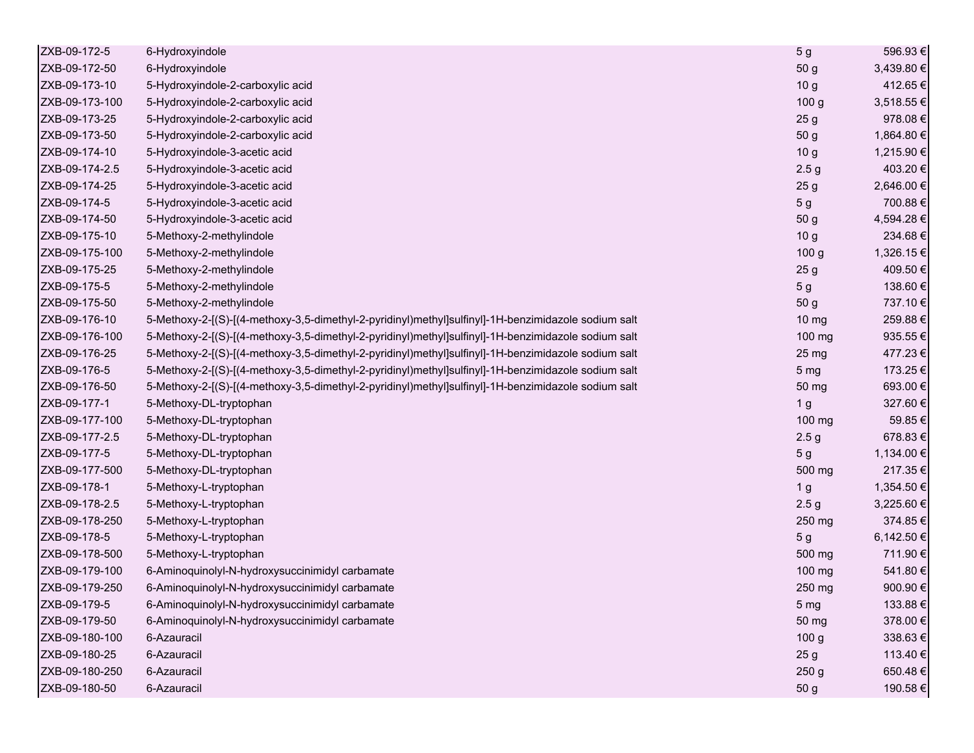| ZXB-09-172-5   | 6-Hydroxyindole                                                                                     | 5 g               | 596.93€    |
|----------------|-----------------------------------------------------------------------------------------------------|-------------------|------------|
| ZXB-09-172-50  | 6-Hydroxyindole                                                                                     | 50 g              | 3,439.80 € |
| ZXB-09-173-10  | 5-Hydroxyindole-2-carboxylic acid                                                                   | 10 <sub>g</sub>   | 412.65€    |
| ZXB-09-173-100 | 5-Hydroxyindole-2-carboxylic acid                                                                   | 100 <sub>g</sub>  | 3,518.55 € |
| ZXB-09-173-25  | 5-Hydroxyindole-2-carboxylic acid                                                                   | 25 <sub>g</sub>   | 978.08€    |
| ZXB-09-173-50  | 5-Hydroxyindole-2-carboxylic acid                                                                   | 50 g              | 1,864.80 € |
| ZXB-09-174-10  | 5-Hydroxyindole-3-acetic acid                                                                       | 10 <sub>g</sub>   | 1,215.90 € |
| ZXB-09-174-2.5 | 5-Hydroxyindole-3-acetic acid                                                                       | 2.5 <sub>g</sub>  | 403.20€    |
| ZXB-09-174-25  | 5-Hydroxyindole-3-acetic acid                                                                       | 25 <sub>g</sub>   | 2,646.00 € |
| ZXB-09-174-5   | 5-Hydroxyindole-3-acetic acid                                                                       | 5 <sub>g</sub>    | 700.88€    |
| ZXB-09-174-50  | 5-Hydroxyindole-3-acetic acid                                                                       | 50 g              | 4,594.28 € |
| ZXB-09-175-10  | 5-Methoxy-2-methylindole                                                                            | 10 <sub>g</sub>   | 234.68€    |
| ZXB-09-175-100 | 5-Methoxy-2-methylindole                                                                            | 100 <sub>g</sub>  | 1,326.15€  |
| ZXB-09-175-25  | 5-Methoxy-2-methylindole                                                                            | 25 <sub>g</sub>   | 409.50€    |
| ZXB-09-175-5   | 5-Methoxy-2-methylindole                                                                            | 5 <sub>g</sub>    | 138.60€    |
| ZXB-09-175-50  | 5-Methoxy-2-methylindole                                                                            | 50 g              | 737.10€    |
| ZXB-09-176-10  | 5-Methoxy-2-[(S)-[(4-methoxy-3,5-dimethyl-2-pyridinyl)methyl]sulfinyl]-1H-benzimidazole sodium salt | $10 \, \text{mg}$ | 259.88€    |
| ZXB-09-176-100 | 5-Methoxy-2-[(S)-[(4-methoxy-3,5-dimethyl-2-pyridinyl)methyl]sulfinyl]-1H-benzimidazole sodium salt | 100 mg            | 935.55€    |
| ZXB-09-176-25  | 5-Methoxy-2-[(S)-[(4-methoxy-3,5-dimethyl-2-pyridinyl)methyl]sulfinyl]-1H-benzimidazole sodium salt | 25 mg             | 477.23€    |
| ZXB-09-176-5   | 5-Methoxy-2-[(S)-[(4-methoxy-3,5-dimethyl-2-pyridinyl)methyl]sulfinyl]-1H-benzimidazole sodium salt | 5 <sub>mg</sub>   | 173.25€    |
| ZXB-09-176-50  | 5-Methoxy-2-[(S)-[(4-methoxy-3,5-dimethyl-2-pyridinyl)methyl]sulfinyl]-1H-benzimidazole sodium salt | 50 mg             | 693.00€    |
| ZXB-09-177-1   | 5-Methoxy-DL-tryptophan                                                                             | 1 <sub>g</sub>    | 327.60€    |
| ZXB-09-177-100 | 5-Methoxy-DL-tryptophan                                                                             | 100 mg            | 59.85€     |
| ZXB-09-177-2.5 | 5-Methoxy-DL-tryptophan                                                                             | 2.5 <sub>g</sub>  | 678.83€    |
| ZXB-09-177-5   | 5-Methoxy-DL-tryptophan                                                                             | 5 <sub>g</sub>    | 1,134.00 € |
| ZXB-09-177-500 | 5-Methoxy-DL-tryptophan                                                                             | 500 mg            | 217.35€    |
| ZXB-09-178-1   | 5-Methoxy-L-tryptophan                                                                              | 1 <sub>g</sub>    | 1,354.50 € |
| ZXB-09-178-2.5 | 5-Methoxy-L-tryptophan                                                                              | 2.5 <sub>g</sub>  | 3,225.60 € |
| ZXB-09-178-250 | 5-Methoxy-L-tryptophan                                                                              | 250 mg            | 374.85€    |
| ZXB-09-178-5   | 5-Methoxy-L-tryptophan                                                                              | 5 <sub>g</sub>    | 6,142.50 € |
| ZXB-09-178-500 | 5-Methoxy-L-tryptophan                                                                              | 500 mg            | 711.90€    |
| ZXB-09-179-100 | 6-Aminoquinolyl-N-hydroxysuccinimidyl carbamate                                                     | 100 mg            | 541.80€    |
| ZXB-09-179-250 | 6-Aminoquinolyl-N-hydroxysuccinimidyl carbamate                                                     | 250 mg            | 900.90€    |
| ZXB-09-179-5   | 6-Aminoquinolyl-N-hydroxysuccinimidyl carbamate                                                     | 5 <sub>mg</sub>   | 133.88€    |
| ZXB-09-179-50  | 6-Aminoquinolyl-N-hydroxysuccinimidyl carbamate                                                     | 50 mg             | 378.00€    |
| ZXB-09-180-100 | 6-Azauracil                                                                                         | 100 <sub>g</sub>  | 338.63€    |
| ZXB-09-180-25  | 6-Azauracil                                                                                         | 25 <sub>g</sub>   | 113.40 €   |
| ZXB-09-180-250 | 6-Azauracil                                                                                         | 250 <sub>g</sub>  | 650.48€    |
| ZXB-09-180-50  | 6-Azauracil                                                                                         | 50 g              | 190.58€    |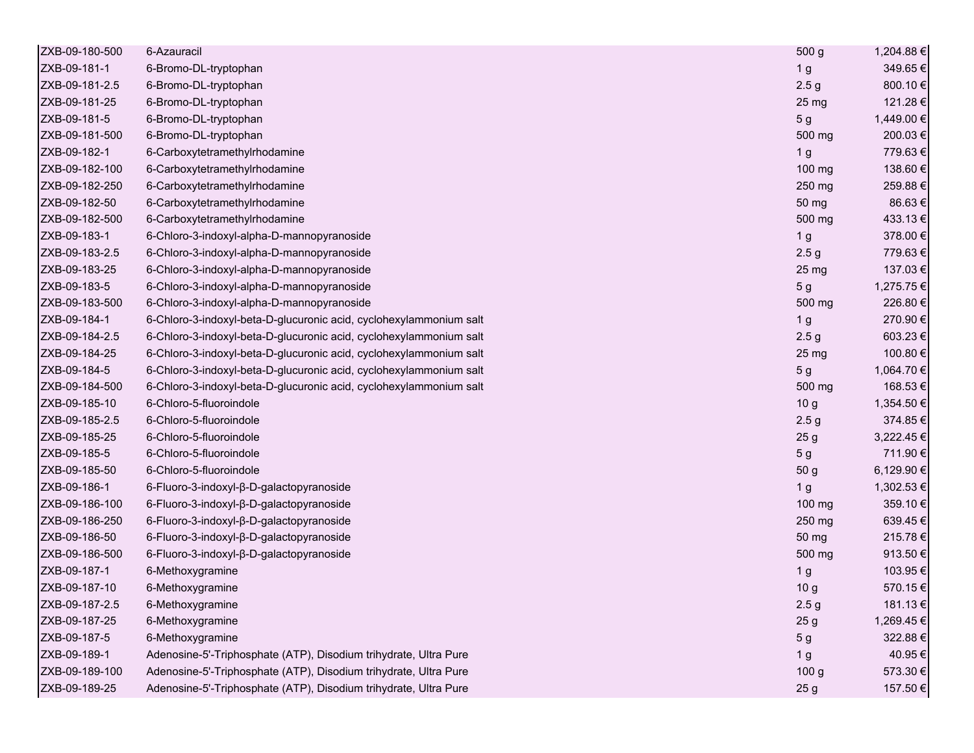| ZXB-09-180-500 | 6-Azauracil                                                        | 500 g            | 1,204.88 € |
|----------------|--------------------------------------------------------------------|------------------|------------|
| ZXB-09-181-1   | 6-Bromo-DL-tryptophan                                              | 1 <sub>g</sub>   | 349.65€    |
| ZXB-09-181-2.5 | 6-Bromo-DL-tryptophan                                              | 2.5 <sub>g</sub> | 800.10€    |
| ZXB-09-181-25  | 6-Bromo-DL-tryptophan                                              | 25 mg            | 121.28€    |
| ZXB-09-181-5   | 6-Bromo-DL-tryptophan                                              | 5 <sub>g</sub>   | 1,449.00 € |
| ZXB-09-181-500 | 6-Bromo-DL-tryptophan                                              | 500 mg           | 200.03€    |
| ZXB-09-182-1   | 6-Carboxytetramethylrhodamine                                      | 1 <sub>g</sub>   | 779.63€    |
| ZXB-09-182-100 | 6-Carboxytetramethylrhodamine                                      | 100 mg           | 138.60€    |
| ZXB-09-182-250 | 6-Carboxytetramethylrhodamine                                      | 250 mg           | 259.88€    |
| ZXB-09-182-50  | 6-Carboxytetramethylrhodamine                                      | 50 mg            | 86.63€     |
| ZXB-09-182-500 | 6-Carboxytetramethylrhodamine                                      | 500 mg           | 433.13€    |
| ZXB-09-183-1   | 6-Chloro-3-indoxyl-alpha-D-mannopyranoside                         | 1 <sub>g</sub>   | 378.00€    |
| ZXB-09-183-2.5 | 6-Chloro-3-indoxyl-alpha-D-mannopyranoside                         | 2.5 <sub>g</sub> | 779.63€    |
| ZXB-09-183-25  | 6-Chloro-3-indoxyl-alpha-D-mannopyranoside                         | 25 mg            | 137.03€    |
| ZXB-09-183-5   | 6-Chloro-3-indoxyl-alpha-D-mannopyranoside                         | 5 <sub>g</sub>   | 1,275.75€  |
| ZXB-09-183-500 | 6-Chloro-3-indoxyl-alpha-D-mannopyranoside                         | 500 mg           | 226.80€    |
| ZXB-09-184-1   | 6-Chloro-3-indoxyl-beta-D-glucuronic acid, cyclohexylammonium salt | 1 <sub>g</sub>   | 270.90€    |
| ZXB-09-184-2.5 | 6-Chloro-3-indoxyl-beta-D-glucuronic acid, cyclohexylammonium salt | 2.5 <sub>g</sub> | 603.23€    |
| ZXB-09-184-25  | 6-Chloro-3-indoxyl-beta-D-glucuronic acid, cyclohexylammonium salt | 25 <sub>mg</sub> | 100.80 €   |
| ZXB-09-184-5   | 6-Chloro-3-indoxyl-beta-D-glucuronic acid, cyclohexylammonium salt | 5 <sub>g</sub>   | 1,064.70 € |
| ZXB-09-184-500 | 6-Chloro-3-indoxyl-beta-D-glucuronic acid, cyclohexylammonium salt | 500 mg           | 168.53€    |
| ZXB-09-185-10  | 6-Chloro-5-fluoroindole                                            | 10 <sub>g</sub>  | 1,354.50 € |
| ZXB-09-185-2.5 | 6-Chloro-5-fluoroindole                                            | 2.5 <sub>g</sub> | 374.85€    |
| ZXB-09-185-25  | 6-Chloro-5-fluoroindole                                            | 25 <sub>g</sub>  | 3,222.45€  |
| ZXB-09-185-5   | 6-Chloro-5-fluoroindole                                            | 5 <sub>g</sub>   | 711.90€    |
| ZXB-09-185-50  | 6-Chloro-5-fluoroindole                                            | 50 g             | 6,129.90 € |
| ZXB-09-186-1   | 6-Fluoro-3-indoxyl-β-D-galactopyranoside                           | 1 <sub>g</sub>   | 1,302.53€  |
| ZXB-09-186-100 | 6-Fluoro-3-indoxyl-β-D-galactopyranoside                           | 100 mg           | 359.10€    |
| ZXB-09-186-250 | 6-Fluoro-3-indoxyl-β-D-galactopyranoside                           | 250 mg           | 639.45€    |
| ZXB-09-186-50  | 6-Fluoro-3-indoxyl-β-D-galactopyranoside                           | 50 mg            | 215.78€    |
| ZXB-09-186-500 | 6-Fluoro-3-indoxyl-β-D-galactopyranoside                           | 500 mg           | 913.50€    |
| ZXB-09-187-1   | 6-Methoxygramine                                                   | 1 <sub>g</sub>   | 103.95€    |
| ZXB-09-187-10  | 6-Methoxygramine                                                   | 10 <sub>g</sub>  | 570.15€    |
| ZXB-09-187-2.5 | 6-Methoxygramine                                                   | 2.5 <sub>g</sub> | 181.13€    |
| ZXB-09-187-25  | 6-Methoxygramine                                                   | 25 <sub>g</sub>  | 1,269.45€  |
| ZXB-09-187-5   | 6-Methoxygramine                                                   | 5 <sub>g</sub>   | 322.88€    |
| ZXB-09-189-1   | Adenosine-5'-Triphosphate (ATP), Disodium trihydrate, Ultra Pure   | 1 <sub>g</sub>   | 40.95€     |
| ZXB-09-189-100 | Adenosine-5'-Triphosphate (ATP), Disodium trihydrate, Ultra Pure   | 100 <sub>g</sub> | 573.30€    |
| ZXB-09-189-25  | Adenosine-5'-Triphosphate (ATP), Disodium trihydrate, Ultra Pure   | 25 <sub>g</sub>  | 157.50€    |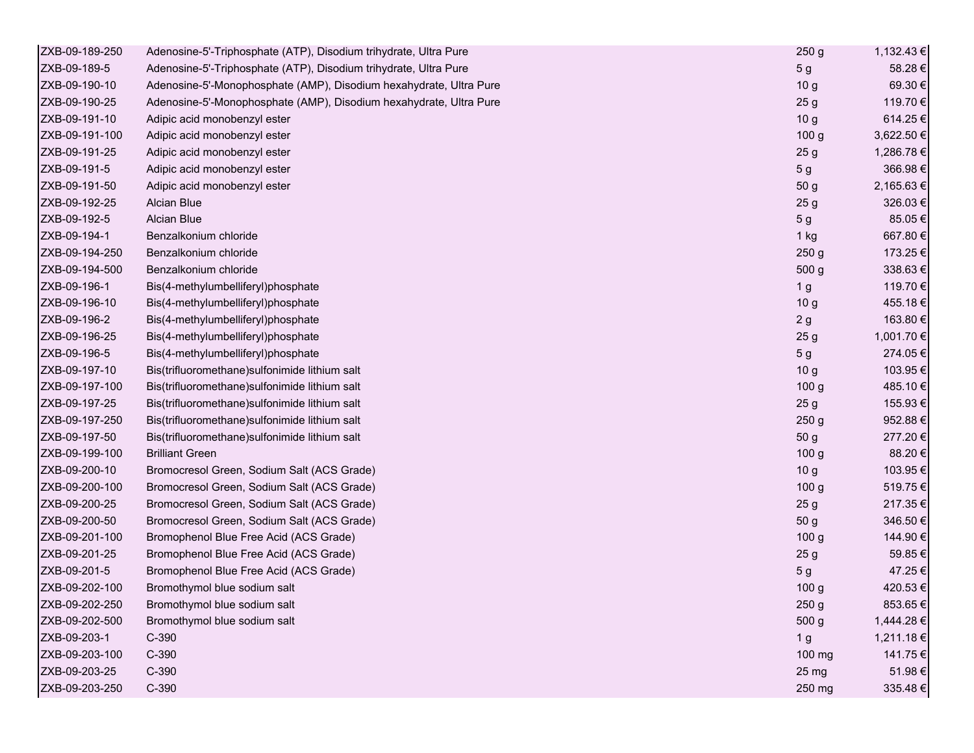| ZXB-09-189-250 | Adenosine-5'-Triphosphate (ATP), Disodium trihydrate, Ultra Pure   | 250 <sub>g</sub> | 1,132.43 € |
|----------------|--------------------------------------------------------------------|------------------|------------|
| ZXB-09-189-5   | Adenosine-5'-Triphosphate (ATP), Disodium trihydrate, Ultra Pure   | 5 <sub>g</sub>   | 58.28€     |
| ZXB-09-190-10  | Adenosine-5'-Monophosphate (AMP), Disodium hexahydrate, Ultra Pure | 10 <sub>g</sub>  | 69.30€     |
| ZXB-09-190-25  | Adenosine-5'-Monophosphate (AMP), Disodium hexahydrate, Ultra Pure | 25 <sub>g</sub>  | 119.70 €   |
| ZXB-09-191-10  | Adipic acid monobenzyl ester                                       | 10 <sub>g</sub>  | 614.25€    |
| ZXB-09-191-100 | Adipic acid monobenzyl ester                                       | 100 <sub>g</sub> | 3,622.50 € |
| ZXB-09-191-25  | Adipic acid monobenzyl ester                                       | 25 <sub>g</sub>  | 1,286.78€  |
| ZXB-09-191-5   | Adipic acid monobenzyl ester                                       | 5 <sub>g</sub>   | 366.98€    |
| ZXB-09-191-50  | Adipic acid monobenzyl ester                                       | 50 <sub>g</sub>  | 2,165.63€  |
| ZXB-09-192-25  | Alcian Blue                                                        | 25 <sub>g</sub>  | 326.03€    |
| ZXB-09-192-5   | Alcian Blue                                                        | 5 <sub>g</sub>   | 85.05€     |
| ZXB-09-194-1   | Benzalkonium chloride                                              | 1 kg             | 667.80€    |
| ZXB-09-194-250 | Benzalkonium chloride                                              | 250 <sub>g</sub> | 173.25 €   |
| ZXB-09-194-500 | Benzalkonium chloride                                              | 500 g            | 338.63€    |
| ZXB-09-196-1   | Bis(4-methylumbelliferyl)phosphate                                 | 1 <sub>g</sub>   | 119.70 €   |
| ZXB-09-196-10  | Bis(4-methylumbelliferyl)phosphate                                 | 10 <sub>g</sub>  | 455.18€    |
| ZXB-09-196-2   | Bis(4-methylumbelliferyl)phosphate                                 | 2g               | 163.80€    |
| ZXB-09-196-25  | Bis(4-methylumbelliferyl)phosphate                                 | 25 <sub>g</sub>  | 1,001.70 € |
| ZXB-09-196-5   | Bis(4-methylumbelliferyl)phosphate                                 | 5 <sub>g</sub>   | 274.05€    |
| ZXB-09-197-10  | Bis(trifluoromethane)sulfonimide lithium salt                      | 10 <sub>g</sub>  | 103.95€    |
| ZXB-09-197-100 | Bis(trifluoromethane) sulfonimide lithium salt                     | 100 <sub>g</sub> | 485.10€    |
| ZXB-09-197-25  | Bis(trifluoromethane) sulfonimide lithium salt                     | 25 <sub>g</sub>  | 155.93€    |
| ZXB-09-197-250 | Bis(trifluoromethane) sulfonimide lithium salt                     | 250 <sub>g</sub> | 952.88€    |
| ZXB-09-197-50  | Bis(trifluoromethane) sulfonimide lithium salt                     | 50 <sub>g</sub>  | 277.20€    |
| ZXB-09-199-100 | <b>Brilliant Green</b>                                             | 100 <sub>g</sub> | 88.20€     |
| ZXB-09-200-10  | Bromocresol Green, Sodium Salt (ACS Grade)                         | 10 <sub>g</sub>  | 103.95€    |
| ZXB-09-200-100 | Bromocresol Green, Sodium Salt (ACS Grade)                         | 100 <sub>g</sub> | 519.75€    |
| ZXB-09-200-25  | Bromocresol Green, Sodium Salt (ACS Grade)                         | 25 <sub>g</sub>  | 217.35€    |
| ZXB-09-200-50  | Bromocresol Green, Sodium Salt (ACS Grade)                         | 50 g             | 346.50€    |
| ZXB-09-201-100 | Bromophenol Blue Free Acid (ACS Grade)                             | 100 <sub>g</sub> | 144.90€    |
| ZXB-09-201-25  | Bromophenol Blue Free Acid (ACS Grade)                             | 25 <sub>g</sub>  | 59.85€     |
| ZXB-09-201-5   | Bromophenol Blue Free Acid (ACS Grade)                             | 5 <sub>g</sub>   | 47.25€     |
| ZXB-09-202-100 | Bromothymol blue sodium salt                                       | 100 <sub>g</sub> | 420.53€    |
| ZXB-09-202-250 | Bromothymol blue sodium salt                                       | 250 g            | 853.65€    |
| ZXB-09-202-500 | Bromothymol blue sodium salt                                       | 500 g            | 1,444.28 € |
| ZXB-09-203-1   | $C-390$                                                            | 1 <sub>g</sub>   | 1,211.18€  |
| ZXB-09-203-100 | $C-390$                                                            | 100 mg           | 141.75€    |
| ZXB-09-203-25  | $C-390$                                                            | 25 mg            | 51.98€     |
| ZXB-09-203-250 | $C-390$                                                            | 250 mg           | 335.48€    |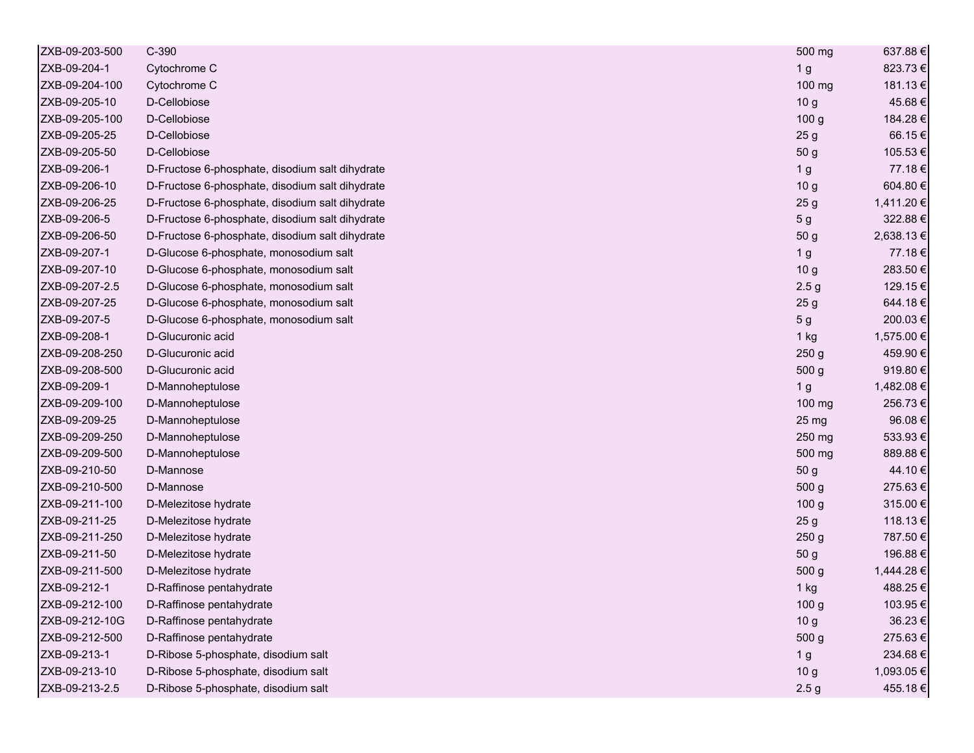| ZXB-09-203-500 | C-390                                           | 500 mg           | 637.88€    |
|----------------|-------------------------------------------------|------------------|------------|
| ZXB-09-204-1   | Cytochrome C                                    | 1 <sub>g</sub>   | 823.73€    |
| ZXB-09-204-100 | Cytochrome C                                    | 100 mg           | 181.13€    |
| ZXB-09-205-10  | D-Cellobiose                                    | 10 <sub>g</sub>  | 45.68€     |
| ZXB-09-205-100 | D-Cellobiose                                    | 100 g            | 184.28€    |
| ZXB-09-205-25  | D-Cellobiose                                    | 25 <sub>g</sub>  | 66.15€     |
| ZXB-09-205-50  | D-Cellobiose                                    | 50 g             | 105.53€    |
| ZXB-09-206-1   | D-Fructose 6-phosphate, disodium salt dihydrate | 1 <sub>g</sub>   | 77.18€     |
| ZXB-09-206-10  | D-Fructose 6-phosphate, disodium salt dihydrate | 10 <sub>g</sub>  | 604.80€    |
| ZXB-09-206-25  | D-Fructose 6-phosphate, disodium salt dihydrate | 25 <sub>g</sub>  | 1,411.20 € |
| ZXB-09-206-5   | D-Fructose 6-phosphate, disodium salt dihydrate | 5 <sub>g</sub>   | 322.88€    |
| ZXB-09-206-50  | D-Fructose 6-phosphate, disodium salt dihydrate | 50 g             | 2,638.13€  |
| ZXB-09-207-1   | D-Glucose 6-phosphate, monosodium salt          | 1 <sub>g</sub>   | 77.18€     |
| ZXB-09-207-10  | D-Glucose 6-phosphate, monosodium salt          | 10 <sub>g</sub>  | 283.50€    |
| ZXB-09-207-2.5 | D-Glucose 6-phosphate, monosodium salt          | 2.5 <sub>g</sub> | 129.15€    |
| ZXB-09-207-25  | D-Glucose 6-phosphate, monosodium salt          | 25 <sub>g</sub>  | 644.18€    |
| ZXB-09-207-5   | D-Glucose 6-phosphate, monosodium salt          | 5 <sub>g</sub>   | 200.03€    |
| ZXB-09-208-1   | D-Glucuronic acid                               | 1 kg             | 1,575.00 € |
| ZXB-09-208-250 | D-Glucuronic acid                               | 250 g            | 459.90€    |
| ZXB-09-208-500 | D-Glucuronic acid                               | 500 g            | 919.80€    |
| ZXB-09-209-1   | D-Mannoheptulose                                | 1 <sub>g</sub>   | 1,482.08 € |
| ZXB-09-209-100 | D-Mannoheptulose                                | 100 mg           | 256.73€    |
| ZXB-09-209-25  | D-Mannoheptulose                                | 25 mg            | 96.08€     |
| ZXB-09-209-250 | D-Mannoheptulose                                | 250 mg           | 533.93€    |
| ZXB-09-209-500 | D-Mannoheptulose                                | 500 mg           | 889.88€    |
| ZXB-09-210-50  | D-Mannose                                       | 50 g             | 44.10€     |
| ZXB-09-210-500 | D-Mannose                                       | 500 <sub>g</sub> | 275.63€    |
| ZXB-09-211-100 | D-Melezitose hydrate                            | 100 <sub>g</sub> | 315.00€    |
| ZXB-09-211-25  | D-Melezitose hydrate                            | 25 <sub>g</sub>  | 118.13€    |
| ZXB-09-211-250 | D-Melezitose hydrate                            | 250 g            | 787.50€    |
| ZXB-09-211-50  | D-Melezitose hydrate                            | 50 g             | 196.88€    |
| ZXB-09-211-500 | D-Melezitose hydrate                            | 500 g            | 1,444.28 € |
| ZXB-09-212-1   | D-Raffinose pentahydrate                        | 1 kg             | 488.25€    |
| ZXB-09-212-100 | D-Raffinose pentahydrate                        | 100 g            | 103.95€    |
| ZXB-09-212-10G | D-Raffinose pentahydrate                        | 10 <sub>g</sub>  | 36.23€     |
| ZXB-09-212-500 | D-Raffinose pentahydrate                        | 500 g            | 275.63€    |
| ZXB-09-213-1   | D-Ribose 5-phosphate, disodium salt             | 1 <sub>g</sub>   | 234.68€    |
| ZXB-09-213-10  | D-Ribose 5-phosphate, disodium salt             | 10 <sub>g</sub>  | 1,093.05 € |
| ZXB-09-213-2.5 | D-Ribose 5-phosphate, disodium salt             | 2.5 <sub>g</sub> | 455.18€    |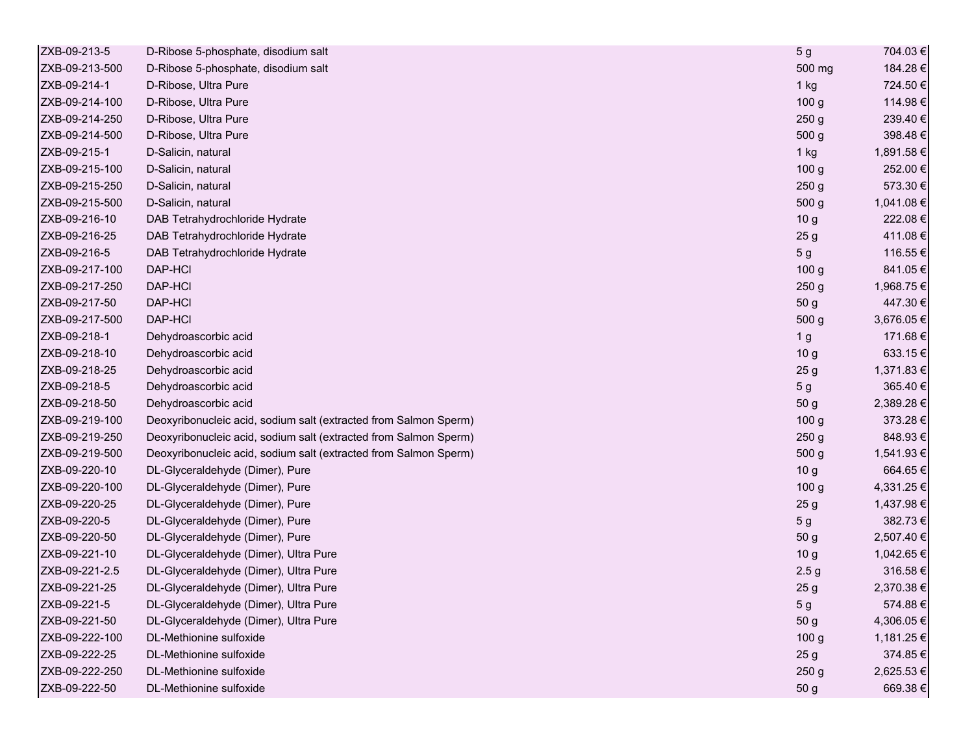| ZXB-09-213-5   | D-Ribose 5-phosphate, disodium salt                              | 5 <sub>g</sub>   | 704.03 €   |
|----------------|------------------------------------------------------------------|------------------|------------|
| ZXB-09-213-500 | D-Ribose 5-phosphate, disodium salt                              | 500 mg           | 184.28€    |
| ZXB-09-214-1   | D-Ribose, Ultra Pure                                             | 1 kg             | 724.50€    |
| ZXB-09-214-100 | D-Ribose, Ultra Pure                                             | 100 <sub>g</sub> | 114.98€    |
| ZXB-09-214-250 | D-Ribose, Ultra Pure                                             | 250 <sub>g</sub> | 239.40€    |
| ZXB-09-214-500 | D-Ribose, Ultra Pure                                             | 500 g            | 398.48€    |
| ZXB-09-215-1   | D-Salicin, natural                                               | $1$ kg           | 1,891.58 € |
| ZXB-09-215-100 | D-Salicin, natural                                               | 100 <sub>g</sub> | 252.00€    |
| ZXB-09-215-250 | D-Salicin, natural                                               | 250 <sub>g</sub> | 573.30€    |
| ZXB-09-215-500 | D-Salicin, natural                                               | 500 g            | 1,041.08 € |
| ZXB-09-216-10  | DAB Tetrahydrochloride Hydrate                                   | 10 <sub>g</sub>  | 222.08€    |
| ZXB-09-216-25  | DAB Tetrahydrochloride Hydrate                                   | 25 <sub>g</sub>  | 411.08€    |
| ZXB-09-216-5   | DAB Tetrahydrochloride Hydrate                                   | 5 <sub>g</sub>   | 116.55€    |
| ZXB-09-217-100 | DAP-HCI                                                          | 100 <sub>g</sub> | 841.05€    |
| ZXB-09-217-250 | DAP-HCI                                                          | 250 <sub>g</sub> | 1,968.75 € |
| ZXB-09-217-50  | DAP-HCI                                                          | 50 g             | 447.30 €   |
| ZXB-09-217-500 | DAP-HCI                                                          | 500 g            | 3,676.05€  |
| ZXB-09-218-1   | Dehydroascorbic acid                                             | 1 <sub>g</sub>   | 171.68€    |
| ZXB-09-218-10  | Dehydroascorbic acid                                             | 10 <sub>g</sub>  | 633.15€    |
| ZXB-09-218-25  | Dehydroascorbic acid                                             | 25 <sub>g</sub>  | 1,371.83 € |
| ZXB-09-218-5   | Dehydroascorbic acid                                             | 5 <sub>g</sub>   | 365.40€    |
| ZXB-09-218-50  | Dehydroascorbic acid                                             | 50 g             | 2,389.28€  |
| ZXB-09-219-100 | Deoxyribonucleic acid, sodium salt (extracted from Salmon Sperm) | 100 <sub>g</sub> | 373.28€    |
| ZXB-09-219-250 | Deoxyribonucleic acid, sodium salt (extracted from Salmon Sperm) | 250 <sub>g</sub> | 848.93€    |
| ZXB-09-219-500 | Deoxyribonucleic acid, sodium salt (extracted from Salmon Sperm) | 500 g            | 1,541.93 € |
| ZXB-09-220-10  | DL-Glyceraldehyde (Dimer), Pure                                  | 10 <sub>g</sub>  | 664.65€    |
| ZXB-09-220-100 | DL-Glyceraldehyde (Dimer), Pure                                  | 100 g            | 4,331.25 € |
| ZXB-09-220-25  | DL-Glyceraldehyde (Dimer), Pure                                  | 25 <sub>g</sub>  | 1,437.98 € |
| ZXB-09-220-5   | DL-Glyceraldehyde (Dimer), Pure                                  | 5 <sub>g</sub>   | 382.73€    |
| ZXB-09-220-50  | DL-Glyceraldehyde (Dimer), Pure                                  | 50 g             | 2,507.40 € |
| ZXB-09-221-10  | DL-Glyceraldehyde (Dimer), Ultra Pure                            | 10 <sub>g</sub>  | 1,042.65 € |
| ZXB-09-221-2.5 | DL-Glyceraldehyde (Dimer), Ultra Pure                            | 2.5 <sub>g</sub> | 316.58€    |
| ZXB-09-221-25  | DL-Glyceraldehyde (Dimer), Ultra Pure                            | 25 <sub>g</sub>  | 2,370.38 € |
| ZXB-09-221-5   | DL-Glyceraldehyde (Dimer), Ultra Pure                            | 5 <sub>g</sub>   | 574.88€    |
| ZXB-09-221-50  | DL-Glyceraldehyde (Dimer), Ultra Pure                            | 50 g             | 4,306.05€  |
| ZXB-09-222-100 | DL-Methionine sulfoxide                                          | 100 <sub>g</sub> | 1,181.25 € |
| ZXB-09-222-25  | DL-Methionine sulfoxide                                          | 25 <sub>g</sub>  | 374.85€    |
| ZXB-09-222-250 | DL-Methionine sulfoxide                                          | 250 <sub>g</sub> | 2,625.53 € |
| ZXB-09-222-50  | DL-Methionine sulfoxide                                          | 50 g             | 669.38€    |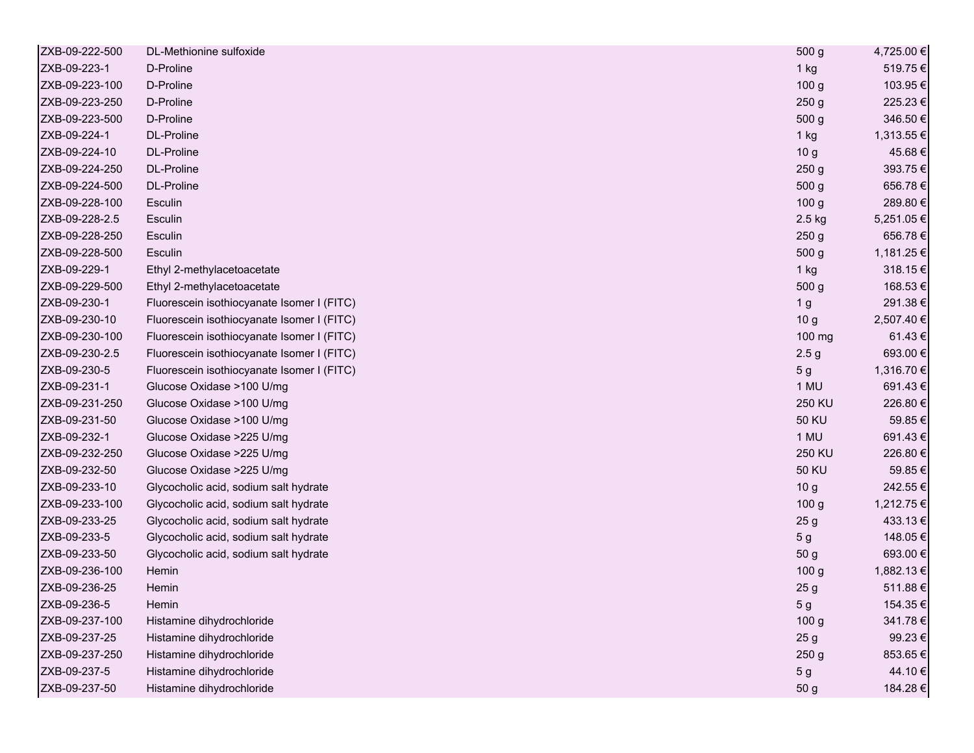| ZXB-09-222-500 | DL-Methionine sulfoxide                    | 500 g            | 4,725.00 € |
|----------------|--------------------------------------------|------------------|------------|
| ZXB-09-223-1   | D-Proline                                  | $1$ kg           | 519.75€    |
| ZXB-09-223-100 | D-Proline                                  | 100 <sub>g</sub> | 103.95€    |
| ZXB-09-223-250 | D-Proline                                  | 250 <sub>g</sub> | 225.23€    |
| ZXB-09-223-500 | D-Proline                                  | 500 <sub>g</sub> | 346.50€    |
| ZXB-09-224-1   | DL-Proline                                 | $1$ kg           | 1,313.55 € |
| ZXB-09-224-10  | <b>DL-Proline</b>                          | 10 <sub>g</sub>  | 45.68€     |
| ZXB-09-224-250 | DL-Proline                                 | 250 <sub>g</sub> | 393.75€    |
| ZXB-09-224-500 | DL-Proline                                 | 500 g            | 656.78€    |
| ZXB-09-228-100 | <b>Esculin</b>                             | 100 <sub>g</sub> | 289.80€    |
| ZXB-09-228-2.5 | Esculin                                    | 2.5 kg           | 5,251.05 € |
| ZXB-09-228-250 | Esculin                                    | 250 <sub>g</sub> | 656.78€    |
| ZXB-09-228-500 | Esculin                                    | 500 g            | 1,181.25 € |
| ZXB-09-229-1   | Ethyl 2-methylacetoacetate                 | 1 kg             | 318.15€    |
| ZXB-09-229-500 | Ethyl 2-methylacetoacetate                 | 500 <sub>g</sub> | 168.53€    |
| ZXB-09-230-1   | Fluorescein isothiocyanate Isomer I (FITC) | 1 <sub>g</sub>   | 291.38€    |
| ZXB-09-230-10  | Fluorescein isothiocyanate Isomer I (FITC) | 10 <sub>g</sub>  | 2,507.40 € |
| ZXB-09-230-100 | Fluorescein isothiocyanate Isomer I (FITC) | 100 mg           | 61.43€     |
| ZXB-09-230-2.5 | Fluorescein isothiocyanate Isomer I (FITC) | 2.5 <sub>g</sub> | 693.00€    |
| ZXB-09-230-5   | Fluorescein isothiocyanate Isomer I (FITC) | 5 <sub>g</sub>   | 1,316.70 € |
| ZXB-09-231-1   | Glucose Oxidase >100 U/mg                  | 1 MU             | 691.43€    |
| ZXB-09-231-250 | Glucose Oxidase >100 U/mg                  | 250 KU           | 226.80€    |
| ZXB-09-231-50  | Glucose Oxidase >100 U/mg                  | <b>50 KU</b>     | 59.85€     |
| ZXB-09-232-1   | Glucose Oxidase >225 U/mg                  | 1 MU             | 691.43€    |
| ZXB-09-232-250 | Glucose Oxidase >225 U/mg                  | 250 KU           | 226.80€    |
| ZXB-09-232-50  | Glucose Oxidase > 225 U/mg                 | <b>50 KU</b>     | 59.85€     |
| ZXB-09-233-10  | Glycocholic acid, sodium salt hydrate      | 10 <sub>g</sub>  | 242.55€    |
| ZXB-09-233-100 | Glycocholic acid, sodium salt hydrate      | 100 <sub>g</sub> | 1,212.75 € |
| ZXB-09-233-25  | Glycocholic acid, sodium salt hydrate      | 25 <sub>g</sub>  | 433.13€    |
| ZXB-09-233-5   | Glycocholic acid, sodium salt hydrate      | 5 <sub>g</sub>   | 148.05€    |
| ZXB-09-233-50  | Glycocholic acid, sodium salt hydrate      | 50 <sub>g</sub>  | 693.00€    |
| ZXB-09-236-100 | Hemin                                      | 100 <sub>g</sub> | 1,882.13 € |
| ZXB-09-236-25  | Hemin                                      | 25 <sub>g</sub>  | 511.88€    |
| ZXB-09-236-5   | Hemin                                      | 5 g              | 154.35€    |
| ZXB-09-237-100 | Histamine dihydrochloride                  | 100 <sub>g</sub> | 341.78€    |
| ZXB-09-237-25  | Histamine dihydrochloride                  | 25 <sub>g</sub>  | 99.23€     |
| ZXB-09-237-250 | Histamine dihydrochloride                  | 250 g            | 853.65€    |
| ZXB-09-237-5   | Histamine dihydrochloride                  | 5 <sub>g</sub>   | 44.10€     |
| ZXB-09-237-50  | Histamine dihydrochloride                  | 50 g             | 184.28€    |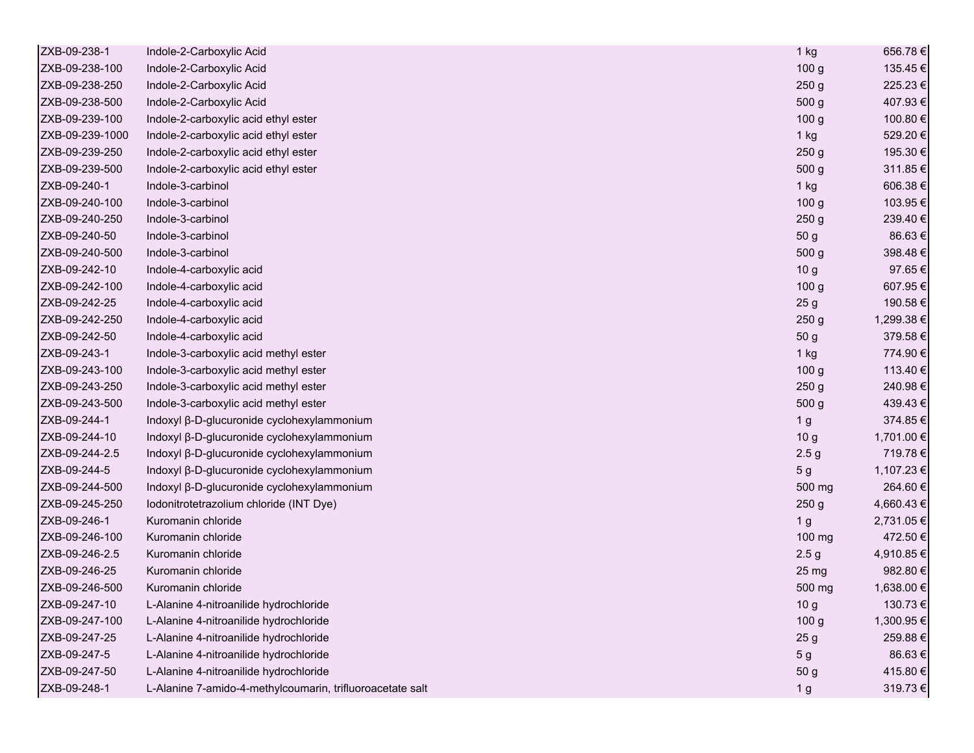| ZXB-09-238-1    | Indole-2-Carboxylic Acid                                  | 1 kg             | 656.78€    |
|-----------------|-----------------------------------------------------------|------------------|------------|
| ZXB-09-238-100  | Indole-2-Carboxylic Acid                                  | 100 <sub>g</sub> | 135.45€    |
| ZXB-09-238-250  | Indole-2-Carboxylic Acid                                  | 250 <sub>g</sub> | 225.23€    |
| ZXB-09-238-500  | Indole-2-Carboxylic Acid                                  | 500 g            | 407.93€    |
| ZXB-09-239-100  | Indole-2-carboxylic acid ethyl ester                      | 100 <sub>g</sub> | 100.80 €   |
| ZXB-09-239-1000 | Indole-2-carboxylic acid ethyl ester                      | $1$ kg           | 529.20€    |
| ZXB-09-239-250  | Indole-2-carboxylic acid ethyl ester                      | 250 <sub>g</sub> | 195.30€    |
| ZXB-09-239-500  | Indole-2-carboxylic acid ethyl ester                      | 500 g            | 311.85€    |
| ZXB-09-240-1    | Indole-3-carbinol                                         | $1$ kg           | 606.38€    |
| ZXB-09-240-100  | Indole-3-carbinol                                         | 100 <sub>g</sub> | 103.95€    |
| ZXB-09-240-250  | Indole-3-carbinol                                         | 250 <sub>g</sub> | 239.40€    |
| ZXB-09-240-50   | Indole-3-carbinol                                         | 50 g             | 86.63€     |
| ZXB-09-240-500  | Indole-3-carbinol                                         | 500 <sub>g</sub> | 398.48€    |
| ZXB-09-242-10   | Indole-4-carboxylic acid                                  | 10 <sub>g</sub>  | 97.65€     |
| ZXB-09-242-100  | Indole-4-carboxylic acid                                  | 100 <sub>g</sub> | 607.95€    |
| ZXB-09-242-25   | Indole-4-carboxylic acid                                  | 25 <sub>g</sub>  | 190.58€    |
| ZXB-09-242-250  | Indole-4-carboxylic acid                                  | 250 <sub>g</sub> | 1,299.38 € |
| ZXB-09-242-50   | Indole-4-carboxylic acid                                  | 50 g             | 379.58€    |
| ZXB-09-243-1    | Indole-3-carboxylic acid methyl ester                     | 1 kg             | 774.90€    |
| ZXB-09-243-100  | Indole-3-carboxylic acid methyl ester                     | 100 <sub>g</sub> | 113.40 €   |
| ZXB-09-243-250  | Indole-3-carboxylic acid methyl ester                     | 250 <sub>g</sub> | 240.98€    |
| ZXB-09-243-500  | Indole-3-carboxylic acid methyl ester                     | 500 g            | 439.43€    |
| ZXB-09-244-1    | Indoxyl β-D-glucuronide cyclohexylammonium                | 1 <sub>g</sub>   | 374.85€    |
| ZXB-09-244-10   | Indoxyl β-D-glucuronide cyclohexylammonium                | 10 <sub>g</sub>  | 1,701.00 € |
| ZXB-09-244-2.5  | Indoxyl β-D-glucuronide cyclohexylammonium                | 2.5 <sub>g</sub> | 719.78€    |
| ZXB-09-244-5    | Indoxyl β-D-glucuronide cyclohexylammonium                | 5 <sub>g</sub>   | 1,107.23 € |
| ZXB-09-244-500  | Indoxyl β-D-glucuronide cyclohexylammonium                | 500 mg           | 264.60€    |
| ZXB-09-245-250  | Iodonitrotetrazolium chloride (INT Dye)                   | 250 <sub>g</sub> | 4,660.43 € |
| ZXB-09-246-1    | Kuromanin chloride                                        | 1 <sub>g</sub>   | 2,731.05€  |
| ZXB-09-246-100  | Kuromanin chloride                                        | 100 mg           | 472.50€    |
| ZXB-09-246-2.5  | Kuromanin chloride                                        | 2.5 <sub>g</sub> | 4,910.85 € |
| ZXB-09-246-25   | Kuromanin chloride                                        | 25 mg            | 982.80€    |
| ZXB-09-246-500  | Kuromanin chloride                                        | 500 mg           | 1,638.00 € |
| ZXB-09-247-10   | L-Alanine 4-nitroanilide hydrochloride                    | 10 <sub>g</sub>  | 130.73€    |
| ZXB-09-247-100  | L-Alanine 4-nitroanilide hydrochloride                    | 100 <sub>g</sub> | 1,300.95 € |
| ZXB-09-247-25   | L-Alanine 4-nitroanilide hydrochloride                    | 25 <sub>g</sub>  | 259.88€    |
| ZXB-09-247-5    | L-Alanine 4-nitroanilide hydrochloride                    | 5 <sub>g</sub>   | 86.63€     |
| ZXB-09-247-50   | L-Alanine 4-nitroanilide hydrochloride                    | 50 g             | 415.80€    |
| ZXB-09-248-1    | L-Alanine 7-amido-4-methylcoumarin, trifluoroacetate salt | 1 <sub>g</sub>   | 319.73€    |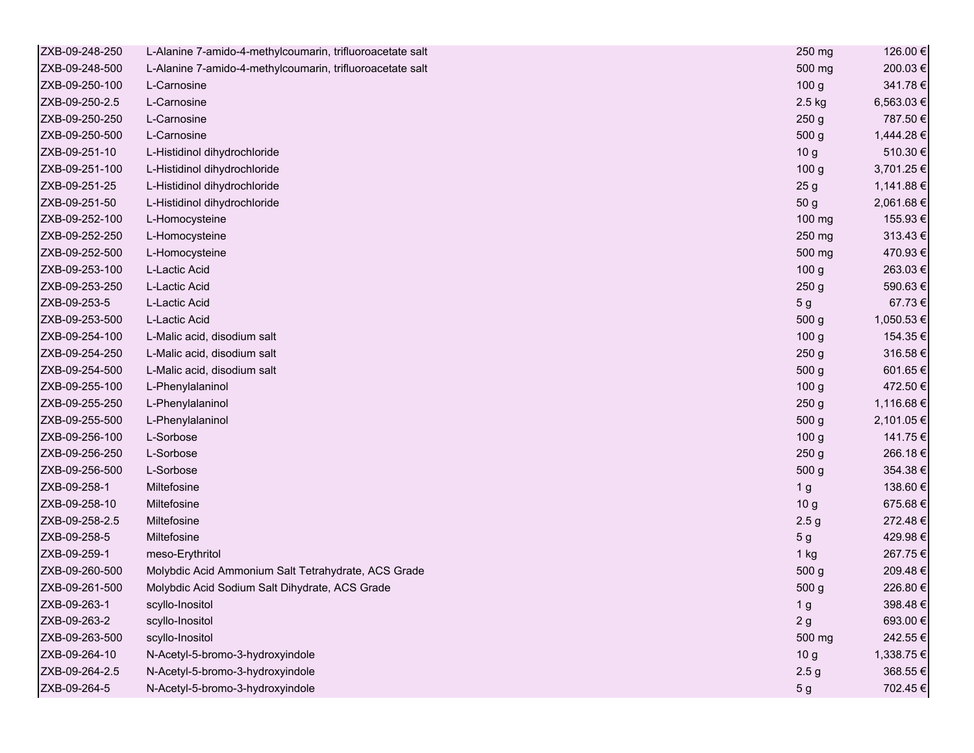| ZXB-09-248-250 | L-Alanine 7-amido-4-methylcoumarin, trifluoroacetate salt | 250 mg           | 126.00€    |
|----------------|-----------------------------------------------------------|------------------|------------|
| ZXB-09-248-500 | L-Alanine 7-amido-4-methylcoumarin, trifluoroacetate salt | 500 mg           | 200.03€    |
| ZXB-09-250-100 | L-Carnosine                                               | 100 <sub>g</sub> | 341.78€    |
| ZXB-09-250-2.5 | L-Carnosine                                               | 2.5 kg           | 6,563.03€  |
| ZXB-09-250-250 | L-Carnosine                                               | 250 <sub>g</sub> | 787.50€    |
| ZXB-09-250-500 | L-Carnosine                                               | 500 g            | 1,444.28 € |
| ZXB-09-251-10  | L-Histidinol dihydrochloride                              | 10 <sub>g</sub>  | 510.30€    |
| ZXB-09-251-100 | L-Histidinol dihydrochloride                              | 100 <sub>g</sub> | 3,701.25 € |
| ZXB-09-251-25  | L-Histidinol dihydrochloride                              | 25 <sub>g</sub>  | 1,141.88 € |
| ZXB-09-251-50  | L-Histidinol dihydrochloride                              | 50 g             | 2,061.68€  |
| ZXB-09-252-100 | L-Homocysteine                                            | 100 mg           | 155.93€    |
| ZXB-09-252-250 | L-Homocysteine                                            | 250 mg           | 313.43€    |
| ZXB-09-252-500 | L-Homocysteine                                            | 500 mg           | 470.93€    |
| ZXB-09-253-100 | L-Lactic Acid                                             | 100 <sub>g</sub> | 263.03€    |
| ZXB-09-253-250 | L-Lactic Acid                                             | 250 <sub>g</sub> | 590.63€    |
| ZXB-09-253-5   | L-Lactic Acid                                             | 5 <sub>g</sub>   | 67.73€     |
| ZXB-09-253-500 | L-Lactic Acid                                             | 500 g            | 1,050.53 € |
| ZXB-09-254-100 | L-Malic acid, disodium salt                               | 100 <sub>g</sub> | 154.35€    |
| ZXB-09-254-250 | L-Malic acid, disodium salt                               | 250 <sub>g</sub> | 316.58€    |
| ZXB-09-254-500 | L-Malic acid, disodium salt                               | 500 <sub>g</sub> | 601.65€    |
| ZXB-09-255-100 | L-Phenylalaninol                                          | 100 <sub>g</sub> | 472.50€    |
| ZXB-09-255-250 | L-Phenylalaninol                                          | 250 <sub>g</sub> | 1,116.68 € |
| ZXB-09-255-500 | L-Phenylalaninol                                          | 500 g            | 2,101.05 € |
| ZXB-09-256-100 | L-Sorbose                                                 | 100 <sub>g</sub> | 141.75€    |
| ZXB-09-256-250 | L-Sorbose                                                 | 250 <sub>g</sub> | 266.18€    |
| ZXB-09-256-500 | L-Sorbose                                                 | 500 g            | 354.38€    |
| ZXB-09-258-1   | Miltefosine                                               | 1 <sub>g</sub>   | 138.60 €   |
| ZXB-09-258-10  | Miltefosine                                               | 10 <sub>g</sub>  | 675.68€    |
| ZXB-09-258-2.5 | Miltefosine                                               | 2.5 <sub>g</sub> | 272.48€    |
| ZXB-09-258-5   | Miltefosine                                               | 5 <sub>g</sub>   | 429.98€    |
| ZXB-09-259-1   | meso-Erythritol                                           | $1$ kg           | 267.75€    |
| ZXB-09-260-500 | Molybdic Acid Ammonium Salt Tetrahydrate, ACS Grade       | 500 <sub>g</sub> | 209.48€    |
| ZXB-09-261-500 | Molybdic Acid Sodium Salt Dihydrate, ACS Grade            | 500 g            | 226.80€    |
| ZXB-09-263-1   | scyllo-Inositol                                           | 1 <sub>g</sub>   | 398.48€    |
| ZXB-09-263-2   | scyllo-Inositol                                           | 2g               | 693.00€    |
| ZXB-09-263-500 | scyllo-Inositol                                           | 500 mg           | 242.55€    |
| ZXB-09-264-10  | N-Acetyl-5-bromo-3-hydroxyindole                          | 10 <sub>g</sub>  | 1,338.75 € |
| ZXB-09-264-2.5 | N-Acetyl-5-bromo-3-hydroxyindole                          | 2.5 <sub>g</sub> | 368.55€    |
| ZXB-09-264-5   | N-Acetyl-5-bromo-3-hydroxyindole                          | 5 <sub>g</sub>   | 702.45€    |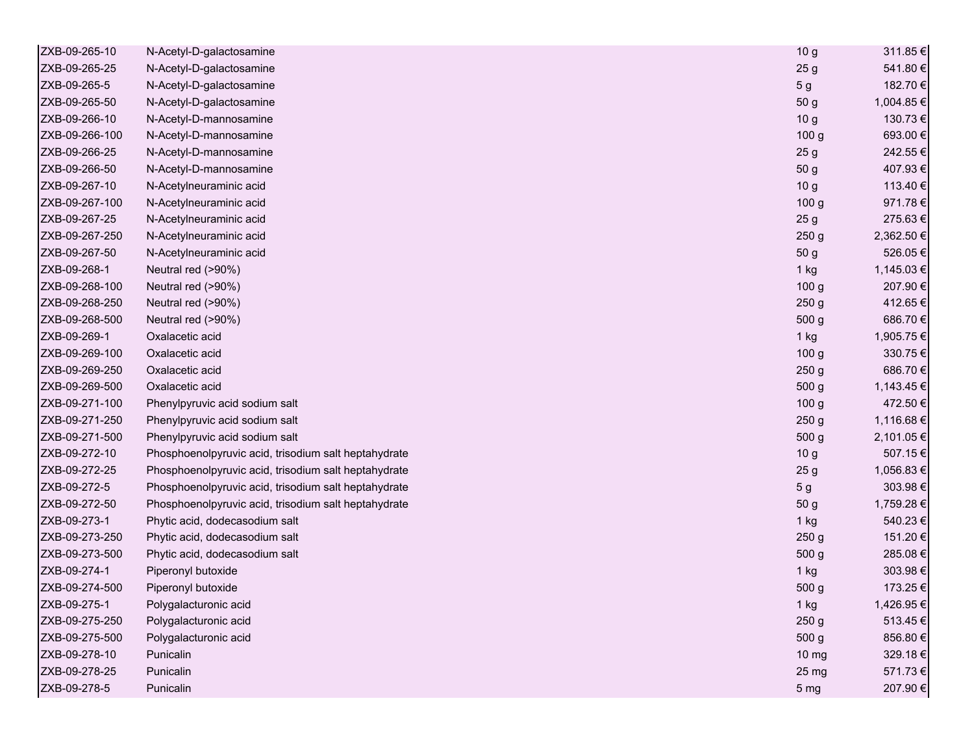| ZXB-09-265-10  | N-Acetyl-D-galactosamine                             | 10 <sub>g</sub>  | 311.85€    |
|----------------|------------------------------------------------------|------------------|------------|
| ZXB-09-265-25  | N-Acetyl-D-galactosamine                             | 25 <sub>g</sub>  | 541.80€    |
| ZXB-09-265-5   | N-Acetyl-D-galactosamine                             | 5 <sub>g</sub>   | 182.70€    |
| ZXB-09-265-50  | N-Acetyl-D-galactosamine                             | 50 g             | 1,004.85 € |
| ZXB-09-266-10  | N-Acetyl-D-mannosamine                               | 10 <sub>g</sub>  | 130.73€    |
| ZXB-09-266-100 | N-Acetyl-D-mannosamine                               | 100 <sub>g</sub> | 693.00€    |
| ZXB-09-266-25  | N-Acetyl-D-mannosamine                               | 25 <sub>g</sub>  | 242.55€    |
| ZXB-09-266-50  | N-Acetyl-D-mannosamine                               | 50 g             | 407.93€    |
| ZXB-09-267-10  | N-Acetylneuraminic acid                              | 10 <sub>g</sub>  | 113.40 €   |
| ZXB-09-267-100 | N-Acetylneuraminic acid                              | 100 <sub>g</sub> | 971.78€    |
| ZXB-09-267-25  | N-Acetylneuraminic acid                              | 25 <sub>g</sub>  | 275.63€    |
| ZXB-09-267-250 | N-Acetylneuraminic acid                              | 250 <sub>g</sub> | 2,362.50 € |
| ZXB-09-267-50  | N-Acetylneuraminic acid                              | 50 g             | 526.05€    |
| ZXB-09-268-1   | Neutral red (>90%)                                   | $1$ kg           | 1,145.03 € |
| ZXB-09-268-100 | Neutral red (>90%)                                   | 100 <sub>g</sub> | 207.90€    |
| ZXB-09-268-250 | Neutral red (>90%)                                   | 250 <sub>g</sub> | 412.65€    |
| ZXB-09-268-500 | Neutral red (>90%)                                   | 500 g            | 686.70€    |
| ZXB-09-269-1   | Oxalacetic acid                                      | 1 kg             | 1,905.75 € |
| ZXB-09-269-100 | Oxalacetic acid                                      | 100 <sub>g</sub> | 330.75€    |
| ZXB-09-269-250 | Oxalacetic acid                                      | 250 <sub>g</sub> | 686.70€    |
| ZXB-09-269-500 | Oxalacetic acid                                      | 500 g            | 1,143.45 € |
| ZXB-09-271-100 | Phenylpyruvic acid sodium salt                       | 100 <sub>g</sub> | 472.50€    |
| ZXB-09-271-250 | Phenylpyruvic acid sodium salt                       | 250 <sub>g</sub> | 1,116.68 € |
| ZXB-09-271-500 | Phenylpyruvic acid sodium salt                       | 500 g            | 2,101.05 € |
| ZXB-09-272-10  | Phosphoenolpyruvic acid, trisodium salt heptahydrate | 10 <sub>g</sub>  | 507.15€    |
| ZXB-09-272-25  | Phosphoenolpyruvic acid, trisodium salt heptahydrate | 25 <sub>g</sub>  | 1,056.83 € |
| ZXB-09-272-5   | Phosphoenolpyruvic acid, trisodium salt heptahydrate | 5 <sub>g</sub>   | 303.98€    |
| ZXB-09-272-50  | Phosphoenolpyruvic acid, trisodium salt heptahydrate | 50 <sub>g</sub>  | 1,759.28 € |
| ZXB-09-273-1   | Phytic acid, dodecasodium salt                       | 1 kg             | 540.23€    |
| ZXB-09-273-250 | Phytic acid, dodecasodium salt                       | 250 <sub>g</sub> | 151.20€    |
| ZXB-09-273-500 | Phytic acid, dodecasodium salt                       | 500 g            | 285.08€    |
| ZXB-09-274-1   | Piperonyl butoxide                                   | 1 kg             | 303.98€    |
| ZXB-09-274-500 | Piperonyl butoxide                                   | 500 g            | 173.25€    |
| ZXB-09-275-1   | Polygalacturonic acid                                | 1 kg             | 1,426.95 € |
| ZXB-09-275-250 | Polygalacturonic acid                                | 250 <sub>g</sub> | 513.45€    |
| ZXB-09-275-500 | Polygalacturonic acid                                | 500 g            | 856.80€    |
| ZXB-09-278-10  | Punicalin                                            | 10 mg            | 329.18€    |
| ZXB-09-278-25  | Punicalin                                            | 25 mg            | 571.73€    |
| ZXB-09-278-5   | Punicalin                                            | 5 <sub>mg</sub>  | 207.90€    |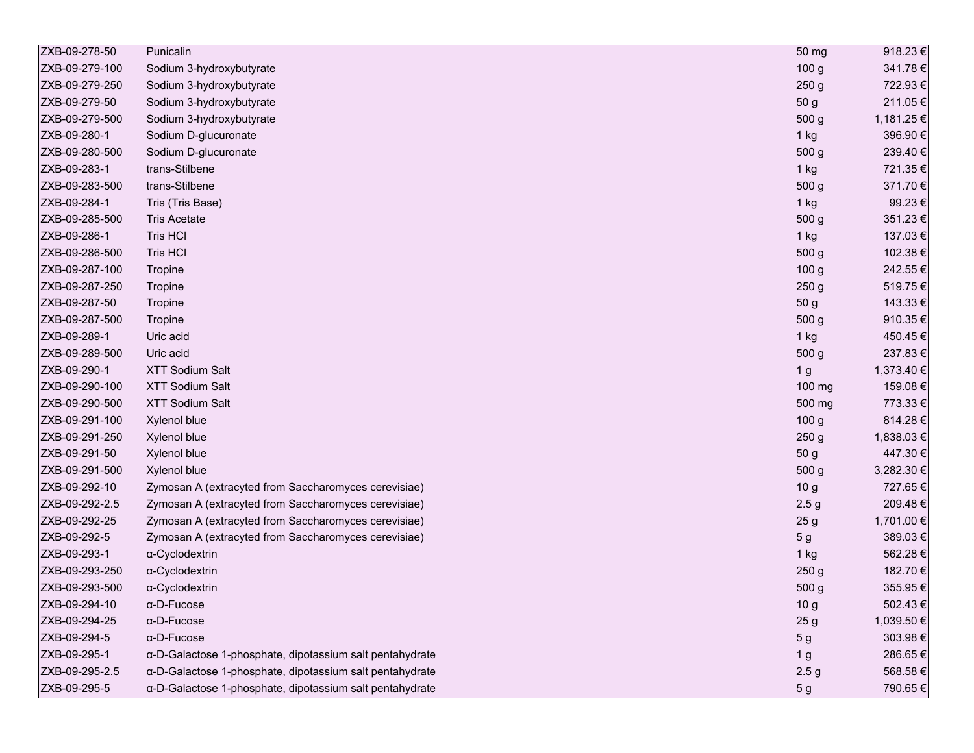| ZXB-09-278-50  | Punicalin                                                | 50 mg            | 918.23€    |
|----------------|----------------------------------------------------------|------------------|------------|
| ZXB-09-279-100 | Sodium 3-hydroxybutyrate                                 | 100 <sub>g</sub> | 341.78€    |
| ZXB-09-279-250 | Sodium 3-hydroxybutyrate                                 | 250 <sub>g</sub> | 722.93€    |
| ZXB-09-279-50  | Sodium 3-hydroxybutyrate                                 | 50 g             | 211.05€    |
| ZXB-09-279-500 | Sodium 3-hydroxybutyrate                                 | 500 <sub>g</sub> | 1,181.25 € |
| ZXB-09-280-1   | Sodium D-glucuronate                                     | $1$ kg           | 396.90€    |
| ZXB-09-280-500 | Sodium D-glucuronate                                     | 500 g            | 239.40€    |
| ZXB-09-283-1   | trans-Stilbene                                           | 1 kg             | 721.35€    |
| ZXB-09-283-500 | trans-Stilbene                                           | 500 g            | 371.70€    |
| ZXB-09-284-1   | Tris (Tris Base)                                         | $1$ kg           | 99.23€     |
| ZXB-09-285-500 | <b>Tris Acetate</b>                                      | 500 g            | 351.23€    |
| ZXB-09-286-1   | Tris HCI                                                 | 1 kg             | 137.03€    |
| ZXB-09-286-500 | Tris HCI                                                 | 500 <sub>g</sub> | 102.38€    |
| ZXB-09-287-100 | Tropine                                                  | 100 <sub>g</sub> | 242.55€    |
| ZXB-09-287-250 | Tropine                                                  | 250 <sub>g</sub> | 519.75€    |
| ZXB-09-287-50  | Tropine                                                  | 50 g             | 143.33 €   |
| ZXB-09-287-500 | Tropine                                                  | 500 <sub>g</sub> | 910.35€    |
| ZXB-09-289-1   | Uric acid                                                | $1$ kg           | 450.45€    |
| ZXB-09-289-500 | Uric acid                                                | 500 g            | 237.83€    |
| ZXB-09-290-1   | <b>XTT Sodium Salt</b>                                   | 1 <sub>g</sub>   | 1,373.40 € |
| ZXB-09-290-100 | <b>XTT Sodium Salt</b>                                   | 100 mg           | 159.08€    |
| ZXB-09-290-500 | <b>XTT Sodium Salt</b>                                   | 500 mg           | 773.33€    |
| ZXB-09-291-100 | Xylenol blue                                             | 100 <sub>g</sub> | 814.28€    |
| ZXB-09-291-250 | Xylenol blue                                             | 250 <sub>g</sub> | 1,838.03€  |
| ZXB-09-291-50  | Xylenol blue                                             | 50 g             | 447.30€    |
| ZXB-09-291-500 | Xylenol blue                                             | 500 <sub>g</sub> | 3,282.30 € |
| ZXB-09-292-10  | Zymosan A (extracyted from Saccharomyces cerevisiae)     | 10 <sub>g</sub>  | 727.65€    |
| ZXB-09-292-2.5 | Zymosan A (extracyted from Saccharomyces cerevisiae)     | 2.5 <sub>g</sub> | 209.48€    |
| ZXB-09-292-25  | Zymosan A (extracyted from Saccharomyces cerevisiae)     | 25 <sub>g</sub>  | 1,701.00 € |
| ZXB-09-292-5   | Zymosan A (extracyted from Saccharomyces cerevisiae)     | 5 <sub>g</sub>   | 389.03€    |
| ZXB-09-293-1   | α-Cyclodextrin                                           | 1 kg             | 562.28€    |
| ZXB-09-293-250 | α-Cyclodextrin                                           | 250 <sub>g</sub> | 182.70€    |
| ZXB-09-293-500 | α-Cyclodextrin                                           | 500 <sub>g</sub> | 355.95€    |
| ZXB-09-294-10  | $\alpha$ -D-Fucose                                       | 10 <sub>g</sub>  | 502.43€    |
| ZXB-09-294-25  | $\alpha$ -D-Fucose                                       | 25 <sub>g</sub>  | 1,039.50€  |
| ZXB-09-294-5   | $\alpha$ -D-Fucose                                       | 5 <sub>g</sub>   | 303.98€    |
| ZXB-09-295-1   | α-D-Galactose 1-phosphate, dipotassium salt pentahydrate | 1 <sub>g</sub>   | 286.65€    |
| ZXB-09-295-2.5 | α-D-Galactose 1-phosphate, dipotassium salt pentahydrate | 2.5 <sub>g</sub> | 568.58€    |
| ZXB-09-295-5   | α-D-Galactose 1-phosphate, dipotassium salt pentahydrate | 5 <sub>g</sub>   | 790.65€    |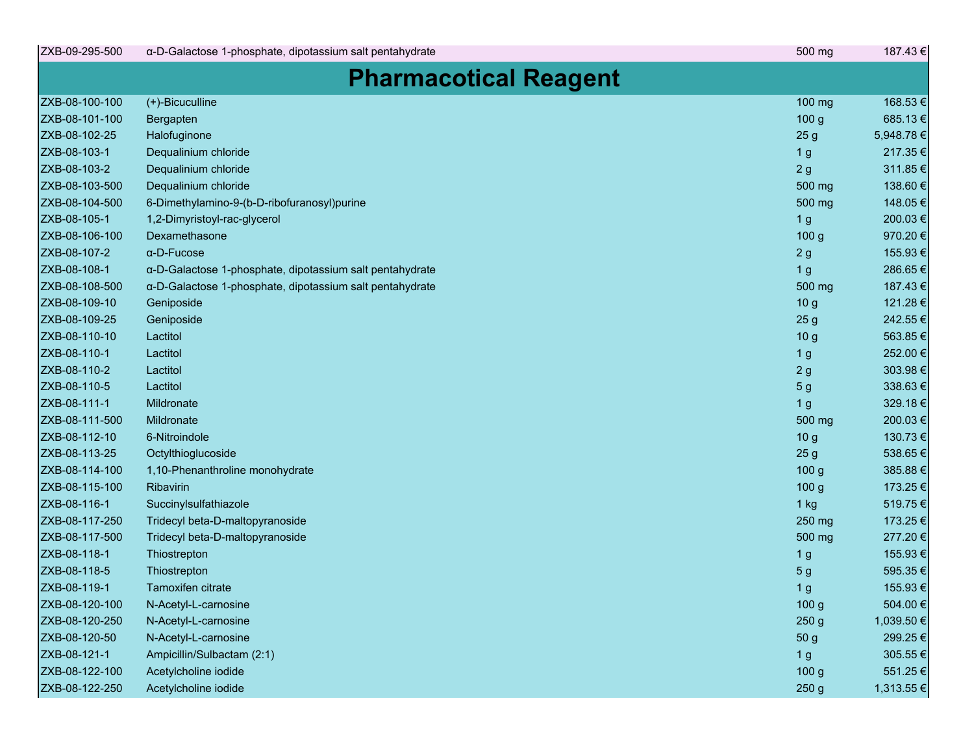| ZXB-09-295-500 | a-D-Galactose 1-phosphate, dipotassium salt pentahydrate | 500 mg           | 187.43€    |
|----------------|----------------------------------------------------------|------------------|------------|
|                | <b>Pharmacotical Reagent</b>                             |                  |            |
| ZXB-08-100-100 | (+)-Bicuculline                                          | 100 mg           | 168.53€    |
| ZXB-08-101-100 | Bergapten                                                | 100 <sub>g</sub> | 685.13€    |
| ZXB-08-102-25  | Halofuginone                                             | 25 <sub>g</sub>  | 5,948.78€  |
| ZXB-08-103-1   | Dequalinium chloride                                     | 1 <sub>g</sub>   | 217.35€    |
| ZXB-08-103-2   | Dequalinium chloride                                     | 2g               | 311.85€    |
| ZXB-08-103-500 | Dequalinium chloride                                     | 500 mg           | 138.60€    |
| ZXB-08-104-500 | 6-Dimethylamino-9-(b-D-ribofuranosyl)purine              | 500 mg           | 148.05€    |
| ZXB-08-105-1   | 1,2-Dimyristoyl-rac-glycerol                             | 1 <sub>g</sub>   | 200.03€    |
| ZXB-08-106-100 | Dexamethasone                                            | 100 g            | 970.20€    |
| ZXB-08-107-2   | $\alpha$ -D-Fucose                                       | 2g               | 155.93€    |
| ZXB-08-108-1   | a-D-Galactose 1-phosphate, dipotassium salt pentahydrate | 1 <sub>g</sub>   | 286.65€    |
| ZXB-08-108-500 | a-D-Galactose 1-phosphate, dipotassium salt pentahydrate | 500 mg           | 187.43€    |
| ZXB-08-109-10  | Geniposide                                               | 10 <sub>g</sub>  | 121.28€    |
| ZXB-08-109-25  | Geniposide                                               | 25 <sub>g</sub>  | 242.55€    |
| ZXB-08-110-10  | Lactitol                                                 | 10 <sub>g</sub>  | 563.85€    |
| ZXB-08-110-1   | Lactitol                                                 | 1 <sub>g</sub>   | 252.00€    |
| ZXB-08-110-2   | Lactitol                                                 | 2g               | 303.98€    |
| ZXB-08-110-5   | Lactitol                                                 | 5 <sub>g</sub>   | 338.63€    |
| ZXB-08-111-1   | Mildronate                                               | 1 <sub>g</sub>   | 329.18€    |
| ZXB-08-111-500 | Mildronate                                               | 500 mg           | 200.03€    |
| ZXB-08-112-10  | 6-Nitroindole                                            | 10 <sub>g</sub>  | 130.73€    |
| ZXB-08-113-25  | Octylthioglucoside                                       | 25 <sub>g</sub>  | 538.65€    |
| ZXB-08-114-100 | 1,10-Phenanthroline monohydrate                          | 100 <sub>g</sub> | 385.88€    |
| ZXB-08-115-100 | Ribavirin                                                | 100 <sub>g</sub> | 173.25 €   |
| ZXB-08-116-1   | Succinylsulfathiazole                                    | $1$ kg           | 519.75€    |
| ZXB-08-117-250 | Tridecyl beta-D-maltopyranoside                          | 250 mg           | 173.25€    |
| ZXB-08-117-500 | Tridecyl beta-D-maltopyranoside                          | 500 mg           | 277.20€    |
| ZXB-08-118-1   | Thiostrepton                                             | 1 <sub>g</sub>   | 155.93€    |
| ZXB-08-118-5   | Thiostrepton                                             | 5 <sub>g</sub>   | 595.35€    |
| ZXB-08-119-1   | Tamoxifen citrate                                        | 1 <sub>g</sub>   | 155.93€    |
| ZXB-08-120-100 | N-Acetyl-L-carnosine                                     | 100 g            | 504.00€    |
| ZXB-08-120-250 | N-Acetyl-L-carnosine                                     | 250 g            | 1,039.50 € |
| ZXB-08-120-50  | N-Acetyl-L-carnosine                                     | 50 g             | 299.25€    |
| ZXB-08-121-1   | Ampicillin/Sulbactam (2:1)                               | 1 <sub>g</sub>   | 305.55€    |
| ZXB-08-122-100 | Acetylcholine iodide                                     | 100 <sub>g</sub> | 551.25€    |
| ZXB-08-122-250 | Acetylcholine iodide                                     | 250 g            | 1,313.55 € |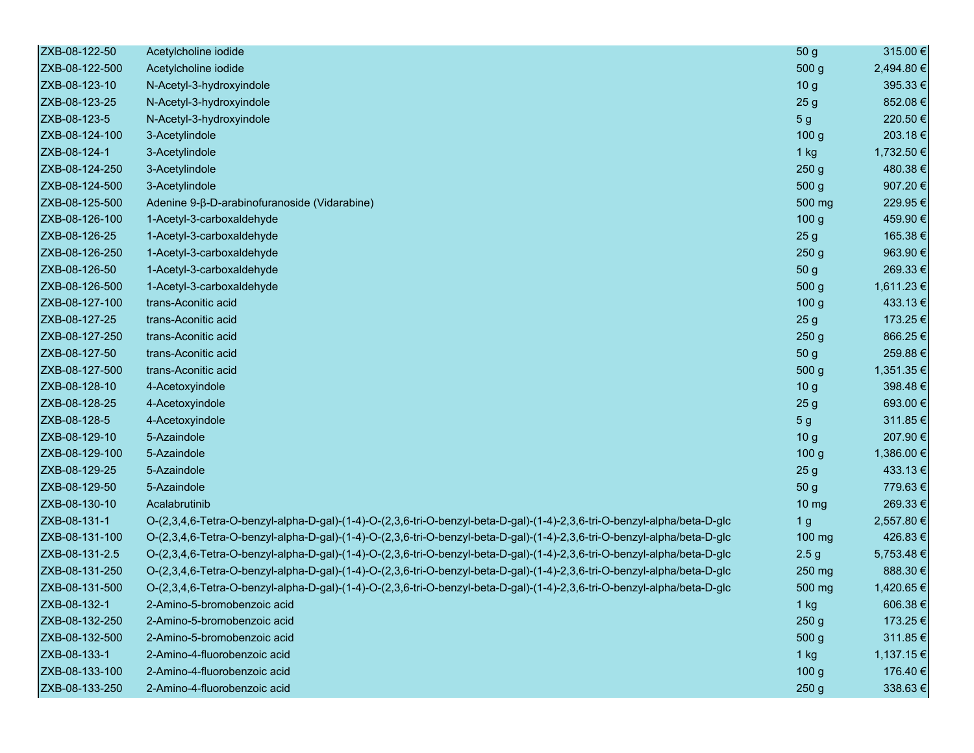| ZXB-08-122-50  | Acetylcholine iodide                                                                                                     | 50 g              | 315.00 €   |
|----------------|--------------------------------------------------------------------------------------------------------------------------|-------------------|------------|
| ZXB-08-122-500 | Acetylcholine iodide                                                                                                     | 500 g             | 2,494.80 € |
| ZXB-08-123-10  | N-Acetyl-3-hydroxyindole                                                                                                 | 10 <sub>g</sub>   | 395.33€    |
| ZXB-08-123-25  | N-Acetyl-3-hydroxyindole                                                                                                 | 25 <sub>g</sub>   | 852.08€    |
| ZXB-08-123-5   | N-Acetyl-3-hydroxyindole                                                                                                 | 5 <sub>g</sub>    | 220.50€    |
| ZXB-08-124-100 | 3-Acetylindole                                                                                                           | 100 <sub>g</sub>  | 203.18€    |
| ZXB-08-124-1   | 3-Acetylindole                                                                                                           | $1$ kg            | 1,732.50 € |
| ZXB-08-124-250 | 3-Acetylindole                                                                                                           | 250 <sub>g</sub>  | 480.38€    |
| ZXB-08-124-500 | 3-Acetylindole                                                                                                           | 500 <sub>g</sub>  | 907.20€    |
| ZXB-08-125-500 | Adenine 9-β-D-arabinofuranoside (Vidarabine)                                                                             | 500 mg            | 229.95€    |
| ZXB-08-126-100 | 1-Acetyl-3-carboxaldehyde                                                                                                | 100 <sub>g</sub>  | 459.90€    |
| ZXB-08-126-25  | 1-Acetyl-3-carboxaldehyde                                                                                                | 25 <sub>g</sub>   | 165.38€    |
| ZXB-08-126-250 | 1-Acetyl-3-carboxaldehyde                                                                                                | 250 <sub>g</sub>  | 963.90€    |
| ZXB-08-126-50  | 1-Acetyl-3-carboxaldehyde                                                                                                | 50 g              | 269.33€    |
| ZXB-08-126-500 | 1-Acetyl-3-carboxaldehyde                                                                                                | 500 g             | 1,611.23 € |
| ZXB-08-127-100 | trans-Aconitic acid                                                                                                      | 100 <sub>g</sub>  | 433.13€    |
| ZXB-08-127-25  | trans-Aconitic acid                                                                                                      | 25 <sub>g</sub>   | 173.25€    |
| ZXB-08-127-250 | trans-Aconitic acid                                                                                                      | 250 <sub>g</sub>  | 866.25€    |
| ZXB-08-127-50  | trans-Aconitic acid                                                                                                      | 50 g              | 259.88€    |
| ZXB-08-127-500 | trans-Aconitic acid                                                                                                      | 500 g             | 1,351.35€  |
| ZXB-08-128-10  | 4-Acetoxyindole                                                                                                          | 10 <sub>g</sub>   | 398.48€    |
| ZXB-08-128-25  | 4-Acetoxyindole                                                                                                          | 25 <sub>g</sub>   | 693.00€    |
| ZXB-08-128-5   | 4-Acetoxyindole                                                                                                          | 5 <sub>g</sub>    | 311.85€    |
| ZXB-08-129-10  | 5-Azaindole                                                                                                              | 10 <sub>g</sub>   | 207.90€    |
| ZXB-08-129-100 | 5-Azaindole                                                                                                              | 100 <sub>g</sub>  | 1,386.00 € |
| ZXB-08-129-25  | 5-Azaindole                                                                                                              | 25 <sub>g</sub>   | 433.13€    |
| ZXB-08-129-50  | 5-Azaindole                                                                                                              | 50 g              | 779.63€    |
| ZXB-08-130-10  | Acalabrutinib                                                                                                            | $10 \, \text{mg}$ | 269.33€    |
| ZXB-08-131-1   | O-(2,3,4,6-Tetra-O-benzyl-alpha-D-gal)-(1-4)-O-(2,3,6-tri-O-benzyl-beta-D-gal)-(1-4)-2,3,6-tri-O-benzyl-alpha/beta-D-glc | 1 <sub>g</sub>    | 2,557.80 € |
| ZXB-08-131-100 | O-(2,3,4,6-Tetra-O-benzyl-alpha-D-gal)-(1-4)-O-(2,3,6-tri-O-benzyl-beta-D-gal)-(1-4)-2,3,6-tri-O-benzyl-alpha/beta-D-glc | 100 mg            | 426.83€    |
| ZXB-08-131-2.5 | O-(2,3,4,6-Tetra-O-benzyl-alpha-D-gal)-(1-4)-O-(2,3,6-tri-O-benzyl-beta-D-gal)-(1-4)-2,3,6-tri-O-benzyl-alpha/beta-D-glc | 2.5 <sub>g</sub>  | 5,753.48€  |
| ZXB-08-131-250 | O-(2,3,4,6-Tetra-O-benzyl-alpha-D-gal)-(1-4)-O-(2,3,6-tri-O-benzyl-beta-D-gal)-(1-4)-2,3,6-tri-O-benzyl-alpha/beta-D-glc | 250 mg            | 888.30€    |
| ZXB-08-131-500 | O-(2,3,4,6-Tetra-O-benzyl-alpha-D-gal)-(1-4)-O-(2,3,6-tri-O-benzyl-beta-D-gal)-(1-4)-2,3,6-tri-O-benzyl-alpha/beta-D-glc | 500 mg            | 1,420.65€  |
| ZXB-08-132-1   | 2-Amino-5-bromobenzoic acid                                                                                              | $1$ kg            | 606.38€    |
| ZXB-08-132-250 | 2-Amino-5-bromobenzoic acid                                                                                              | 250 <sub>g</sub>  | 173.25€    |
| ZXB-08-132-500 | 2-Amino-5-bromobenzoic acid                                                                                              | 500 g             | 311.85€    |
| ZXB-08-133-1   | 2-Amino-4-fluorobenzoic acid                                                                                             | $1$ kg            | 1,137.15€  |
| ZXB-08-133-100 | 2-Amino-4-fluorobenzoic acid                                                                                             | 100 <sub>g</sub>  | 176.40€    |
| ZXB-08-133-250 | 2-Amino-4-fluorobenzoic acid                                                                                             | 250 <sub>g</sub>  | 338.63€    |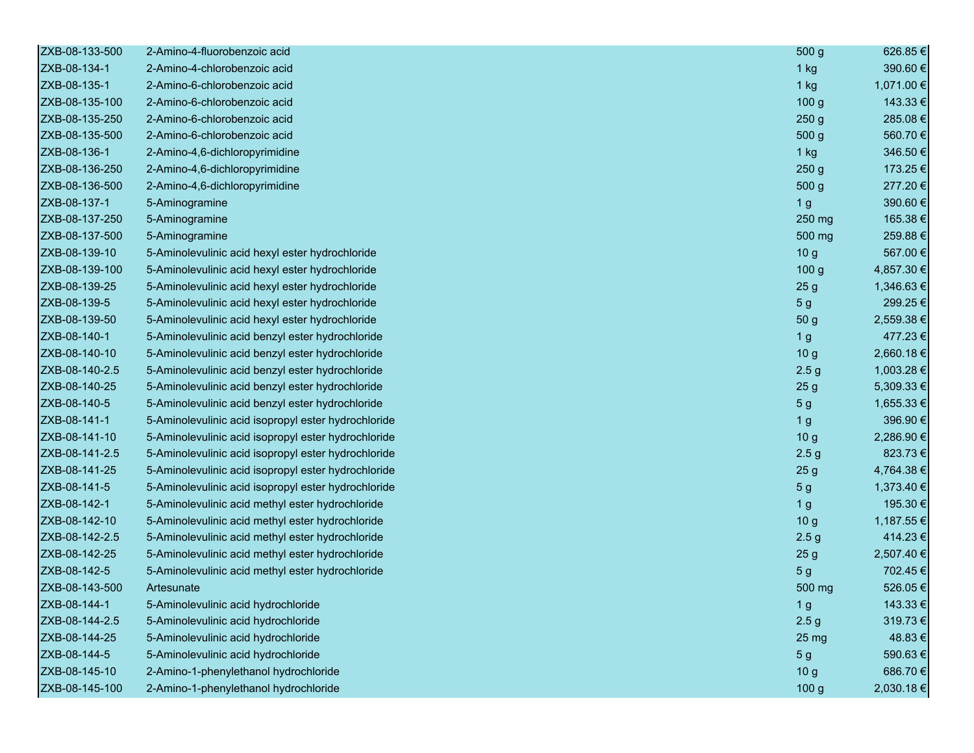| ZXB-08-133-500 | 2-Amino-4-fluorobenzoic acid                        | 500 g            | 626.85€    |
|----------------|-----------------------------------------------------|------------------|------------|
| ZXB-08-134-1   | 2-Amino-4-chlorobenzoic acid                        | $1$ kg           | 390.60€    |
| ZXB-08-135-1   | 2-Amino-6-chlorobenzoic acid                        | $1$ kg           | 1,071.00 € |
| ZXB-08-135-100 | 2-Amino-6-chlorobenzoic acid                        | 100 <sub>g</sub> | 143.33 €   |
| ZXB-08-135-250 | 2-Amino-6-chlorobenzoic acid                        | 250 <sub>g</sub> | 285.08€    |
| ZXB-08-135-500 | 2-Amino-6-chlorobenzoic acid                        | 500 g            | 560.70€    |
| ZXB-08-136-1   | 2-Amino-4,6-dichloropyrimidine                      | $1$ kg           | 346.50€    |
| ZXB-08-136-250 | 2-Amino-4,6-dichloropyrimidine                      | 250 <sub>g</sub> | 173.25 €   |
| ZXB-08-136-500 | 2-Amino-4,6-dichloropyrimidine                      | 500 <sub>g</sub> | 277.20€    |
| ZXB-08-137-1   | 5-Aminogramine                                      | 1 <sub>g</sub>   | 390.60€    |
| ZXB-08-137-250 | 5-Aminogramine                                      | 250 mg           | 165.38€    |
| ZXB-08-137-500 | 5-Aminogramine                                      | 500 mg           | 259.88€    |
| ZXB-08-139-10  | 5-Aminolevulinic acid hexyl ester hydrochloride     | 10 <sub>g</sub>  | 567.00€    |
| ZXB-08-139-100 | 5-Aminolevulinic acid hexyl ester hydrochloride     | 100 <sub>g</sub> | 4,857.30 € |
| ZXB-08-139-25  | 5-Aminolevulinic acid hexyl ester hydrochloride     | 25 <sub>g</sub>  | 1,346.63 € |
| ZXB-08-139-5   | 5-Aminolevulinic acid hexyl ester hydrochloride     | 5 <sub>g</sub>   | 299.25€    |
| ZXB-08-139-50  | 5-Aminolevulinic acid hexyl ester hydrochloride     | 50 g             | 2,559.38 € |
| ZXB-08-140-1   | 5-Aminolevulinic acid benzyl ester hydrochloride    | 1 <sub>g</sub>   | 477.23€    |
| ZXB-08-140-10  | 5-Aminolevulinic acid benzyl ester hydrochloride    | 10 <sub>g</sub>  | 2,660.18€  |
| ZXB-08-140-2.5 | 5-Aminolevulinic acid benzyl ester hydrochloride    | 2.5 <sub>g</sub> | 1,003.28 € |
| ZXB-08-140-25  | 5-Aminolevulinic acid benzyl ester hydrochloride    | 25 <sub>g</sub>  | 5,309.33 € |
| ZXB-08-140-5   | 5-Aminolevulinic acid benzyl ester hydrochloride    | 5 <sub>g</sub>   | 1,655.33 € |
| ZXB-08-141-1   | 5-Aminolevulinic acid isopropyl ester hydrochloride | 1 <sub>g</sub>   | 396.90€    |
| ZXB-08-141-10  | 5-Aminolevulinic acid isopropyl ester hydrochloride | 10 <sub>g</sub>  | 2,286.90 € |
| ZXB-08-141-2.5 | 5-Aminolevulinic acid isopropyl ester hydrochloride | 2.5 <sub>g</sub> | 823.73€    |
| ZXB-08-141-25  | 5-Aminolevulinic acid isopropyl ester hydrochloride | 25 <sub>g</sub>  | 4,764.38 € |
| ZXB-08-141-5   | 5-Aminolevulinic acid isopropyl ester hydrochloride | 5 <sub>g</sub>   | 1,373.40 € |
| ZXB-08-142-1   | 5-Aminolevulinic acid methyl ester hydrochloride    | 1 <sub>g</sub>   | 195.30€    |
| ZXB-08-142-10  | 5-Aminolevulinic acid methyl ester hydrochloride    | 10 <sub>g</sub>  | 1,187.55 € |
| ZXB-08-142-2.5 | 5-Aminolevulinic acid methyl ester hydrochloride    | 2.5 <sub>g</sub> | 414.23€    |
| ZXB-08-142-25  | 5-Aminolevulinic acid methyl ester hydrochloride    | 25 <sub>g</sub>  | 2,507.40 € |
| ZXB-08-142-5   | 5-Aminolevulinic acid methyl ester hydrochloride    | 5 <sub>g</sub>   | 702.45€    |
| ZXB-08-143-500 | Artesunate                                          | 500 mg           | 526.05€    |
| ZXB-08-144-1   | 5-Aminolevulinic acid hydrochloride                 | 1 <sub>g</sub>   | 143.33 €   |
| ZXB-08-144-2.5 | 5-Aminolevulinic acid hydrochloride                 | 2.5 <sub>g</sub> | 319.73€    |
| ZXB-08-144-25  | 5-Aminolevulinic acid hydrochloride                 | 25 mg            | 48.83€     |
| ZXB-08-144-5   | 5-Aminolevulinic acid hydrochloride                 | 5 <sub>g</sub>   | 590.63€    |
| ZXB-08-145-10  | 2-Amino-1-phenylethanol hydrochloride               | 10 <sub>g</sub>  | 686.70€    |
| ZXB-08-145-100 | 2-Amino-1-phenylethanol hydrochloride               | 100 g            | 2,030.18€  |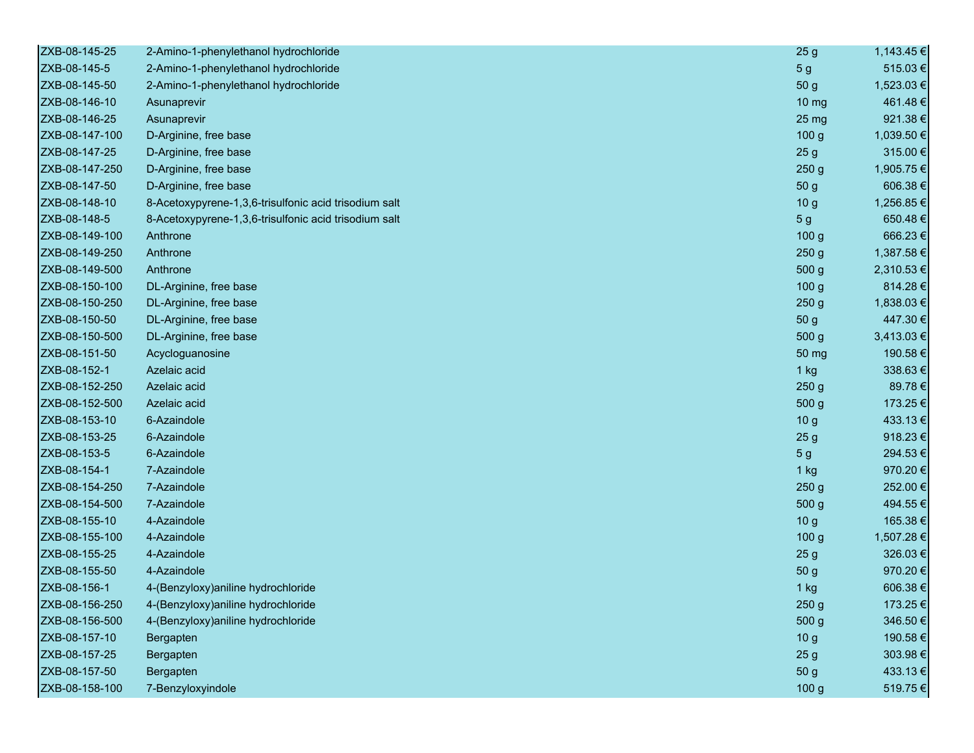| ZXB-08-145-25  | 2-Amino-1-phenylethanol hydrochloride                 | 25 <sub>g</sub>  | 1,143.45 € |
|----------------|-------------------------------------------------------|------------------|------------|
| ZXB-08-145-5   | 2-Amino-1-phenylethanol hydrochloride                 | 5 <sub>g</sub>   | 515.03€    |
| ZXB-08-145-50  | 2-Amino-1-phenylethanol hydrochloride                 | 50 g             | 1,523.03 € |
| ZXB-08-146-10  | Asunaprevir                                           | $10 \mathrm{mg}$ | 461.48€    |
| ZXB-08-146-25  | Asunaprevir                                           | 25 mg            | 921.38€    |
| ZXB-08-147-100 | D-Arginine, free base                                 | 100 <sub>g</sub> | 1,039.50 € |
| ZXB-08-147-25  | D-Arginine, free base                                 | 25 <sub>g</sub>  | 315.00€    |
| ZXB-08-147-250 | D-Arginine, free base                                 | 250 <sub>g</sub> | 1,905.75 € |
| ZXB-08-147-50  | D-Arginine, free base                                 | 50 g             | 606.38€    |
| ZXB-08-148-10  | 8-Acetoxypyrene-1,3,6-trisulfonic acid trisodium salt | 10 <sub>g</sub>  | 1,256.85€  |
| ZXB-08-148-5   | 8-Acetoxypyrene-1,3,6-trisulfonic acid trisodium salt | 5 <sub>g</sub>   | 650.48€    |
| ZXB-08-149-100 | Anthrone                                              | 100 <sub>g</sub> | 666.23€    |
| ZXB-08-149-250 | Anthrone                                              | 250 <sub>g</sub> | 1,387.58€  |
| ZXB-08-149-500 | Anthrone                                              | 500 g            | 2,310.53 € |
| ZXB-08-150-100 | DL-Arginine, free base                                | 100 <sub>g</sub> | 814.28€    |
| ZXB-08-150-250 | DL-Arginine, free base                                | 250 <sub>g</sub> | 1,838.03 € |
| ZXB-08-150-50  | DL-Arginine, free base                                | 50 g             | 447.30 €   |
| ZXB-08-150-500 | DL-Arginine, free base                                | 500 g            | 3,413.03 € |
| ZXB-08-151-50  | Acycloguanosine                                       | 50 mg            | 190.58€    |
| ZXB-08-152-1   | Azelaic acid                                          | 1 kg             | 338.63€    |
| ZXB-08-152-250 | Azelaic acid                                          | 250 <sub>g</sub> | 89.78€     |
| ZXB-08-152-500 | Azelaic acid                                          | 500 <sub>g</sub> | 173.25€    |
| ZXB-08-153-10  | 6-Azaindole                                           | 10 <sub>g</sub>  | 433.13€    |
| ZXB-08-153-25  | 6-Azaindole                                           | 25 <sub>g</sub>  | 918.23€    |
| ZXB-08-153-5   | 6-Azaindole                                           | 5 <sub>g</sub>   | 294.53€    |
| ZXB-08-154-1   | 7-Azaindole                                           | 1 kg             | 970.20€    |
| ZXB-08-154-250 | 7-Azaindole                                           | 250 <sub>g</sub> | 252.00€    |
| ZXB-08-154-500 | 7-Azaindole                                           | 500 g            | 494.55€    |
| ZXB-08-155-10  | 4-Azaindole                                           | 10 <sub>g</sub>  | 165.38€    |
| ZXB-08-155-100 | 4-Azaindole                                           | 100 <sub>g</sub> | 1,507.28 € |
| ZXB-08-155-25  | 4-Azaindole                                           | 25 <sub>g</sub>  | 326.03€    |
| ZXB-08-155-50  | 4-Azaindole                                           | 50 g             | 970.20€    |
| ZXB-08-156-1   | 4-(Benzyloxy) aniline hydrochloride                   | 1 kg             | 606.38€    |
| ZXB-08-156-250 | 4-(Benzyloxy) aniline hydrochloride                   | 250 <sub>g</sub> | 173.25 €   |
| ZXB-08-156-500 | 4-(Benzyloxy) aniline hydrochloride                   | 500 g            | 346.50€    |
| ZXB-08-157-10  | Bergapten                                             | 10 <sub>g</sub>  | 190.58€    |
| ZXB-08-157-25  | Bergapten                                             | 25 <sub>g</sub>  | 303.98€    |
| ZXB-08-157-50  | Bergapten                                             | 50 g             | 433.13€    |
| ZXB-08-158-100 | 7-Benzyloxyindole                                     | 100 g            | 519.75€    |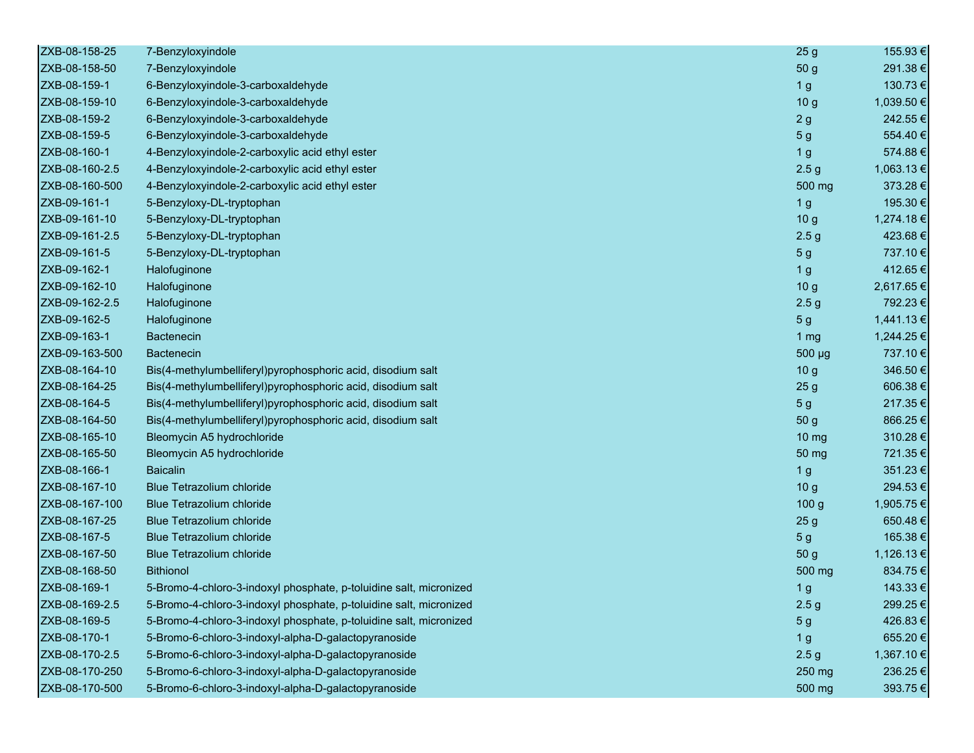| ZXB-08-158-25  | 7-Benzyloxyindole                                                  | 25 <sub>g</sub>  | 155.93€    |
|----------------|--------------------------------------------------------------------|------------------|------------|
| ZXB-08-158-50  | 7-Benzyloxyindole                                                  | 50 g             | 291.38€    |
| ZXB-08-159-1   | 6-Benzyloxyindole-3-carboxaldehyde                                 | 1 <sub>g</sub>   | 130.73€    |
| ZXB-08-159-10  | 6-Benzyloxyindole-3-carboxaldehyde                                 | 10 <sub>g</sub>  | 1,039.50 € |
| ZXB-08-159-2   | 6-Benzyloxyindole-3-carboxaldehyde                                 | 2g               | 242.55€    |
| ZXB-08-159-5   | 6-Benzyloxyindole-3-carboxaldehyde                                 | 5 <sub>g</sub>   | 554.40€    |
| ZXB-08-160-1   | 4-Benzyloxyindole-2-carboxylic acid ethyl ester                    | 1 <sub>g</sub>   | 574.88€    |
| ZXB-08-160-2.5 | 4-Benzyloxyindole-2-carboxylic acid ethyl ester                    | 2.5 <sub>g</sub> | 1,063.13€  |
| ZXB-08-160-500 | 4-Benzyloxyindole-2-carboxylic acid ethyl ester                    | 500 mg           | 373.28€    |
| ZXB-09-161-1   | 5-Benzyloxy-DL-tryptophan                                          | 1 <sub>g</sub>   | 195.30€    |
| ZXB-09-161-10  | 5-Benzyloxy-DL-tryptophan                                          | 10 <sub>g</sub>  | 1,274.18€  |
| ZXB-09-161-2.5 | 5-Benzyloxy-DL-tryptophan                                          | 2.5 <sub>g</sub> | 423.68€    |
| ZXB-09-161-5   | 5-Benzyloxy-DL-tryptophan                                          | 5 <sub>g</sub>   | 737.10€    |
| ZXB-09-162-1   | Halofuginone                                                       | 1 <sub>g</sub>   | 412.65€    |
| ZXB-09-162-10  | Halofuginone                                                       | 10 <sub>g</sub>  | 2,617.65 € |
| ZXB-09-162-2.5 | Halofuginone                                                       | 2.5 <sub>g</sub> | 792.23€    |
| ZXB-09-162-5   | Halofuginone                                                       | 5 <sub>g</sub>   | 1,441.13€  |
| ZXB-09-163-1   | <b>Bactenecin</b>                                                  | 1 $mg$           | 1,244.25 € |
| ZXB-09-163-500 | <b>Bactenecin</b>                                                  | 500 µg           | 737.10€    |
| ZXB-08-164-10  | Bis(4-methylumbelliferyl)pyrophosphoric acid, disodium salt        | 10 <sub>g</sub>  | 346.50€    |
| ZXB-08-164-25  | Bis(4-methylumbelliferyl)pyrophosphoric acid, disodium salt        | 25 <sub>g</sub>  | 606.38€    |
| ZXB-08-164-5   | Bis(4-methylumbelliferyl)pyrophosphoric acid, disodium salt        | 5 <sub>g</sub>   | 217.35€    |
| ZXB-08-164-50  | Bis(4-methylumbelliferyl)pyrophosphoric acid, disodium salt        | 50 <sub>g</sub>  | 866.25€    |
| ZXB-08-165-10  | Bleomycin A5 hydrochloride                                         | $10 \mathrm{mg}$ | 310.28€    |
| ZXB-08-165-50  | Bleomycin A5 hydrochloride                                         | 50 mg            | 721.35€    |
| ZXB-08-166-1   | <b>Baicalin</b>                                                    | 1 <sub>g</sub>   | 351.23€    |
| ZXB-08-167-10  | <b>Blue Tetrazolium chloride</b>                                   | 10 <sub>g</sub>  | 294.53€    |
| ZXB-08-167-100 | <b>Blue Tetrazolium chloride</b>                                   | 100 <sub>g</sub> | 1,905.75 € |
| ZXB-08-167-25  | <b>Blue Tetrazolium chloride</b>                                   | 25 <sub>g</sub>  | 650.48€    |
| ZXB-08-167-5   | <b>Blue Tetrazolium chloride</b>                                   | 5 <sub>g</sub>   | 165.38€    |
| ZXB-08-167-50  | <b>Blue Tetrazolium chloride</b>                                   | 50 g             | 1,126.13 € |
| ZXB-08-168-50  | <b>Bithionol</b>                                                   | 500 mg           | 834.75€    |
| ZXB-08-169-1   | 5-Bromo-4-chloro-3-indoxyl phosphate, p-toluidine salt, micronized | 1 <sub>g</sub>   | 143.33 €   |
| ZXB-08-169-2.5 | 5-Bromo-4-chloro-3-indoxyl phosphate, p-toluidine salt, micronized | 2.5 <sub>g</sub> | 299.25 €   |
| ZXB-08-169-5   | 5-Bromo-4-chloro-3-indoxyl phosphate, p-toluidine salt, micronized | 5 <sub>g</sub>   | 426.83€    |
| ZXB-08-170-1   | 5-Bromo-6-chloro-3-indoxyl-alpha-D-galactopyranoside               | 1 <sub>g</sub>   | 655.20€    |
| ZXB-08-170-2.5 | 5-Bromo-6-chloro-3-indoxyl-alpha-D-galactopyranoside               | 2.5 <sub>g</sub> | 1,367.10 € |
| ZXB-08-170-250 | 5-Bromo-6-chloro-3-indoxyl-alpha-D-galactopyranoside               | 250 mg           | 236.25€    |
| ZXB-08-170-500 | 5-Bromo-6-chloro-3-indoxyl-alpha-D-galactopyranoside               | 500 mg           | 393.75€    |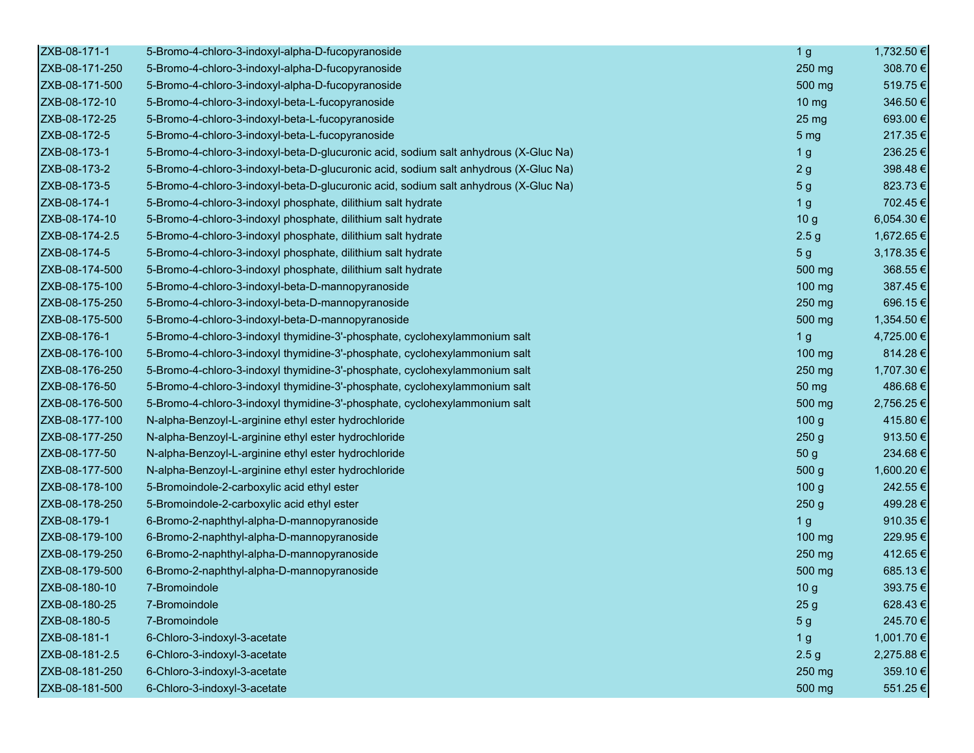| ZXB-08-171-1   | 5-Bromo-4-chloro-3-indoxyl-alpha-D-fucopyranoside                                    | 1 <sub>g</sub>   | 1,732.50 € |
|----------------|--------------------------------------------------------------------------------------|------------------|------------|
| ZXB-08-171-250 | 5-Bromo-4-chloro-3-indoxyl-alpha-D-fucopyranoside                                    | 250 mg           | 308.70€    |
| ZXB-08-171-500 | 5-Bromo-4-chloro-3-indoxyl-alpha-D-fucopyranoside                                    | 500 mg           | 519.75€    |
| ZXB-08-172-10  | 5-Bromo-4-chloro-3-indoxyl-beta-L-fucopyranoside                                     | 10 <sub>mg</sub> | 346.50€    |
| ZXB-08-172-25  | 5-Bromo-4-chloro-3-indoxyl-beta-L-fucopyranoside                                     | 25 <sub>mg</sub> | 693.00€    |
| ZXB-08-172-5   | 5-Bromo-4-chloro-3-indoxyl-beta-L-fucopyranoside                                     | 5 <sub>mg</sub>  | 217.35€    |
| ZXB-08-173-1   | 5-Bromo-4-chloro-3-indoxyl-beta-D-glucuronic acid, sodium salt anhydrous (X-Gluc Na) | 1 <sub>g</sub>   | 236.25€    |
| ZXB-08-173-2   | 5-Bromo-4-chloro-3-indoxyl-beta-D-glucuronic acid, sodium salt anhydrous (X-Gluc Na) | 2g               | 398.48€    |
| ZXB-08-173-5   | 5-Bromo-4-chloro-3-indoxyl-beta-D-glucuronic acid, sodium salt anhydrous (X-Gluc Na) | 5 <sub>g</sub>   | 823.73€    |
| ZXB-08-174-1   | 5-Bromo-4-chloro-3-indoxyl phosphate, dilithium salt hydrate                         | 1 <sub>g</sub>   | 702.45€    |
| ZXB-08-174-10  | 5-Bromo-4-chloro-3-indoxyl phosphate, dilithium salt hydrate                         | 10 <sub>g</sub>  | 6,054.30 € |
| ZXB-08-174-2.5 | 5-Bromo-4-chloro-3-indoxyl phosphate, dilithium salt hydrate                         | 2.5 <sub>g</sub> | 1,672.65 € |
| ZXB-08-174-5   | 5-Bromo-4-chloro-3-indoxyl phosphate, dilithium salt hydrate                         | 5 <sub>g</sub>   | 3,178.35 € |
| ZXB-08-174-500 | 5-Bromo-4-chloro-3-indoxyl phosphate, dilithium salt hydrate                         | 500 mg           | 368.55€    |
| ZXB-08-175-100 | 5-Bromo-4-chloro-3-indoxyl-beta-D-mannopyranoside                                    | 100 mg           | 387.45€    |
| ZXB-08-175-250 | 5-Bromo-4-chloro-3-indoxyl-beta-D-mannopyranoside                                    | 250 mg           | 696.15€    |
| ZXB-08-175-500 | 5-Bromo-4-chloro-3-indoxyl-beta-D-mannopyranoside                                    | 500 mg           | 1,354.50 € |
| ZXB-08-176-1   | 5-Bromo-4-chloro-3-indoxyl thymidine-3'-phosphate, cyclohexylammonium salt           | 1 <sub>g</sub>   | 4,725.00 € |
| ZXB-08-176-100 | 5-Bromo-4-chloro-3-indoxyl thymidine-3'-phosphate, cyclohexylammonium salt           | 100 mg           | 814.28€    |
| ZXB-08-176-250 | 5-Bromo-4-chloro-3-indoxyl thymidine-3'-phosphate, cyclohexylammonium salt           | 250 mg           | 1,707.30 € |
| ZXB-08-176-50  | 5-Bromo-4-chloro-3-indoxyl thymidine-3'-phosphate, cyclohexylammonium salt           | 50 mg            | 486.68€    |
| ZXB-08-176-500 | 5-Bromo-4-chloro-3-indoxyl thymidine-3'-phosphate, cyclohexylammonium salt           | 500 mg           | 2,756.25 € |
| ZXB-08-177-100 | N-alpha-Benzoyl-L-arginine ethyl ester hydrochloride                                 | 100 <sub>g</sub> | 415.80€    |
| ZXB-08-177-250 | N-alpha-Benzoyl-L-arginine ethyl ester hydrochloride                                 | 250 <sub>g</sub> | 913.50€    |
| ZXB-08-177-50  | N-alpha-Benzoyl-L-arginine ethyl ester hydrochloride                                 | 50 g             | 234.68€    |
| ZXB-08-177-500 | N-alpha-Benzoyl-L-arginine ethyl ester hydrochloride                                 | 500 g            | 1,600.20 € |
| ZXB-08-178-100 | 5-Bromoindole-2-carboxylic acid ethyl ester                                          | 100 <sub>g</sub> | 242.55€    |
| ZXB-08-178-250 | 5-Bromoindole-2-carboxylic acid ethyl ester                                          | 250 <sub>g</sub> | 499.28€    |
| ZXB-08-179-1   | 6-Bromo-2-naphthyl-alpha-D-mannopyranoside                                           | 1 <sub>g</sub>   | 910.35€    |
| ZXB-08-179-100 | 6-Bromo-2-naphthyl-alpha-D-mannopyranoside                                           | 100 mg           | 229.95€    |
| ZXB-08-179-250 | 6-Bromo-2-naphthyl-alpha-D-mannopyranoside                                           | 250 mg           | 412.65€    |
| ZXB-08-179-500 | 6-Bromo-2-naphthyl-alpha-D-mannopyranoside                                           | 500 mg           | 685.13€    |
| ZXB-08-180-10  | 7-Bromoindole                                                                        | 10 <sub>g</sub>  | 393.75€    |
| ZXB-08-180-25  | 7-Bromoindole                                                                        | 25 <sub>g</sub>  | 628.43€    |
| ZXB-08-180-5   | 7-Bromoindole                                                                        | 5 <sub>g</sub>   | 245.70€    |
| ZXB-08-181-1   | 6-Chloro-3-indoxyl-3-acetate                                                         | 1 <sub>g</sub>   | 1,001.70 € |
| ZXB-08-181-2.5 | 6-Chloro-3-indoxyl-3-acetate                                                         | 2.5 <sub>g</sub> | 2,275.88 € |
| ZXB-08-181-250 | 6-Chloro-3-indoxyl-3-acetate                                                         | 250 mg           | 359.10 €   |
| ZXB-08-181-500 | 6-Chloro-3-indoxyl-3-acetate                                                         | 500 mg           | 551.25€    |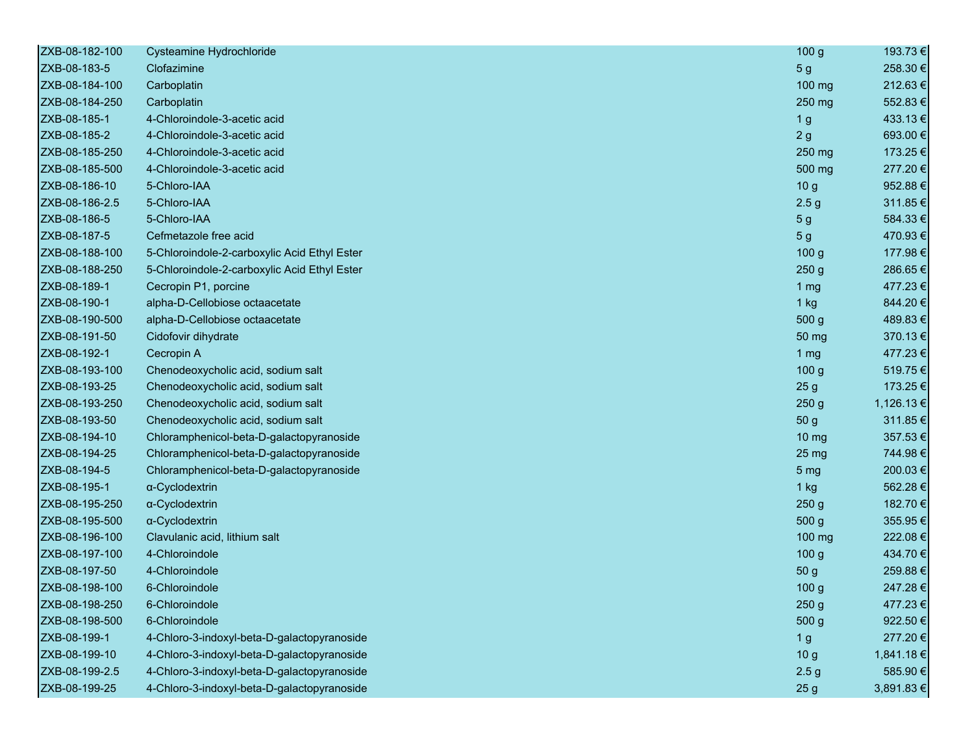| ZXB-08-182-100 | Cysteamine Hydrochloride                     | 100 <sub>g</sub> | 193.73 €       |
|----------------|----------------------------------------------|------------------|----------------|
| ZXB-08-183-5   | Clofazimine                                  | 5 <sub>g</sub>   | 258.30€        |
| ZXB-08-184-100 | Carboplatin                                  | 100 mg           | 212.63€        |
| ZXB-08-184-250 | Carboplatin                                  | 250 mg           | 552.83€        |
| ZXB-08-185-1   | 4-Chloroindole-3-acetic acid                 | 1 <sub>g</sub>   | 433.13€        |
| ZXB-08-185-2   | 4-Chloroindole-3-acetic acid                 | 2g               | 693.00€        |
| ZXB-08-185-250 | 4-Chloroindole-3-acetic acid                 | 250 mg           | 173.25 €       |
| ZXB-08-185-500 | 4-Chloroindole-3-acetic acid                 | 500 mg           | 277.20€        |
| ZXB-08-186-10  | 5-Chloro-IAA                                 | 10 <sub>g</sub>  | 952.88€        |
| ZXB-08-186-2.5 | 5-Chloro-IAA                                 | 2.5 <sub>g</sub> | 311.85€        |
| ZXB-08-186-5   | 5-Chloro-IAA                                 | 5 <sub>g</sub>   | 584.33€        |
| ZXB-08-187-5   | Cefmetazole free acid                        | 5 <sub>g</sub>   | 470.93€        |
| ZXB-08-188-100 | 5-Chloroindole-2-carboxylic Acid Ethyl Ester | 100 <sub>g</sub> | 177.98€        |
| ZXB-08-188-250 | 5-Chloroindole-2-carboxylic Acid Ethyl Ester | 250g             | 286.65€        |
| ZXB-08-189-1   | Cecropin P1, porcine                         | 1 <sub>mg</sub>  | 477.23€        |
| ZXB-08-190-1   | alpha-D-Cellobiose octaacetate               | $1$ kg           | 844.20€        |
| ZXB-08-190-500 | alpha-D-Cellobiose octaacetate               | 500 g            | 489.83€        |
| ZXB-08-191-50  | Cidofovir dihydrate                          | 50 mg            | 370.13€        |
| ZXB-08-192-1   | Cecropin A                                   | 1 mg             | 477.23€        |
| ZXB-08-193-100 | Chenodeoxycholic acid, sodium salt           | 100 <sub>g</sub> | 519.75€        |
| ZXB-08-193-25  | Chenodeoxycholic acid, sodium salt           | 25 <sub>g</sub>  | 173.25€        |
| ZXB-08-193-250 | Chenodeoxycholic acid, sodium salt           | 250 <sub>g</sub> | 1,126.13 €     |
| ZXB-08-193-50  | Chenodeoxycholic acid, sodium salt           | 50 g             | 311.85€        |
| ZXB-08-194-10  | Chloramphenicol-beta-D-galactopyranoside     | 10 mg            | 357.53€        |
| ZXB-08-194-25  | Chloramphenicol-beta-D-galactopyranoside     | 25 <sub>mg</sub> | 744.98€        |
| ZXB-08-194-5   | Chloramphenicol-beta-D-galactopyranoside     | 5 <sub>mg</sub>  | 200.03€        |
| ZXB-08-195-1   | α-Cyclodextrin                               | $1$ kg           | 562.28€        |
| ZXB-08-195-250 | α-Cyclodextrin                               | 250 <sub>g</sub> | 182.70€        |
| ZXB-08-195-500 | α-Cyclodextrin                               | 500 g            | 355.95€        |
| ZXB-08-196-100 | Clavulanic acid, lithium salt                | 100 mg           | 222.08€        |
| ZXB-08-197-100 | 4-Chloroindole                               | 100 <sub>g</sub> | 434.70€        |
| ZXB-08-197-50  | 4-Chloroindole                               | 50 g             | 259.88€        |
| ZXB-08-198-100 | 6-Chloroindole                               | 100 <sub>g</sub> | 247.28€        |
| ZXB-08-198-250 | 6-Chloroindole                               | 250 <sub>g</sub> | 477.23 €       |
| ZXB-08-198-500 | 6-Chloroindole                               | 500 g            | 922.50€        |
| ZXB-08-199-1   | 4-Chloro-3-indoxyl-beta-D-galactopyranoside  | 1 <sub>g</sub>   | 277.20€        |
| ZXB-08-199-10  | 4-Chloro-3-indoxyl-beta-D-galactopyranoside  | 10 <sub>g</sub>  | 1,841.18€      |
| ZXB-08-199-2.5 | 4-Chloro-3-indoxyl-beta-D-galactopyranoside  | 2.5 <sub>g</sub> | 585.90€        |
| ZXB-08-199-25  | 4-Chloro-3-indoxyl-beta-D-galactopyranoside  | 25 <sub>g</sub>  | $3,891.83 \in$ |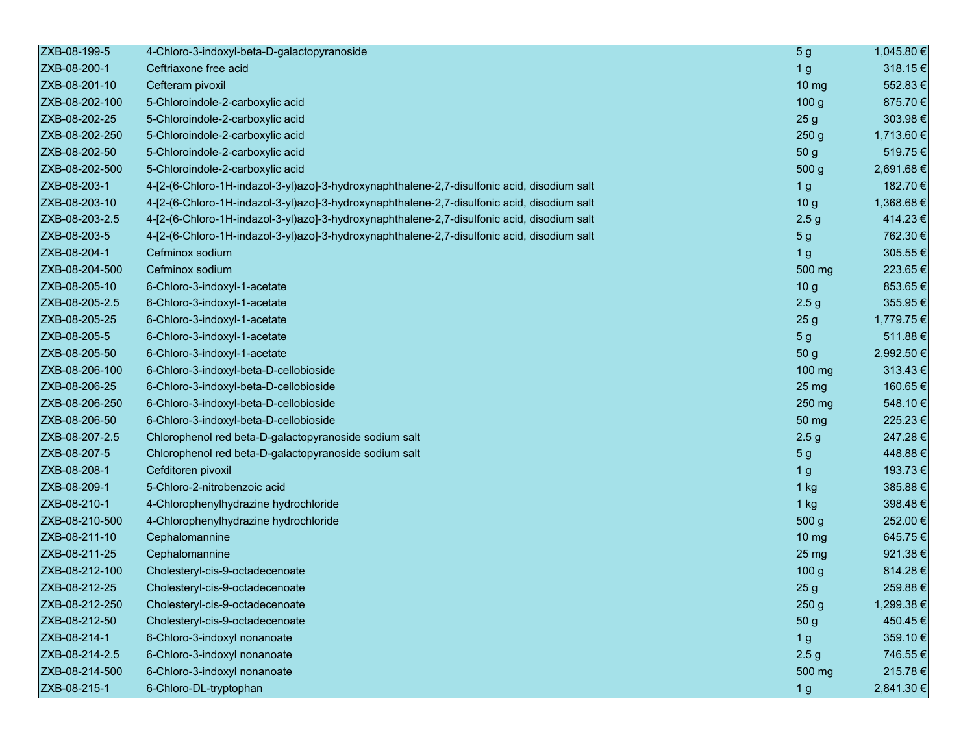| ZXB-08-199-5   | 4-Chloro-3-indoxyl-beta-D-galactopyranoside                                                 | 5 <sub>g</sub>   | 1,045.80 € |
|----------------|---------------------------------------------------------------------------------------------|------------------|------------|
| ZXB-08-200-1   | Ceftriaxone free acid                                                                       | 1 <sub>g</sub>   | 318.15€    |
| ZXB-08-201-10  | Cefteram pivoxil                                                                            | 10 <sub>mg</sub> | 552.83€    |
| ZXB-08-202-100 | 5-Chloroindole-2-carboxylic acid                                                            | 100 <sub>g</sub> | 875.70€    |
| ZXB-08-202-25  | 5-Chloroindole-2-carboxylic acid                                                            | 25g              | 303.98€    |
| ZXB-08-202-250 | 5-Chloroindole-2-carboxylic acid                                                            | 250 <sub>g</sub> | 1,713.60 € |
| ZXB-08-202-50  | 5-Chloroindole-2-carboxylic acid                                                            | 50 g             | 519.75€    |
| ZXB-08-202-500 | 5-Chloroindole-2-carboxylic acid                                                            | 500 g            | 2,691.68€  |
| ZXB-08-203-1   | 4-[2-(6-Chloro-1H-indazol-3-yl)azo]-3-hydroxynaphthalene-2,7-disulfonic acid, disodium salt | 1 <sub>g</sub>   | 182.70€    |
| ZXB-08-203-10  | 4-[2-(6-Chloro-1H-indazol-3-yl)azo]-3-hydroxynaphthalene-2,7-disulfonic acid, disodium salt | 10 <sub>g</sub>  | 1,368.68€  |
| ZXB-08-203-2.5 | 4-[2-(6-Chloro-1H-indazol-3-yl)azo]-3-hydroxynaphthalene-2,7-disulfonic acid, disodium salt | 2.5 <sub>g</sub> | 414.23€    |
| ZXB-08-203-5   | 4-[2-(6-Chloro-1H-indazol-3-yl)azo]-3-hydroxynaphthalene-2,7-disulfonic acid, disodium salt | 5 <sub>g</sub>   | 762.30 €   |
| ZXB-08-204-1   | Cefminox sodium                                                                             | 1 <sub>g</sub>   | 305.55€    |
| ZXB-08-204-500 | Cefminox sodium                                                                             | 500 mg           | 223.65€    |
| ZXB-08-205-10  | 6-Chloro-3-indoxyl-1-acetate                                                                | 10 <sub>g</sub>  | 853.65€    |
| ZXB-08-205-2.5 | 6-Chloro-3-indoxyl-1-acetate                                                                | 2.5 <sub>g</sub> | 355.95€    |
| ZXB-08-205-25  | 6-Chloro-3-indoxyl-1-acetate                                                                | 25 <sub>g</sub>  | 1,779.75 € |
| ZXB-08-205-5   | 6-Chloro-3-indoxyl-1-acetate                                                                | 5 <sub>g</sub>   | 511.88€    |
| ZXB-08-205-50  | 6-Chloro-3-indoxyl-1-acetate                                                                | 50 g             | 2,992.50 € |
| ZXB-08-206-100 | 6-Chloro-3-indoxyl-beta-D-cellobioside                                                      | 100 mg           | 313.43€    |
| ZXB-08-206-25  | 6-Chloro-3-indoxyl-beta-D-cellobioside                                                      | 25 mg            | 160.65€    |
| ZXB-08-206-250 | 6-Chloro-3-indoxyl-beta-D-cellobioside                                                      | 250 mg           | 548.10€    |
| ZXB-08-206-50  | 6-Chloro-3-indoxyl-beta-D-cellobioside                                                      | 50 mg            | 225.23€    |
| ZXB-08-207-2.5 | Chlorophenol red beta-D-galactopyranoside sodium salt                                       | 2.5 <sub>g</sub> | 247.28€    |
| ZXB-08-207-5   | Chlorophenol red beta-D-galactopyranoside sodium salt                                       | 5 <sub>g</sub>   | 448.88€    |
| ZXB-08-208-1   | Cefditoren pivoxil                                                                          | 1 <sub>g</sub>   | 193.73€    |
| ZXB-08-209-1   | 5-Chloro-2-nitrobenzoic acid                                                                | $1$ kg           | 385.88€    |
| ZXB-08-210-1   | 4-Chlorophenylhydrazine hydrochloride                                                       | $1$ kg           | 398.48€    |
| ZXB-08-210-500 | 4-Chlorophenylhydrazine hydrochloride                                                       | 500 g            | 252.00€    |
| ZXB-08-211-10  | Cephalomannine                                                                              | $10 \mathrm{mg}$ | 645.75€    |
| ZXB-08-211-25  | Cephalomannine                                                                              | 25 <sub>mg</sub> | 921.38€    |
| ZXB-08-212-100 | Cholesteryl-cis-9-octadecenoate                                                             | 100 <sub>g</sub> | 814.28€    |
| ZXB-08-212-25  | Cholesteryl-cis-9-octadecenoate                                                             | 25 <sub>g</sub>  | 259.88€    |
| ZXB-08-212-250 | Cholesteryl-cis-9-octadecenoate                                                             | 250 <sub>g</sub> | 1,299.38 € |
| ZXB-08-212-50  | Cholesteryl-cis-9-octadecenoate                                                             | 50 g             | 450.45€    |
| ZXB-08-214-1   | 6-Chloro-3-indoxyl nonanoate                                                                | 1 <sub>g</sub>   | 359.10€    |
| ZXB-08-214-2.5 | 6-Chloro-3-indoxyl nonanoate                                                                | 2.5 <sub>g</sub> | 746.55€    |
| ZXB-08-214-500 | 6-Chloro-3-indoxyl nonanoate                                                                | 500 mg           | 215.78€    |
| ZXB-08-215-1   | 6-Chloro-DL-tryptophan                                                                      | 1 <sub>g</sub>   | 2,841.30 € |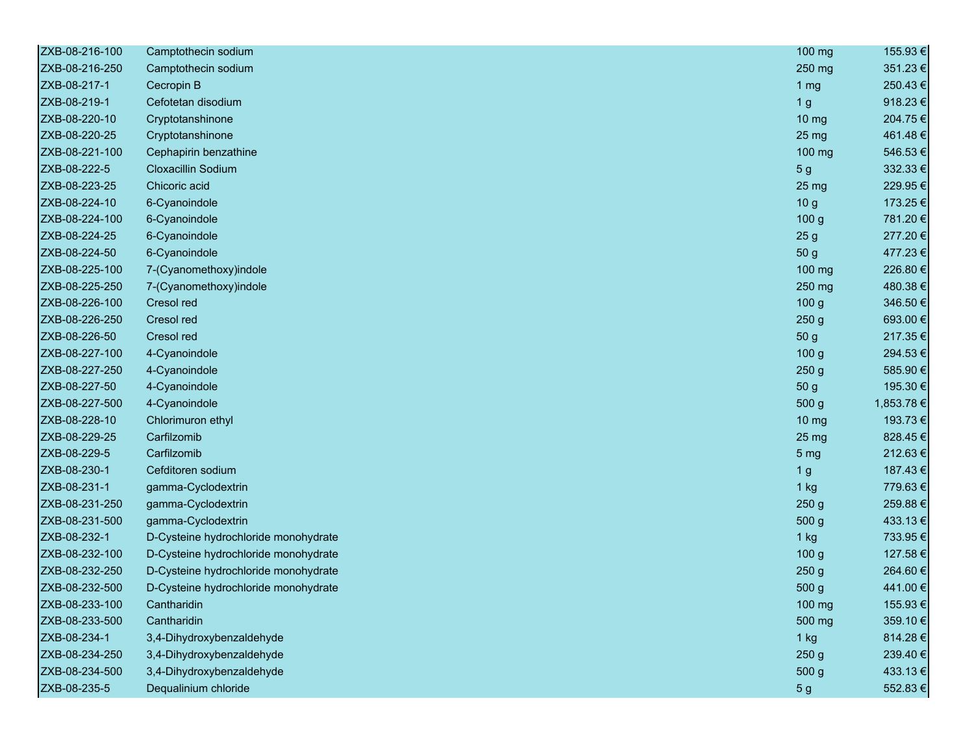| ZXB-08-216-100 | Camptothecin sodium                  | 100 mg           | 155.93€    |
|----------------|--------------------------------------|------------------|------------|
| ZXB-08-216-250 | Camptothecin sodium                  | 250 mg           | 351.23€    |
| ZXB-08-217-1   | Cecropin B                           | 1 <sub>mg</sub>  | 250.43€    |
| ZXB-08-219-1   | Cefotetan disodium                   | 1 <sub>g</sub>   | 918.23€    |
| ZXB-08-220-10  | Cryptotanshinone                     | 10 <sub>mg</sub> | 204.75€    |
| ZXB-08-220-25  | Cryptotanshinone                     | 25 <sub>mg</sub> | 461.48€    |
| ZXB-08-221-100 | Cephapirin benzathine                | 100 mg           | 546.53€    |
| ZXB-08-222-5   | <b>Cloxacillin Sodium</b>            | 5 <sub>g</sub>   | 332.33€    |
| ZXB-08-223-25  | Chicoric acid                        | 25 <sub>mg</sub> | 229.95€    |
| ZXB-08-224-10  | 6-Cyanoindole                        | 10 <sub>g</sub>  | 173.25€    |
| ZXB-08-224-100 | 6-Cyanoindole                        | 100 <sub>g</sub> | 781.20€    |
| ZXB-08-224-25  | 6-Cyanoindole                        | 25 <sub>g</sub>  | 277.20€    |
| ZXB-08-224-50  | 6-Cyanoindole                        | 50 g             | 477.23€    |
| ZXB-08-225-100 | 7-(Cyanomethoxy)indole               | 100 mg           | 226.80€    |
| ZXB-08-225-250 | 7-(Cyanomethoxy)indole               | 250 mg           | 480.38€    |
| ZXB-08-226-100 | Cresol red                           | 100 <sub>g</sub> | 346.50€    |
| ZXB-08-226-250 | Cresol red                           | 250 <sub>g</sub> | 693.00€    |
| ZXB-08-226-50  | Cresol red                           | 50 g             | 217.35€    |
| ZXB-08-227-100 | 4-Cyanoindole                        | 100 <sub>g</sub> | 294.53€    |
| ZXB-08-227-250 | 4-Cyanoindole                        | 250 <sub>g</sub> | 585.90€    |
| ZXB-08-227-50  | 4-Cyanoindole                        | 50 g             | 195.30€    |
| ZXB-08-227-500 | 4-Cyanoindole                        | 500 g            | 1,853.78 € |
| ZXB-08-228-10  | Chlorimuron ethyl                    | 10 <sub>mg</sub> | 193.73€    |
| ZXB-08-229-25  | Carfilzomib                          | 25 mg            | 828.45€    |
| ZXB-08-229-5   | Carfilzomib                          | 5 <sub>mg</sub>  | 212.63€    |
| ZXB-08-230-1   | Cefditoren sodium                    | 1 <sub>g</sub>   | 187.43€    |
| ZXB-08-231-1   | gamma-Cyclodextrin                   | $1$ kg           | 779.63€    |
| ZXB-08-231-250 | gamma-Cyclodextrin                   | 250 <sub>g</sub> | 259.88€    |
| ZXB-08-231-500 | gamma-Cyclodextrin                   | 500 g            | 433.13€    |
| ZXB-08-232-1   | D-Cysteine hydrochloride monohydrate | $1$ kg           | 733.95€    |
| ZXB-08-232-100 | D-Cysteine hydrochloride monohydrate | 100 <sub>g</sub> | 127.58€    |
| ZXB-08-232-250 | D-Cysteine hydrochloride monohydrate | 250 <sub>g</sub> | 264.60€    |
| ZXB-08-232-500 | D-Cysteine hydrochloride monohydrate | 500 g            | 441.00 €   |
| ZXB-08-233-100 | Cantharidin                          | 100 mg           | 155.93€    |
| ZXB-08-233-500 | Cantharidin                          | 500 mg           | 359.10€    |
| ZXB-08-234-1   | 3,4-Dihydroxybenzaldehyde            | 1 kg             | 814.28€    |
| ZXB-08-234-250 | 3,4-Dihydroxybenzaldehyde            | 250 g            | 239.40€    |
| ZXB-08-234-500 | 3,4-Dihydroxybenzaldehyde            | 500 g            | 433.13€    |
| ZXB-08-235-5   | Dequalinium chloride                 | 5 <sub>g</sub>   | 552.83€    |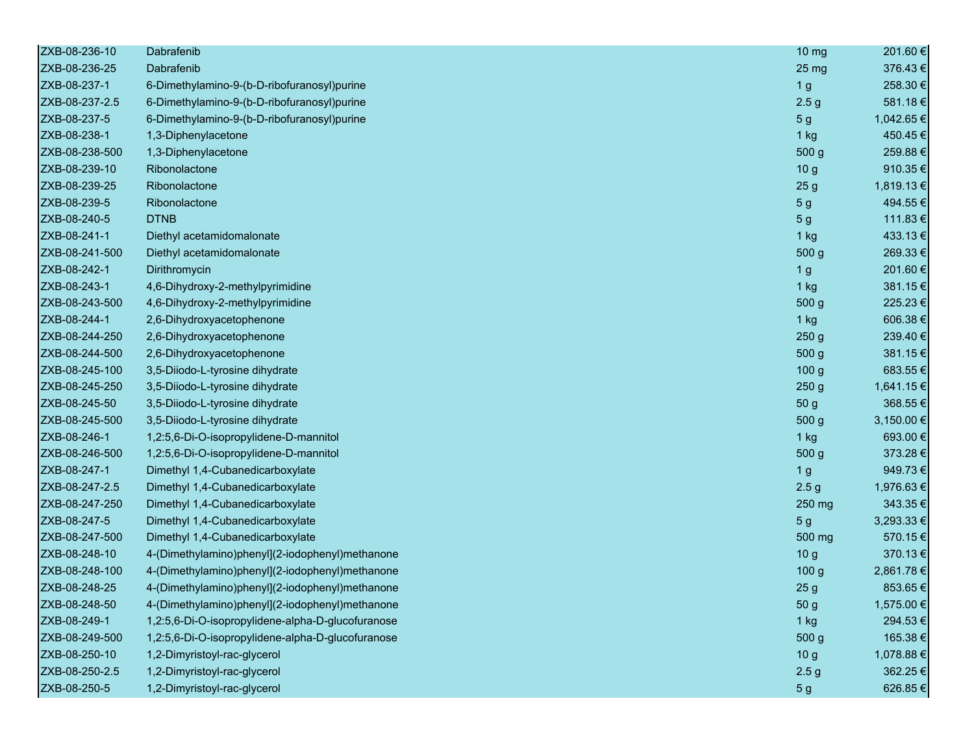| ZXB-08-236-10  | Dabrafenib                                        | $10 \text{ mg}$  | 201.60 €   |
|----------------|---------------------------------------------------|------------------|------------|
| ZXB-08-236-25  | Dabrafenib                                        | 25 mg            | 376.43€    |
| ZXB-08-237-1   | 6-Dimethylamino-9-(b-D-ribofuranosyl)purine       | 1 <sub>g</sub>   | 258.30€    |
| ZXB-08-237-2.5 | 6-Dimethylamino-9-(b-D-ribofuranosyl)purine       | 2.5 <sub>g</sub> | 581.18€    |
| ZXB-08-237-5   | 6-Dimethylamino-9-(b-D-ribofuranosyl)purine       | 5 <sub>g</sub>   | 1,042.65 € |
| ZXB-08-238-1   | 1,3-Diphenylacetone                               | $1$ kg           | 450.45€    |
| ZXB-08-238-500 | 1,3-Diphenylacetone                               | 500 g            | 259.88€    |
| ZXB-08-239-10  | Ribonolactone                                     | 10 <sub>g</sub>  | 910.35€    |
| ZXB-08-239-25  | Ribonolactone                                     | 25 <sub>g</sub>  | 1,819.13€  |
| ZXB-08-239-5   | Ribonolactone                                     | 5 <sub>g</sub>   | 494.55€    |
| ZXB-08-240-5   | <b>DTNB</b>                                       | 5 <sub>g</sub>   | 111.83€    |
| ZXB-08-241-1   | Diethyl acetamidomalonate                         | 1 kg             | 433.13€    |
| ZXB-08-241-500 | Diethyl acetamidomalonate                         | 500 g            | 269.33€    |
| ZXB-08-242-1   | Dirithromycin                                     | 1 <sub>g</sub>   | 201.60€    |
| ZXB-08-243-1   | 4,6-Dihydroxy-2-methylpyrimidine                  | 1 kg             | 381.15€    |
| ZXB-08-243-500 | 4,6-Dihydroxy-2-methylpyrimidine                  | 500 <sub>g</sub> | 225.23€    |
| ZXB-08-244-1   | 2,6-Dihydroxyacetophenone                         | $1$ kg           | 606.38€    |
| ZXB-08-244-250 | 2,6-Dihydroxyacetophenone                         | 250 <sub>g</sub> | 239.40€    |
| ZXB-08-244-500 | 2,6-Dihydroxyacetophenone                         | 500 <sub>g</sub> | 381.15€    |
| ZXB-08-245-100 | 3,5-Diiodo-L-tyrosine dihydrate                   | 100 <sub>g</sub> | 683.55€    |
| ZXB-08-245-250 | 3,5-Diiodo-L-tyrosine dihydrate                   | 250 <sub>g</sub> | 1,641.15 € |
| ZXB-08-245-50  | 3,5-Diiodo-L-tyrosine dihydrate                   | 50 <sub>g</sub>  | 368.55€    |
| ZXB-08-245-500 | 3,5-Diiodo-L-tyrosine dihydrate                   | 500 g            | 3,150.00 € |
| ZXB-08-246-1   | 1,2:5,6-Di-O-isopropylidene-D-mannitol            | 1 kg             | 693.00€    |
| ZXB-08-246-500 | 1,2:5,6-Di-O-isopropylidene-D-mannitol            | 500 <sub>g</sub> | 373.28€    |
| ZXB-08-247-1   | Dimethyl 1,4-Cubanedicarboxylate                  | 1 <sub>g</sub>   | 949.73€    |
| ZXB-08-247-2.5 | Dimethyl 1,4-Cubanedicarboxylate                  | 2.5 <sub>g</sub> | 1,976.63 € |
| ZXB-08-247-250 | Dimethyl 1,4-Cubanedicarboxylate                  | 250 mg           | 343.35€    |
| ZXB-08-247-5   | Dimethyl 1,4-Cubanedicarboxylate                  | 5 <sub>g</sub>   | 3,293.33 € |
| ZXB-08-247-500 | Dimethyl 1,4-Cubanedicarboxylate                  | 500 mg           | 570.15€    |
| ZXB-08-248-10  | 4-(Dimethylamino)phenyl](2-iodophenyl)methanone   | 10 <sub>g</sub>  | 370.13€    |
| ZXB-08-248-100 | 4-(Dimethylamino)phenyl](2-iodophenyl)methanone   | 100 <sub>g</sub> | 2,861.78 € |
| ZXB-08-248-25  | 4-(Dimethylamino)phenyl](2-iodophenyl)methanone   | 25 <sub>g</sub>  | 853.65€    |
| ZXB-08-248-50  | 4-(Dimethylamino)phenyl](2-iodophenyl)methanone   | 50 g             | 1,575.00 € |
| ZXB-08-249-1   | 1,2:5,6-Di-O-isopropylidene-alpha-D-glucofuranose | 1 kg             | 294.53€    |
| ZXB-08-249-500 | 1,2:5,6-Di-O-isopropylidene-alpha-D-glucofuranose | 500 g            | 165.38€    |
| ZXB-08-250-10  | 1,2-Dimyristoyl-rac-glycerol                      | 10 <sub>g</sub>  | 1,078.88 € |
| ZXB-08-250-2.5 | 1,2-Dimyristoyl-rac-glycerol                      | 2.5 <sub>g</sub> | 362.25€    |
| ZXB-08-250-5   | 1,2-Dimyristoyl-rac-glycerol                      | 5 <sub>g</sub>   | 626.85€    |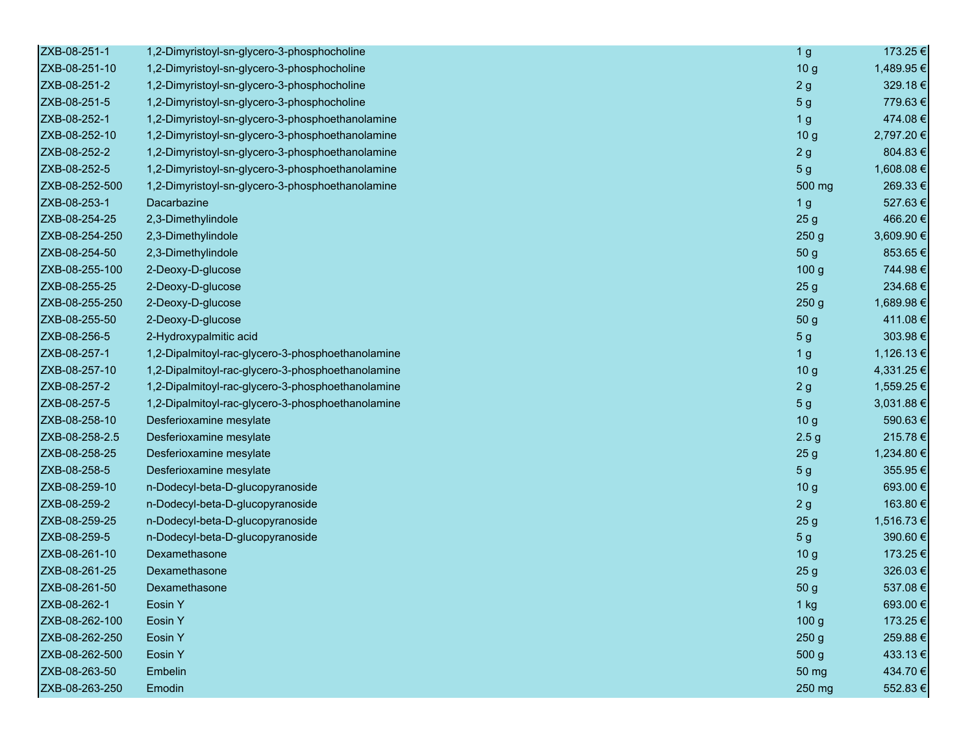| ZXB-08-251-1   | 1,2-Dimyristoyl-sn-glycero-3-phosphocholine       | 1 <sub>g</sub>   | 173.25 €   |
|----------------|---------------------------------------------------|------------------|------------|
| ZXB-08-251-10  | 1,2-Dimyristoyl-sn-glycero-3-phosphocholine       | 10 <sub>g</sub>  | 1,489.95 € |
| ZXB-08-251-2   | 1,2-Dimyristoyl-sn-glycero-3-phosphocholine       | 2g               | 329.18€    |
| ZXB-08-251-5   | 1,2-Dimyristoyl-sn-glycero-3-phosphocholine       | 5 <sub>g</sub>   | 779.63€    |
| ZXB-08-252-1   | 1,2-Dimyristoyl-sn-glycero-3-phosphoethanolamine  | 1 <sub>g</sub>   | 474.08€    |
| ZXB-08-252-10  | 1,2-Dimyristoyl-sn-glycero-3-phosphoethanolamine  | 10 <sub>g</sub>  | 2,797.20€  |
| ZXB-08-252-2   | 1,2-Dimyristoyl-sn-glycero-3-phosphoethanolamine  | 2g               | 804.83€    |
| ZXB-08-252-5   | 1,2-Dimyristoyl-sn-glycero-3-phosphoethanolamine  | 5 <sub>g</sub>   | 1,608.08€  |
| ZXB-08-252-500 | 1,2-Dimyristoyl-sn-glycero-3-phosphoethanolamine  | 500 mg           | 269.33€    |
| ZXB-08-253-1   | Dacarbazine                                       | 1 <sub>g</sub>   | 527.63€    |
| ZXB-08-254-25  | 2,3-Dimethylindole                                | 25 <sub>g</sub>  | 466.20€    |
| ZXB-08-254-250 | 2,3-Dimethylindole                                | 250 <sub>g</sub> | 3,609.90 € |
| ZXB-08-254-50  | 2,3-Dimethylindole                                | 50 g             | 853.65€    |
| ZXB-08-255-100 | 2-Deoxy-D-glucose                                 | 100 <sub>g</sub> | 744.98€    |
| ZXB-08-255-25  | 2-Deoxy-D-glucose                                 | 25 <sub>g</sub>  | 234.68€    |
| ZXB-08-255-250 | 2-Deoxy-D-glucose                                 | 250 <sub>g</sub> | 1,689.98€  |
| ZXB-08-255-50  | 2-Deoxy-D-glucose                                 | 50 g             | 411.08€    |
| ZXB-08-256-5   | 2-Hydroxypalmitic acid                            | 5 <sub>g</sub>   | 303.98€    |
| ZXB-08-257-1   | 1,2-Dipalmitoyl-rac-glycero-3-phosphoethanolamine | 1 <sub>g</sub>   | 1,126.13 € |
| ZXB-08-257-10  | 1,2-Dipalmitoyl-rac-glycero-3-phosphoethanolamine | 10 <sub>g</sub>  | 4,331.25€  |
| ZXB-08-257-2   | 1,2-Dipalmitoyl-rac-glycero-3-phosphoethanolamine | 2g               | 1,559.25 € |
| ZXB-08-257-5   | 1,2-Dipalmitoyl-rac-glycero-3-phosphoethanolamine | 5 <sub>g</sub>   | 3,031.88 € |
| ZXB-08-258-10  | Desferioxamine mesylate                           | 10 <sub>g</sub>  | 590.63€    |
| ZXB-08-258-2.5 | Desferioxamine mesylate                           | 2.5 <sub>g</sub> | 215.78€    |
| ZXB-08-258-25  | Desferioxamine mesylate                           | 25 <sub>g</sub>  | 1,234.80 € |
| ZXB-08-258-5   | Desferioxamine mesylate                           | 5 <sub>g</sub>   | 355.95€    |
| ZXB-08-259-10  | n-Dodecyl-beta-D-glucopyranoside                  | 10 <sub>g</sub>  | 693.00€    |
| ZXB-08-259-2   | n-Dodecyl-beta-D-glucopyranoside                  | 2g               | 163.80€    |
| ZXB-08-259-25  | n-Dodecyl-beta-D-glucopyranoside                  | 25 <sub>g</sub>  | 1,516.73€  |
| ZXB-08-259-5   | n-Dodecyl-beta-D-glucopyranoside                  | 5 <sub>g</sub>   | 390.60€    |
| ZXB-08-261-10  | Dexamethasone                                     | 10 <sub>g</sub>  | 173.25€    |
| ZXB-08-261-25  | Dexamethasone                                     | 25 <sub>g</sub>  | 326.03€    |
| ZXB-08-261-50  | Dexamethasone                                     | 50 g             | 537.08€    |
| ZXB-08-262-1   | Eosin Y                                           | 1 kg             | 693.00€    |
| ZXB-08-262-100 | Eosin Y                                           | 100 g            | 173.25€    |
| ZXB-08-262-250 | Eosin Y                                           | 250 <sub>g</sub> | 259.88€    |
| ZXB-08-262-500 | <b>Eosin Y</b>                                    | 500 g            | 433.13€    |
| ZXB-08-263-50  | Embelin                                           | 50 mg            | 434.70€    |
| ZXB-08-263-250 | Emodin                                            | 250 mg           | 552.83€    |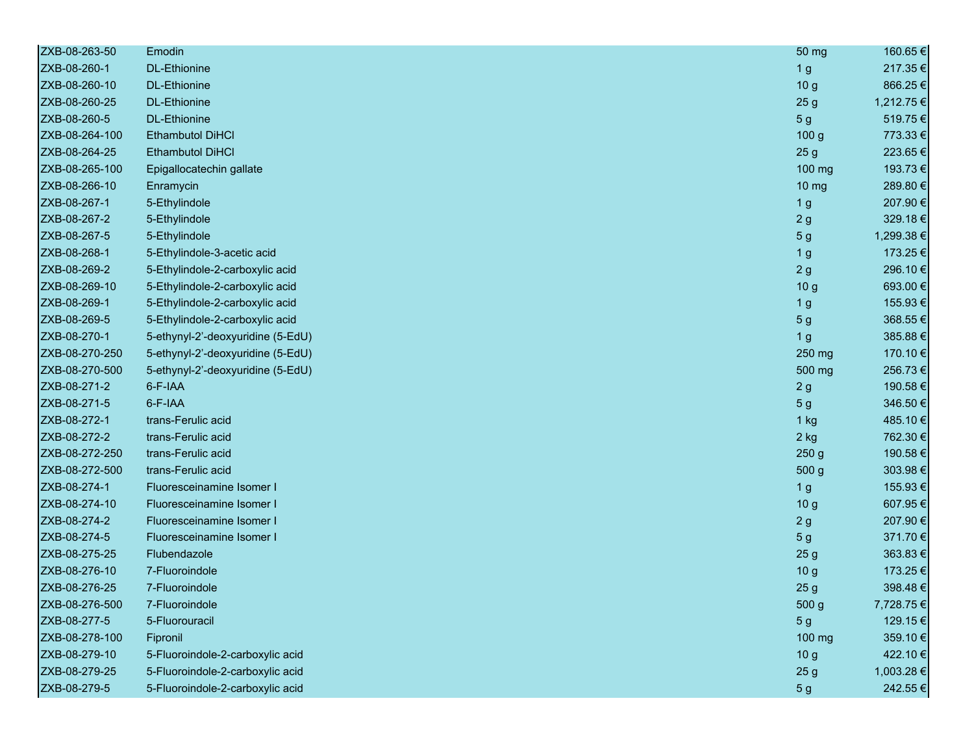| ZXB-08-263-50  | Emodin                            | 50 mg             | 160.65€    |
|----------------|-----------------------------------|-------------------|------------|
| ZXB-08-260-1   | <b>DL-Ethionine</b>               | 1 <sub>g</sub>    | 217.35€    |
| ZXB-08-260-10  | <b>DL-Ethionine</b>               | 10 <sub>g</sub>   | 866.25€    |
| ZXB-08-260-25  | <b>DL-Ethionine</b>               | 25 <sub>g</sub>   | 1,212.75 € |
| ZXB-08-260-5   | <b>DL-Ethionine</b>               | 5 <sub>g</sub>    | 519.75€    |
| ZXB-08-264-100 | <b>Ethambutol DiHCI</b>           | 100 <sub>g</sub>  | 773.33€    |
| ZXB-08-264-25  | <b>Ethambutol DiHCI</b>           | 25 <sub>g</sub>   | 223.65€    |
| ZXB-08-265-100 | Epigallocatechin gallate          | 100 mg            | 193.73€    |
| ZXB-08-266-10  | Enramycin                         | $10 \, \text{mg}$ | 289.80€    |
| ZXB-08-267-1   | 5-Ethylindole                     | 1 <sub>g</sub>    | 207.90€    |
| ZXB-08-267-2   | 5-Ethylindole                     | 2g                | 329.18€    |
| ZXB-08-267-5   | 5-Ethylindole                     | 5 <sub>g</sub>    | 1,299.38 € |
| ZXB-08-268-1   | 5-Ethylindole-3-acetic acid       | 1 <sub>g</sub>    | 173.25€    |
| ZXB-08-269-2   | 5-Ethylindole-2-carboxylic acid   | 2g                | 296.10€    |
| ZXB-08-269-10  | 5-Ethylindole-2-carboxylic acid   | 10 <sub>g</sub>   | 693.00€    |
| ZXB-08-269-1   | 5-Ethylindole-2-carboxylic acid   | 1 <sub>g</sub>    | 155.93€    |
| ZXB-08-269-5   | 5-Ethylindole-2-carboxylic acid   | 5 <sub>g</sub>    | 368.55€    |
| ZXB-08-270-1   | 5-ethynyl-2'-deoxyuridine (5-EdU) | 1 <sub>g</sub>    | 385.88€    |
| ZXB-08-270-250 | 5-ethynyl-2'-deoxyuridine (5-EdU) | 250 mg            | 170.10€    |
| ZXB-08-270-500 | 5-ethynyl-2'-deoxyuridine (5-EdU) | 500 mg            | 256.73€    |
| ZXB-08-271-2   | 6-F-IAA                           | 2g                | 190.58€    |
| ZXB-08-271-5   | 6-F-IAA                           | 5 <sub>g</sub>    | 346.50€    |
| ZXB-08-272-1   | trans-Ferulic acid                | 1 kg              | 485.10€    |
| ZXB-08-272-2   | trans-Ferulic acid                | $2$ kg            | 762.30€    |
| ZXB-08-272-250 | trans-Ferulic acid                | 250 <sub>g</sub>  | 190.58€    |
| ZXB-08-272-500 | trans-Ferulic acid                | 500 g             | 303.98€    |
| ZXB-08-274-1   | Fluoresceinamine Isomer I         | 1 <sub>g</sub>    | 155.93€    |
| ZXB-08-274-10  | Fluoresceinamine Isomer I         | 10 <sub>g</sub>   | 607.95€    |
| ZXB-08-274-2   | Fluoresceinamine Isomer I         | 2g                | 207.90€    |
| ZXB-08-274-5   | Fluoresceinamine Isomer I         | 5 <sub>g</sub>    | 371.70€    |
| ZXB-08-275-25  | Flubendazole                      | 25 <sub>g</sub>   | 363.83€    |
| ZXB-08-276-10  | 7-Fluoroindole                    | 10 <sub>g</sub>   | 173.25€    |
| ZXB-08-276-25  | 7-Fluoroindole                    | 25 <sub>g</sub>   | 398.48€    |
| ZXB-08-276-500 | 7-Fluoroindole                    | 500 g             | 7,728.75 € |
| ZXB-08-277-5   | 5-Fluorouracil                    | 5 <sub>g</sub>    | 129.15€    |
| ZXB-08-278-100 | Fipronil                          | 100 mg            | 359.10€    |
| ZXB-08-279-10  | 5-Fluoroindole-2-carboxylic acid  | 10 <sub>g</sub>   | 422.10€    |
| ZXB-08-279-25  | 5-Fluoroindole-2-carboxylic acid  | 25 <sub>g</sub>   | 1,003.28 € |
| ZXB-08-279-5   | 5-Fluoroindole-2-carboxylic acid  | 5 <sub>g</sub>    | 242.55€    |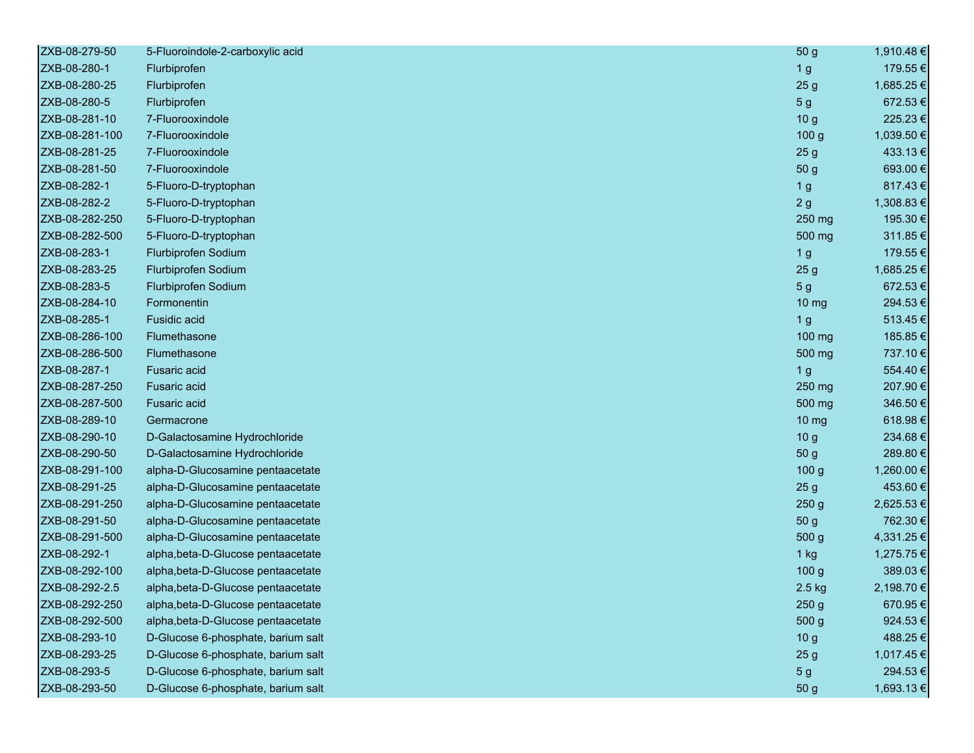| ZXB-08-279-50  | 5-Fluoroindole-2-carboxylic acid   | 50 <sub>g</sub>   | 1,910.48 € |
|----------------|------------------------------------|-------------------|------------|
| ZXB-08-280-1   | Flurbiprofen                       | 1 <sub>g</sub>    | 179.55€    |
| ZXB-08-280-25  | Flurbiprofen                       | 25 <sub>g</sub>   | 1,685.25€  |
| ZXB-08-280-5   | Flurbiprofen                       | 5 <sub>g</sub>    | 672.53€    |
| ZXB-08-281-10  | 7-Fluorooxindole                   | 10 <sub>g</sub>   | 225.23€    |
| ZXB-08-281-100 | 7-Fluorooxindole                   | 100 <sub>g</sub>  | 1,039.50€  |
| ZXB-08-281-25  | 7-Fluorooxindole                   | 25 <sub>g</sub>   | 433.13€    |
| ZXB-08-281-50  | 7-Fluorooxindole                   | 50 g              | 693.00€    |
| ZXB-08-282-1   | 5-Fluoro-D-tryptophan              | 1 <sub>g</sub>    | 817.43€    |
| ZXB-08-282-2   | 5-Fluoro-D-tryptophan              | 2g                | 1,308.83 € |
| ZXB-08-282-250 | 5-Fluoro-D-tryptophan              | 250 mg            | 195.30€    |
| ZXB-08-282-500 | 5-Fluoro-D-tryptophan              | 500 mg            | 311.85€    |
| ZXB-08-283-1   | Flurbiprofen Sodium                | 1 <sub>g</sub>    | 179.55€    |
| ZXB-08-283-25  | Flurbiprofen Sodium                | 25 <sub>g</sub>   | 1,685.25€  |
| ZXB-08-283-5   | Flurbiprofen Sodium                | 5 <sub>g</sub>    | 672.53€    |
| ZXB-08-284-10  | Formonentin                        | 10 <sub>mg</sub>  | 294.53€    |
| ZXB-08-285-1   | Fusidic acid                       | 1 <sub>g</sub>    | 513.45€    |
| ZXB-08-286-100 | Flumethasone                       | 100 mg            | 185.85€    |
| ZXB-08-286-500 | Flumethasone                       | 500 mg            | 737.10€    |
| ZXB-08-287-1   | <b>Fusaric acid</b>                | 1 <sub>g</sub>    | 554.40€    |
| ZXB-08-287-250 | <b>Fusaric acid</b>                | 250 mg            | 207.90€    |
| ZXB-08-287-500 | <b>Fusaric acid</b>                | 500 mg            | 346.50€    |
| ZXB-08-289-10  | Germacrone                         | $10 \, \text{mg}$ | 618.98€    |
| ZXB-08-290-10  | D-Galactosamine Hydrochloride      | 10 <sub>g</sub>   | 234.68€    |
| ZXB-08-290-50  | D-Galactosamine Hydrochloride      | 50 <sub>g</sub>   | 289.80€    |
| ZXB-08-291-100 | alpha-D-Glucosamine pentaacetate   | 100 <sub>g</sub>  | 1,260.00 € |
| ZXB-08-291-25  | alpha-D-Glucosamine pentaacetate   | 25 <sub>g</sub>   | 453.60€    |
| ZXB-08-291-250 | alpha-D-Glucosamine pentaacetate   | 250 <sub>g</sub>  | 2,625.53 € |
| ZXB-08-291-50  | alpha-D-Glucosamine pentaacetate   | 50 g              | 762.30 €   |
| ZXB-08-291-500 | alpha-D-Glucosamine pentaacetate   | 500 g             | 4,331.25 € |
| ZXB-08-292-1   | alpha, beta-D-Glucose pentaacetate | $1$ kg            | 1,275.75 € |
| ZXB-08-292-100 | alpha, beta-D-Glucose pentaacetate | 100 <sub>g</sub>  | 389.03€    |
| ZXB-08-292-2.5 | alpha, beta-D-Glucose pentaacetate | 2.5 kg            | 2,198.70 € |
| ZXB-08-292-250 | alpha, beta-D-Glucose pentaacetate | 250g              | 670.95€    |
| ZXB-08-292-500 | alpha, beta-D-Glucose pentaacetate | 500 g             | 924.53€    |
| ZXB-08-293-10  | D-Glucose 6-phosphate, barium salt | 10 <sub>g</sub>   | 488.25€    |
| ZXB-08-293-25  | D-Glucose 6-phosphate, barium salt | 25 <sub>g</sub>   | 1,017.45€  |
| ZXB-08-293-5   | D-Glucose 6-phosphate, barium salt | 5 <sub>g</sub>    | 294.53€    |
| ZXB-08-293-50  | D-Glucose 6-phosphate, barium salt | 50 g              | 1,693.13 € |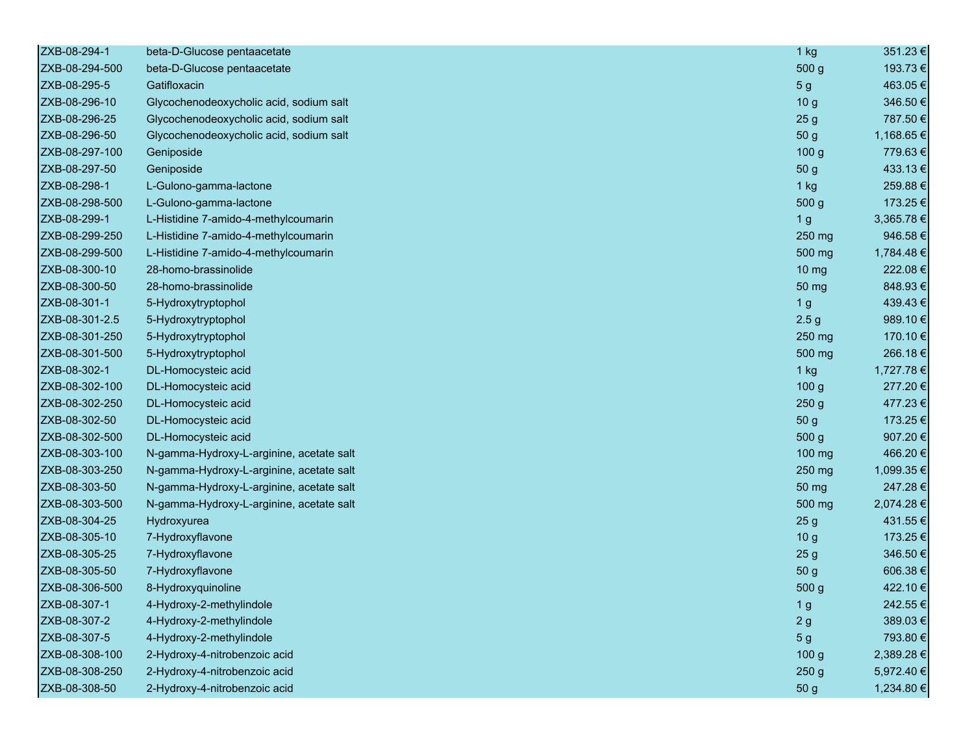| ZXB-08-294-1   | beta-D-Glucose pentaacetate              | $1$ kg            | 351.23€    |
|----------------|------------------------------------------|-------------------|------------|
| ZXB-08-294-500 | beta-D-Glucose pentaacetate              | 500 g             | 193.73€    |
| ZXB-08-295-5   | Gatifloxacin                             | 5 <sub>g</sub>    | 463.05€    |
| ZXB-08-296-10  | Glycochenodeoxycholic acid, sodium salt  | 10 <sub>g</sub>   | 346.50€    |
| ZXB-08-296-25  | Glycochenodeoxycholic acid, sodium salt  | 25 <sub>g</sub>   | 787.50€    |
| ZXB-08-296-50  | Glycochenodeoxycholic acid, sodium salt  | 50 g              | 1,168.65€  |
| ZXB-08-297-100 | Geniposide                               | 100 <sub>g</sub>  | 779.63€    |
| ZXB-08-297-50  | Geniposide                               | 50 g              | 433.13€    |
| ZXB-08-298-1   | L-Gulono-gamma-lactone                   | $1$ kg            | 259.88€    |
| ZXB-08-298-500 | L-Gulono-gamma-lactone                   | 500 g             | 173.25€    |
| ZXB-08-299-1   | L-Histidine 7-amido-4-methylcoumarin     | 1 <sub>g</sub>    | 3,365.78€  |
| ZXB-08-299-250 | L-Histidine 7-amido-4-methylcoumarin     | 250 mg            | 946.58€    |
| ZXB-08-299-500 | L-Histidine 7-amido-4-methylcoumarin     | 500 mg            | 1,784.48€  |
| ZXB-08-300-10  | 28-homo-brassinolide                     | $10 \, \text{mg}$ | 222.08€    |
| ZXB-08-300-50  | 28-homo-brassinolide                     | 50 mg             | 848.93€    |
| ZXB-08-301-1   | 5-Hydroxytryptophol                      | 1 <sub>g</sub>    | 439.43€    |
| ZXB-08-301-2.5 | 5-Hydroxytryptophol                      | 2.5 <sub>g</sub>  | 989.10€    |
| ZXB-08-301-250 | 5-Hydroxytryptophol                      | 250 mg            | 170.10€    |
| ZXB-08-301-500 | 5-Hydroxytryptophol                      | 500 mg            | 266.18€    |
| ZXB-08-302-1   | DL-Homocysteic acid                      | 1 kg              | 1,727.78€  |
| ZXB-08-302-100 | DL-Homocysteic acid                      | 100 <sub>g</sub>  | 277.20€    |
| ZXB-08-302-250 | DL-Homocysteic acid                      | 250 <sub>g</sub>  | 477.23€    |
| ZXB-08-302-50  | DL-Homocysteic acid                      | 50 g              | 173.25€    |
| ZXB-08-302-500 | DL-Homocysteic acid                      | 500 g             | 907.20€    |
| ZXB-08-303-100 | N-gamma-Hydroxy-L-arginine, acetate salt | 100 mg            | 466.20€    |
| ZXB-08-303-250 | N-gamma-Hydroxy-L-arginine, acetate salt | 250 mg            | 1,099.35 € |
| ZXB-08-303-50  | N-gamma-Hydroxy-L-arginine, acetate salt | 50 mg             | 247.28€    |
| ZXB-08-303-500 | N-gamma-Hydroxy-L-arginine, acetate salt | 500 mg            | 2,074.28 € |
| ZXB-08-304-25  | Hydroxyurea                              | 25 <sub>g</sub>   | 431.55€    |
| ZXB-08-305-10  | 7-Hydroxyflavone                         | 10 <sub>g</sub>   | 173.25€    |
| ZXB-08-305-25  | 7-Hydroxyflavone                         | 25 <sub>g</sub>   | 346.50€    |
| ZXB-08-305-50  | 7-Hydroxyflavone                         | 50 g              | 606.38€    |
| ZXB-08-306-500 | 8-Hydroxyquinoline                       | 500 g             | 422.10€    |
| ZXB-08-307-1   | 4-Hydroxy-2-methylindole                 | 1 <sub>g</sub>    | 242.55€    |
| ZXB-08-307-2   | 4-Hydroxy-2-methylindole                 | 2g                | 389.03€    |
| ZXB-08-307-5   | 4-Hydroxy-2-methylindole                 | 5 <sub>g</sub>    | 793.80€    |
| ZXB-08-308-100 | 2-Hydroxy-4-nitrobenzoic acid            | 100 <sub>g</sub>  | 2,389.28€  |
| ZXB-08-308-250 | 2-Hydroxy-4-nitrobenzoic acid            | 250 <sub>g</sub>  | 5,972.40 € |
| ZXB-08-308-50  | 2-Hydroxy-4-nitrobenzoic acid            | 50 g              | 1,234.80 € |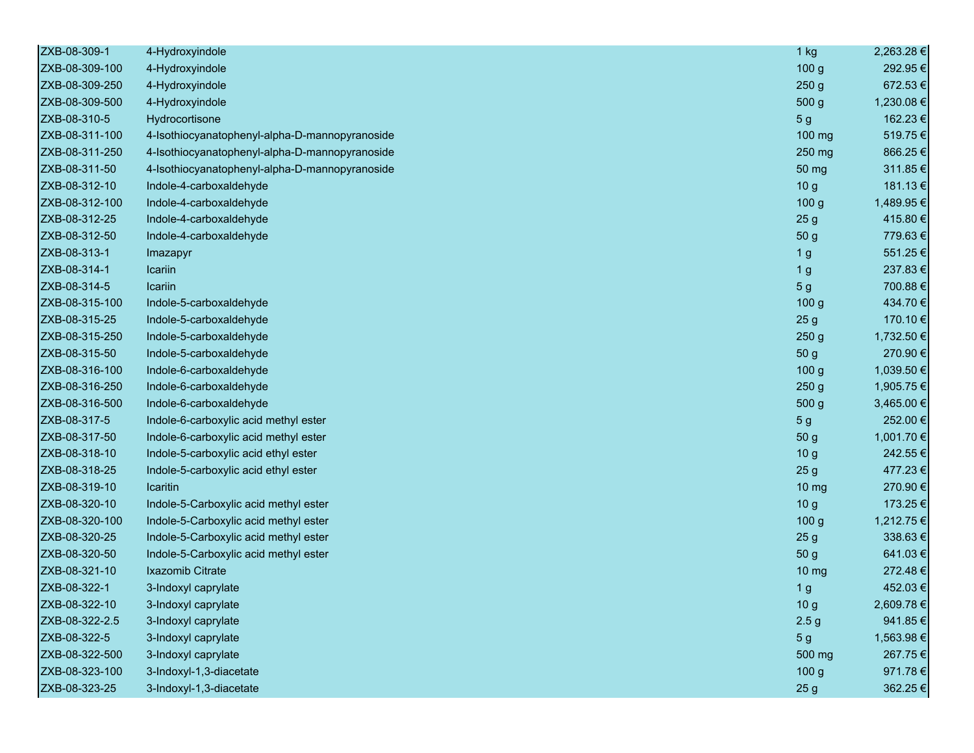| ZXB-08-309-1   | 4-Hydroxyindole                                | $1$ kg           | 2,263.28 € |
|----------------|------------------------------------------------|------------------|------------|
| ZXB-08-309-100 | 4-Hydroxyindole                                | 100 <sub>g</sub> | 292.95€    |
| ZXB-08-309-250 | 4-Hydroxyindole                                | 250 <sub>g</sub> | 672.53€    |
| ZXB-08-309-500 | 4-Hydroxyindole                                | 500 g            | 1,230.08€  |
| ZXB-08-310-5   | Hydrocortisone                                 | 5 <sub>g</sub>   | 162.23€    |
| ZXB-08-311-100 | 4-Isothiocyanatophenyl-alpha-D-mannopyranoside | 100 mg           | 519.75€    |
| ZXB-08-311-250 | 4-Isothiocyanatophenyl-alpha-D-mannopyranoside | 250 mg           | 866.25€    |
| ZXB-08-311-50  | 4-Isothiocyanatophenyl-alpha-D-mannopyranoside | 50 mg            | 311.85€    |
| ZXB-08-312-10  | Indole-4-carboxaldehyde                        | 10 <sub>g</sub>  | 181.13€    |
| ZXB-08-312-100 | Indole-4-carboxaldehyde                        | 100 <sub>g</sub> | 1,489.95 € |
| ZXB-08-312-25  | Indole-4-carboxaldehyde                        | 25 <sub>g</sub>  | 415.80€    |
| ZXB-08-312-50  | Indole-4-carboxaldehyde                        | 50 g             | 779.63€    |
| ZXB-08-313-1   | Imazapyr                                       | 1 <sub>g</sub>   | 551.25€    |
| ZXB-08-314-1   | Icariin                                        | 1 <sub>g</sub>   | 237.83€    |
| ZXB-08-314-5   | Icariin                                        | 5 <sub>g</sub>   | 700.88€    |
| ZXB-08-315-100 | Indole-5-carboxaldehyde                        | 100 <sub>g</sub> | 434.70€    |
| ZXB-08-315-25  | Indole-5-carboxaldehyde                        | 25 <sub>g</sub>  | 170.10€    |
| ZXB-08-315-250 | Indole-5-carboxaldehyde                        | 250g             | 1,732.50 € |
| ZXB-08-315-50  | Indole-5-carboxaldehyde                        | 50 g             | 270.90€    |
| ZXB-08-316-100 | Indole-6-carboxaldehyde                        | 100 <sub>g</sub> | 1,039.50 € |
| ZXB-08-316-250 | Indole-6-carboxaldehyde                        | 250 <sub>g</sub> | 1,905.75 € |
| ZXB-08-316-500 | Indole-6-carboxaldehyde                        | 500 g            | 3,465.00 € |
| ZXB-08-317-5   | Indole-6-carboxylic acid methyl ester          | 5 <sub>g</sub>   | 252.00€    |
| ZXB-08-317-50  | Indole-6-carboxylic acid methyl ester          | 50 g             | 1,001.70 € |
| ZXB-08-318-10  | Indole-5-carboxylic acid ethyl ester           | 10 <sub>g</sub>  | 242.55€    |
| ZXB-08-318-25  | Indole-5-carboxylic acid ethyl ester           | 25 <sub>g</sub>  | 477.23€    |
| ZXB-08-319-10  | Icaritin                                       | 10 <sub>mg</sub> | 270.90€    |
| ZXB-08-320-10  | Indole-5-Carboxylic acid methyl ester          | 10 <sub>g</sub>  | 173.25€    |
| ZXB-08-320-100 | Indole-5-Carboxylic acid methyl ester          | 100 <sub>g</sub> | 1,212.75 € |
| ZXB-08-320-25  | Indole-5-Carboxylic acid methyl ester          | 25 <sub>g</sub>  | 338.63€    |
| ZXB-08-320-50  | Indole-5-Carboxylic acid methyl ester          | 50 g             | 641.03€    |
| ZXB-08-321-10  | Ixazomib Citrate                               | 10 <sub>mg</sub> | 272.48€    |
| ZXB-08-322-1   | 3-Indoxyl caprylate                            | 1 <sub>g</sub>   | 452.03€    |
| ZXB-08-322-10  | 3-Indoxyl caprylate                            | 10 <sub>g</sub>  | 2,609.78 € |
| ZXB-08-322-2.5 | 3-Indoxyl caprylate                            | 2.5 <sub>g</sub> | 941.85€    |
| ZXB-08-322-5   | 3-Indoxyl caprylate                            | 5 <sub>g</sub>   | 1,563.98€  |
| ZXB-08-322-500 | 3-Indoxyl caprylate                            | 500 mg           | 267.75€    |
| ZXB-08-323-100 | 3-Indoxyl-1,3-diacetate                        | 100 g            | 971.78€    |
| ZXB-08-323-25  | 3-Indoxyl-1,3-diacetate                        | 25 <sub>g</sub>  | 362.25€    |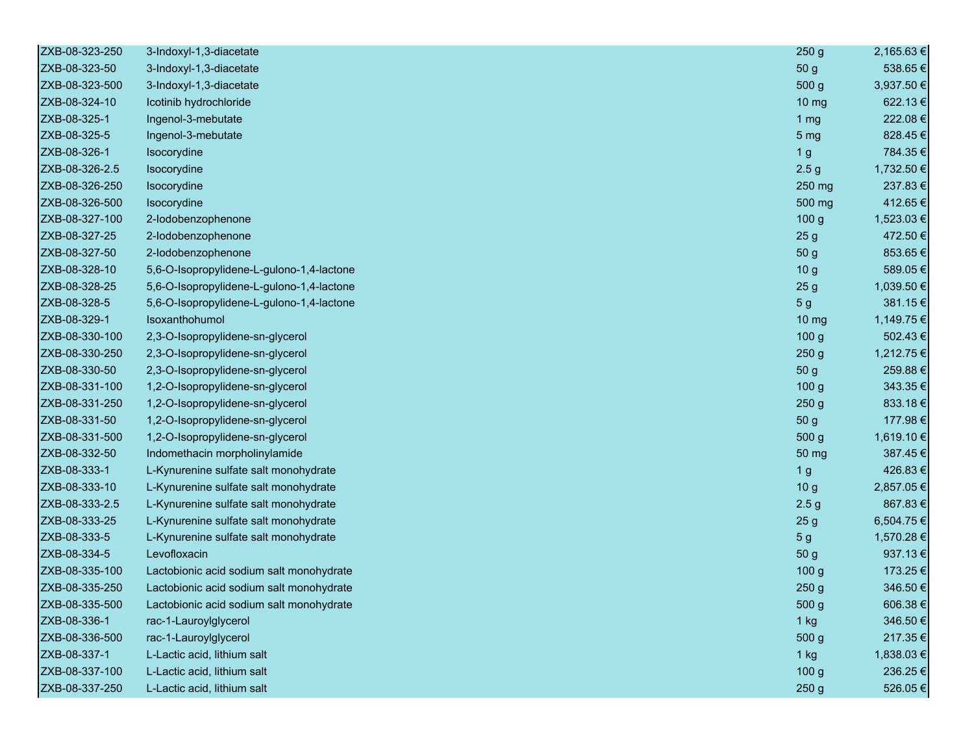| ZXB-08-323-250 | 3-Indoxyl-1,3-diacetate                   | 250 <sub>g</sub> | 2,165.63 € |
|----------------|-------------------------------------------|------------------|------------|
| ZXB-08-323-50  | 3-Indoxyl-1,3-diacetate                   | 50 <sub>g</sub>  | 538.65€    |
| ZXB-08-323-500 | 3-Indoxyl-1,3-diacetate                   | 500 g            | 3,937.50 € |
| ZXB-08-324-10  | Icotinib hydrochloride                    | $10 \mathrm{mg}$ | 622.13€    |
| ZXB-08-325-1   | Ingenol-3-mebutate                        | 1 $mg$           | 222.08€    |
| ZXB-08-325-5   | Ingenol-3-mebutate                        | 5 <sub>mg</sub>  | 828.45€    |
| ZXB-08-326-1   | Isocorydine                               | 1 <sub>g</sub>   | 784.35€    |
| ZXB-08-326-2.5 | Isocorydine                               | 2.5 <sub>g</sub> | 1,732.50€  |
| ZXB-08-326-250 | Isocorydine                               | 250 mg           | 237.83€    |
| ZXB-08-326-500 | Isocorydine                               | 500 mg           | 412.65€    |
| ZXB-08-327-100 | 2-lodobenzophenone                        | 100 <sub>g</sub> | 1,523.03 € |
| ZXB-08-327-25  | 2-lodobenzophenone                        | 25 <sub>g</sub>  | 472.50€    |
| ZXB-08-327-50  | 2-lodobenzophenone                        | 50 <sub>g</sub>  | 853.65€    |
| ZXB-08-328-10  | 5,6-O-Isopropylidene-L-gulono-1,4-lactone | 10 <sub>g</sub>  | 589.05€    |
| ZXB-08-328-25  | 5,6-O-Isopropylidene-L-gulono-1,4-lactone | 25 <sub>g</sub>  | 1,039.50 € |
| ZXB-08-328-5   | 5,6-O-Isopropylidene-L-gulono-1,4-lactone | 5 <sub>g</sub>   | 381.15€    |
| ZXB-08-329-1   | Isoxanthohumol                            | 10 mg            | 1,149.75 € |
| ZXB-08-330-100 | 2,3-O-Isopropylidene-sn-glycerol          | 100 <sub>g</sub> | 502.43€    |
| ZXB-08-330-250 | 2,3-O-Isopropylidene-sn-glycerol          | 250 <sub>g</sub> | 1,212.75 € |
| ZXB-08-330-50  | 2,3-O-Isopropylidene-sn-glycerol          | 50 <sub>g</sub>  | 259.88€    |
| ZXB-08-331-100 | 1,2-O-Isopropylidene-sn-glycerol          | 100 <sub>g</sub> | 343.35€    |
| ZXB-08-331-250 | 1,2-O-Isopropylidene-sn-glycerol          | 250 <sub>g</sub> | 833.18€    |
| ZXB-08-331-50  | 1,2-O-Isopropylidene-sn-glycerol          | 50 g             | 177.98€    |
| ZXB-08-331-500 | 1,2-O-Isopropylidene-sn-glycerol          | 500 g            | 1,619.10 € |
| ZXB-08-332-50  | Indomethacin morpholinylamide             | 50 mg            | 387.45€    |
| ZXB-08-333-1   | L-Kynurenine sulfate salt monohydrate     | 1 <sub>g</sub>   | 426.83€    |
| ZXB-08-333-10  | L-Kynurenine sulfate salt monohydrate     | 10 <sub>g</sub>  | 2,857.05 € |
| ZXB-08-333-2.5 | L-Kynurenine sulfate salt monohydrate     | 2.5 <sub>g</sub> | 867.83€    |
| ZXB-08-333-25  | L-Kynurenine sulfate salt monohydrate     | 25 <sub>g</sub>  | 6,504.75€  |
| ZXB-08-333-5   | L-Kynurenine sulfate salt monohydrate     | 5 <sub>g</sub>   | 1,570.28 € |
| ZXB-08-334-5   | Levofloxacin                              | 50 <sub>g</sub>  | 937.13€    |
| ZXB-08-335-100 | Lactobionic acid sodium salt monohydrate  | 100 <sub>g</sub> | 173.25€    |
| ZXB-08-335-250 | Lactobionic acid sodium salt monohydrate  | 250 <sub>g</sub> | 346.50€    |
| ZXB-08-335-500 | Lactobionic acid sodium salt monohydrate  | 500 g            | 606.38€    |
| ZXB-08-336-1   | rac-1-Lauroylglycerol                     | $1$ kg           | 346.50€    |
| ZXB-08-336-500 | rac-1-Lauroylglycerol                     | 500 g            | 217.35€    |
| ZXB-08-337-1   | L-Lactic acid, lithium salt               | $1$ kg           | 1,838.03 € |
| ZXB-08-337-100 | L-Lactic acid, lithium salt               | 100 <sub>g</sub> | 236.25€    |
| ZXB-08-337-250 | L-Lactic acid, lithium salt               | 250 <sub>g</sub> | 526.05€    |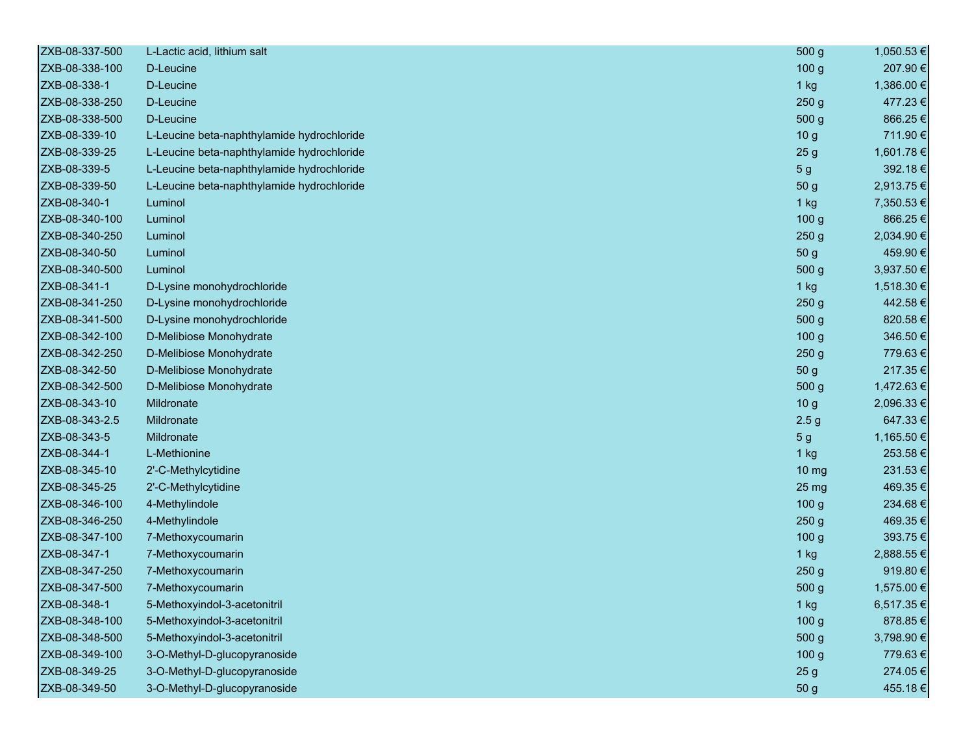| ZXB-08-337-500 | L-Lactic acid, lithium salt                | 500 <sub>g</sub> | 1,050.53 € |
|----------------|--------------------------------------------|------------------|------------|
| ZXB-08-338-100 | D-Leucine                                  | 100 <sub>g</sub> | 207.90€    |
| ZXB-08-338-1   | D-Leucine                                  | $1$ kg           | 1,386.00 € |
| ZXB-08-338-250 | D-Leucine                                  | 250 <sub>g</sub> | 477.23 €   |
| ZXB-08-338-500 | D-Leucine                                  | 500 <sub>g</sub> | 866.25€    |
| ZXB-08-339-10  | L-Leucine beta-naphthylamide hydrochloride | 10 <sub>g</sub>  | 711.90€    |
| ZXB-08-339-25  | L-Leucine beta-naphthylamide hydrochloride | 25 <sub>g</sub>  | 1,601.78 € |
| ZXB-08-339-5   | L-Leucine beta-naphthylamide hydrochloride | 5 <sub>g</sub>   | 392.18€    |
| ZXB-08-339-50  | L-Leucine beta-naphthylamide hydrochloride | 50 <sub>g</sub>  | 2,913.75 € |
| ZXB-08-340-1   | Luminol                                    | $1$ kg           | 7,350.53 € |
| ZXB-08-340-100 | Luminol                                    | 100 <sub>g</sub> | 866.25€    |
| ZXB-08-340-250 | Luminol                                    | 250 <sub>g</sub> | 2,034.90 € |
| ZXB-08-340-50  | Luminol                                    | 50 <sub>g</sub>  | 459.90€    |
| ZXB-08-340-500 | Luminol                                    | 500 <sub>g</sub> | 3,937.50 € |
| ZXB-08-341-1   | D-Lysine monohydrochloride                 | 1 kg             | 1,518.30 € |
| ZXB-08-341-250 | D-Lysine monohydrochloride                 | 250 <sub>g</sub> | 442.58€    |
| ZXB-08-341-500 | D-Lysine monohydrochloride                 | 500 g            | 820.58€    |
| ZXB-08-342-100 | D-Melibiose Monohydrate                    | 100 <sub>g</sub> | 346.50€    |
| ZXB-08-342-250 | D-Melibiose Monohydrate                    | 250 <sub>g</sub> | 779.63€    |
| ZXB-08-342-50  | D-Melibiose Monohydrate                    | 50 <sub>g</sub>  | 217.35€    |
| ZXB-08-342-500 | D-Melibiose Monohydrate                    | 500 <sub>g</sub> | 1,472.63 € |
| ZXB-08-343-10  | Mildronate                                 | 10 <sub>g</sub>  | 2,096.33 € |
| ZXB-08-343-2.5 | Mildronate                                 | 2.5 <sub>g</sub> | 647.33€    |
| ZXB-08-343-5   | Mildronate                                 | 5 <sub>g</sub>   | 1,165.50 € |
| ZXB-08-344-1   | L-Methionine                               | $1$ kg           | 253.58€    |
| ZXB-08-345-10  | 2'-C-Methylcytidine                        | 10 <sub>mg</sub> | 231.53€    |
| ZXB-08-345-25  | 2'-C-Methylcytidine                        | 25 mg            | 469.35€    |
| ZXB-08-346-100 | 4-Methylindole                             | 100 <sub>g</sub> | 234.68€    |
| ZXB-08-346-250 | 4-Methylindole                             | 250 <sub>g</sub> | 469.35€    |
| ZXB-08-347-100 | 7-Methoxycoumarin                          | 100 <sub>g</sub> | 393.75€    |
| ZXB-08-347-1   | 7-Methoxycoumarin                          | 1 kg             | 2,888.55 € |
| ZXB-08-347-250 | 7-Methoxycoumarin                          | 250 <sub>g</sub> | 919.80€    |
| ZXB-08-347-500 | 7-Methoxycoumarin                          | 500 <sub>g</sub> | 1,575.00 € |
| ZXB-08-348-1   | 5-Methoxyindol-3-acetonitril               | $1$ kg           | 6,517.35 € |
| ZXB-08-348-100 | 5-Methoxyindol-3-acetonitril               | 100 <sub>g</sub> | 878.85€    |
| ZXB-08-348-500 | 5-Methoxyindol-3-acetonitril               | 500 g            | 3,798.90 € |
| ZXB-08-349-100 | 3-O-Methyl-D-glucopyranoside               | 100 <sub>g</sub> | 779.63€    |
| ZXB-08-349-25  | 3-O-Methyl-D-glucopyranoside               | 25 <sub>g</sub>  | 274.05€    |
| ZXB-08-349-50  | 3-O-Methyl-D-glucopyranoside               | 50 g             | 455.18€    |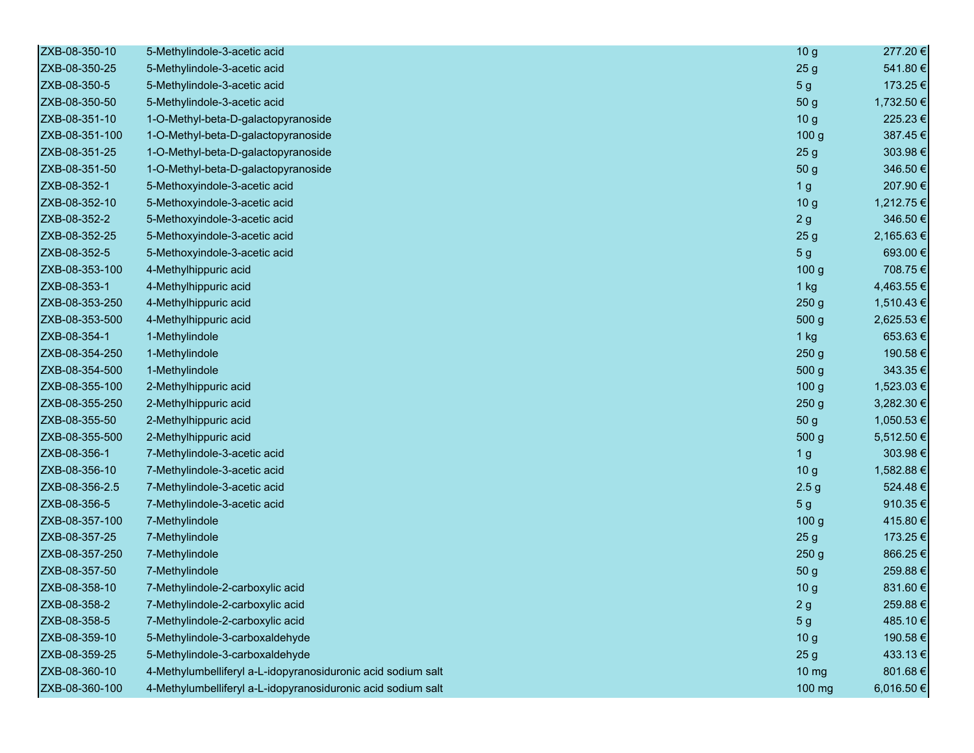| ZXB-08-350-10  | 5-Methylindole-3-acetic acid                                 | 10 <sub>g</sub>  | 277.20€    |
|----------------|--------------------------------------------------------------|------------------|------------|
| ZXB-08-350-25  | 5-Methylindole-3-acetic acid                                 | 25 <sub>g</sub>  | 541.80€    |
| ZXB-08-350-5   | 5-Methylindole-3-acetic acid                                 | 5 <sub>g</sub>   | 173.25€    |
| ZXB-08-350-50  | 5-Methylindole-3-acetic acid                                 | 50 g             | 1,732.50 € |
| ZXB-08-351-10  | 1-O-Methyl-beta-D-galactopyranoside                          | 10 <sub>g</sub>  | 225.23€    |
| ZXB-08-351-100 | 1-O-Methyl-beta-D-galactopyranoside                          | 100 <sub>g</sub> | 387.45€    |
| ZXB-08-351-25  | 1-O-Methyl-beta-D-galactopyranoside                          | 25 <sub>g</sub>  | 303.98€    |
| ZXB-08-351-50  | 1-O-Methyl-beta-D-galactopyranoside                          | 50 g             | 346.50€    |
| ZXB-08-352-1   | 5-Methoxyindole-3-acetic acid                                | 1 <sub>g</sub>   | 207.90€    |
| ZXB-08-352-10  | 5-Methoxyindole-3-acetic acid                                | 10 <sub>g</sub>  | 1,212.75 € |
| ZXB-08-352-2   | 5-Methoxyindole-3-acetic acid                                | 2g               | 346.50€    |
| ZXB-08-352-25  | 5-Methoxyindole-3-acetic acid                                | 25 <sub>g</sub>  | 2,165.63€  |
| ZXB-08-352-5   | 5-Methoxyindole-3-acetic acid                                | 5 <sub>g</sub>   | 693.00€    |
| ZXB-08-353-100 | 4-Methylhippuric acid                                        | 100 g            | 708.75€    |
| ZXB-08-353-1   | 4-Methylhippuric acid                                        | $1$ kg           | 4,463.55 € |
| ZXB-08-353-250 | 4-Methylhippuric acid                                        | 250 <sub>g</sub> | 1,510.43 € |
| ZXB-08-353-500 | 4-Methylhippuric acid                                        | 500 g            | 2,625.53 € |
| ZXB-08-354-1   | 1-Methylindole                                               | 1 kg             | 653.63€    |
| ZXB-08-354-250 | 1-Methylindole                                               | 250 <sub>g</sub> | 190.58€    |
| ZXB-08-354-500 | 1-Methylindole                                               | 500 g            | 343.35€    |
| ZXB-08-355-100 | 2-Methylhippuric acid                                        | 100 <sub>g</sub> | 1,523.03 € |
| ZXB-08-355-250 | 2-Methylhippuric acid                                        | 250 <sub>g</sub> | 3,282.30 € |
| ZXB-08-355-50  | 2-Methylhippuric acid                                        | 50 g             | 1,050.53 € |
| ZXB-08-355-500 | 2-Methylhippuric acid                                        | 500 g            | 5,512.50 € |
| ZXB-08-356-1   | 7-Methylindole-3-acetic acid                                 | 1 <sub>g</sub>   | 303.98€    |
| ZXB-08-356-10  | 7-Methylindole-3-acetic acid                                 | 10 <sub>g</sub>  | 1,582.88 € |
| ZXB-08-356-2.5 | 7-Methylindole-3-acetic acid                                 | 2.5 <sub>g</sub> | 524.48€    |
| ZXB-08-356-5   | 7-Methylindole-3-acetic acid                                 | 5 <sub>g</sub>   | 910.35€    |
| ZXB-08-357-100 | 7-Methylindole                                               | 100 <sub>g</sub> | 415.80€    |
| ZXB-08-357-25  | 7-Methylindole                                               | 25 <sub>g</sub>  | 173.25€    |
| ZXB-08-357-250 | 7-Methylindole                                               | 250 <sub>g</sub> | 866.25€    |
| ZXB-08-357-50  | 7-Methylindole                                               | 50 g             | 259.88€    |
| ZXB-08-358-10  | 7-Methylindole-2-carboxylic acid                             | 10 <sub>g</sub>  | 831.60€    |
| ZXB-08-358-2   | 7-Methylindole-2-carboxylic acid                             | 2g               | 259.88€    |
| ZXB-08-358-5   | 7-Methylindole-2-carboxylic acid                             | 5 <sub>g</sub>   | 485.10€    |
| ZXB-08-359-10  | 5-Methylindole-3-carboxaldehyde                              | 10 <sub>g</sub>  | 190.58€    |
| ZXB-08-359-25  | 5-Methylindole-3-carboxaldehyde                              | 25 <sub>g</sub>  | 433.13€    |
| ZXB-08-360-10  | 4-Methylumbelliferyl a-L-idopyranosiduronic acid sodium salt | $10 \, mg$       | 801.68€    |
| ZXB-08-360-100 | 4-Methylumbelliferyl a-L-idopyranosiduronic acid sodium salt | 100 mg           | 6,016.50 € |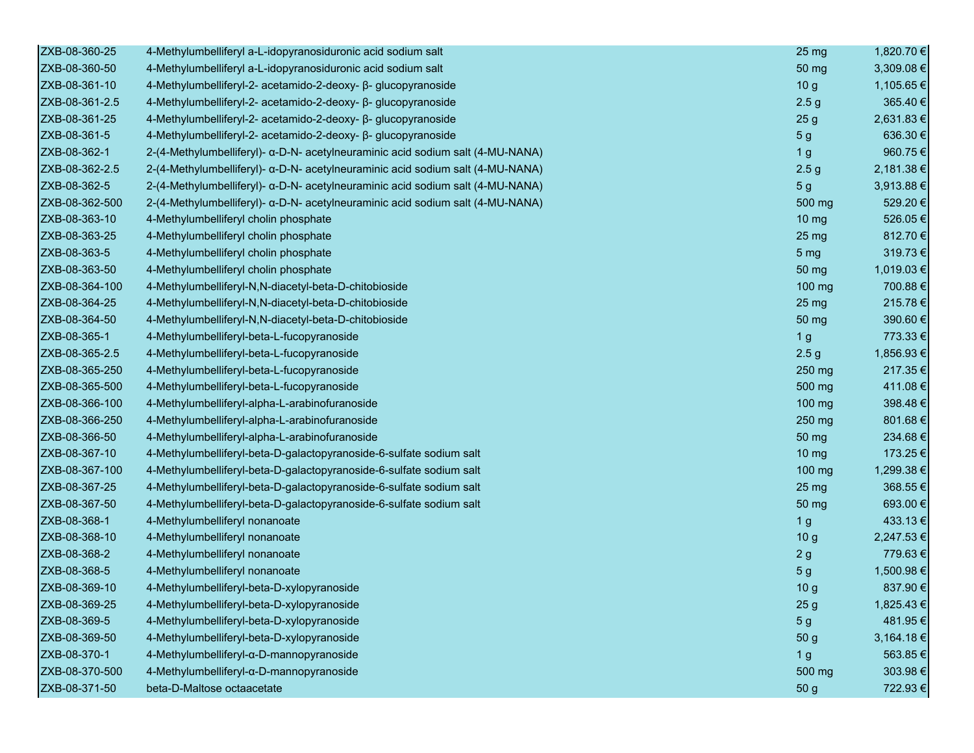| ZXB-08-360-25  | 4-Methylumbelliferyl a-L-idopyranosiduronic acid sodium salt                   | 25 <sub>mg</sub> | 1,820.70 € |
|----------------|--------------------------------------------------------------------------------|------------------|------------|
| ZXB-08-360-50  | 4-Methylumbelliferyl a-L-idopyranosiduronic acid sodium salt                   | 50 mg            | 3,309.08 € |
| ZXB-08-361-10  | 4-Methylumbelliferyl-2- acetamido-2-deoxy- β- glucopyranoside                  | 10 <sub>g</sub>  | 1,105.65€  |
| ZXB-08-361-2.5 | 4-Methylumbelliferyl-2- acetamido-2-deoxy- β- glucopyranoside                  | 2.5 <sub>g</sub> | 365.40€    |
| ZXB-08-361-25  | 4-Methylumbelliferyl-2- acetamido-2-deoxy- β- glucopyranoside                  | 25 <sub>g</sub>  | 2,631.83€  |
| ZXB-08-361-5   | 4-Methylumbelliferyl-2- acetamido-2-deoxy- β- glucopyranoside                  | 5 <sub>g</sub>   | 636.30€    |
| ZXB-08-362-1   | 2-(4-Methylumbelliferyl)- a-D-N- acetylneuraminic acid sodium salt (4-MU-NANA) | 1 <sub>g</sub>   | 960.75€    |
| ZXB-08-362-2.5 | 2-(4-Methylumbelliferyl)- α-D-N- acetylneuraminic acid sodium salt (4-MU-NANA) | 2.5 <sub>g</sub> | 2,181.38€  |
| ZXB-08-362-5   | 2-(4-Methylumbelliferyl)- α-D-N- acetylneuraminic acid sodium salt (4-MU-NANA) | 5 <sub>g</sub>   | 3,913.88 € |
| ZXB-08-362-500 | 2-(4-Methylumbelliferyl)- α-D-N- acetylneuraminic acid sodium salt (4-MU-NANA) | 500 mg           | 529.20€    |
| ZXB-08-363-10  | 4-Methylumbelliferyl cholin phosphate                                          | 10 <sub>mg</sub> | 526.05€    |
| ZXB-08-363-25  | 4-Methylumbelliferyl cholin phosphate                                          | 25 mg            | 812.70€    |
| ZXB-08-363-5   | 4-Methylumbelliferyl cholin phosphate                                          | 5 <sub>mg</sub>  | 319.73€    |
| ZXB-08-363-50  | 4-Methylumbelliferyl cholin phosphate                                          | 50 mg            | 1,019.03€  |
| ZXB-08-364-100 | 4-Methylumbelliferyl-N,N-diacetyl-beta-D-chitobioside                          | $100$ mg         | 700.88€    |
| ZXB-08-364-25  | 4-Methylumbelliferyl-N,N-diacetyl-beta-D-chitobioside                          | $25 \text{ mg}$  | 215.78€    |
| ZXB-08-364-50  | 4-Methylumbelliferyl-N,N-diacetyl-beta-D-chitobioside                          | 50 mg            | 390.60€    |
| ZXB-08-365-1   | 4-Methylumbelliferyl-beta-L-fucopyranoside                                     | 1 <sub>g</sub>   | 773.33 €   |
| ZXB-08-365-2.5 | 4-Methylumbelliferyl-beta-L-fucopyranoside                                     | 2.5 <sub>g</sub> | 1,856.93€  |
| ZXB-08-365-250 | 4-Methylumbelliferyl-beta-L-fucopyranoside                                     | 250 mg           | 217.35€    |
| ZXB-08-365-500 | 4-Methylumbelliferyl-beta-L-fucopyranoside                                     | 500 mg           | 411.08€    |
| ZXB-08-366-100 | 4-Methylumbelliferyl-alpha-L-arabinofuranoside                                 | 100 mg           | 398.48€    |
| ZXB-08-366-250 | 4-Methylumbelliferyl-alpha-L-arabinofuranoside                                 | 250 mg           | 801.68€    |
| ZXB-08-366-50  | 4-Methylumbelliferyl-alpha-L-arabinofuranoside                                 | 50 mg            | 234.68€    |
| ZXB-08-367-10  | 4-Methylumbelliferyl-beta-D-galactopyranoside-6-sulfate sodium salt            | $10 \text{ mg}$  | 173.25€    |
| ZXB-08-367-100 | 4-Methylumbelliferyl-beta-D-galactopyranoside-6-sulfate sodium salt            | 100 mg           | 1,299.38 € |
| ZXB-08-367-25  | 4-Methylumbelliferyl-beta-D-galactopyranoside-6-sulfate sodium salt            | 25 <sub>mg</sub> | 368.55€    |
| ZXB-08-367-50  | 4-Methylumbelliferyl-beta-D-galactopyranoside-6-sulfate sodium salt            | 50 mg            | 693.00€    |
| ZXB-08-368-1   | 4-Methylumbelliferyl nonanoate                                                 | 1 <sub>g</sub>   | 433.13€    |
| ZXB-08-368-10  | 4-Methylumbelliferyl nonanoate                                                 | 10 <sub>g</sub>  | 2,247.53 € |
| ZXB-08-368-2   | 4-Methylumbelliferyl nonanoate                                                 | 2g               | 779.63€    |
| ZXB-08-368-5   | 4-Methylumbelliferyl nonanoate                                                 | 5 <sub>g</sub>   | 1,500.98 € |
| ZXB-08-369-10  | 4-Methylumbelliferyl-beta-D-xylopyranoside                                     | 10 <sub>g</sub>  | 837.90€    |
| ZXB-08-369-25  | 4-Methylumbelliferyl-beta-D-xylopyranoside                                     | 25 <sub>g</sub>  | 1,825.43 € |
| ZXB-08-369-5   | 4-Methylumbelliferyl-beta-D-xylopyranoside                                     | 5 <sub>g</sub>   | 481.95€    |
| ZXB-08-369-50  | 4-Methylumbelliferyl-beta-D-xylopyranoside                                     | 50 g             | 3,164.18€  |
| ZXB-08-370-1   | 4-Methylumbelliferyl-α-D-mannopyranoside                                       | 1 <sub>g</sub>   | 563.85€    |
| ZXB-08-370-500 | 4-Methylumbelliferyl-α-D-mannopyranoside                                       | 500 mg           | 303.98€    |
| ZXB-08-371-50  | beta-D-Maltose octaacetate                                                     | 50 g             | 722.93€    |
|                |                                                                                |                  |            |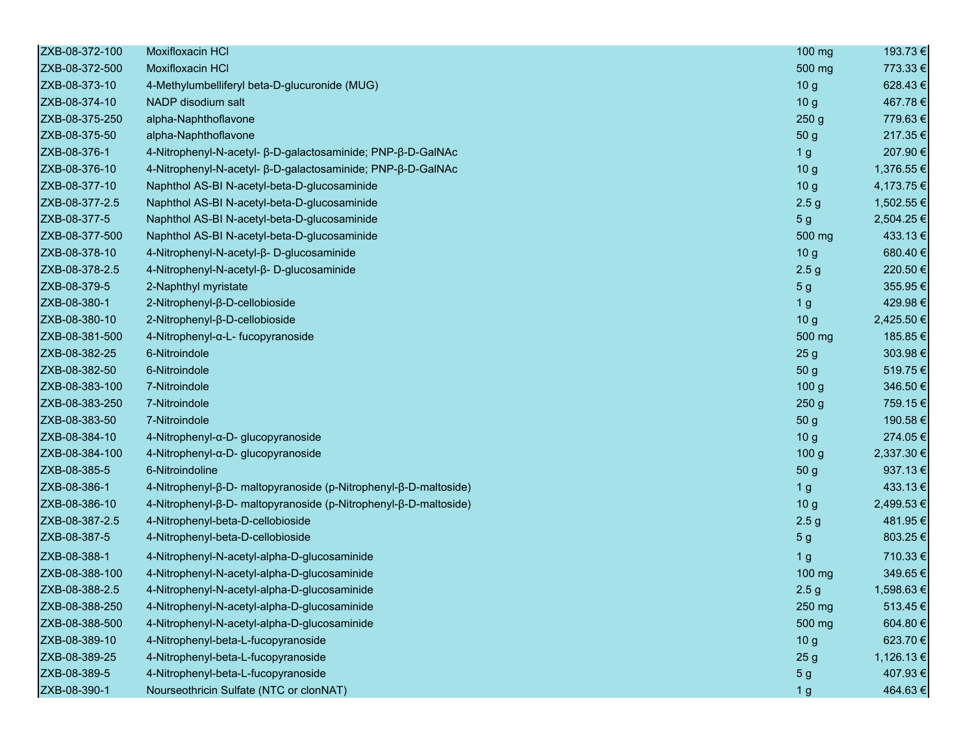| ZXB-08-372-100 | <b>Moxifloxacin HCI</b>                                          | 100 mg           | 193.73 €   |
|----------------|------------------------------------------------------------------|------------------|------------|
| ZXB-08-372-500 | Moxifloxacin HCI                                                 | 500 mg           | 773.33 €   |
| ZXB-08-373-10  | 4-Methylumbelliferyl beta-D-glucuronide (MUG)                    | 10 <sub>g</sub>  | 628.43€    |
| ZXB-08-374-10  | NADP disodium salt                                               | 10 <sub>g</sub>  | 467.78€    |
| ZXB-08-375-250 | alpha-Naphthoflavone                                             | 250 <sub>g</sub> | 779.63€    |
| ZXB-08-375-50  | alpha-Naphthoflavone                                             | 50 g             | 217.35€    |
| ZXB-08-376-1   | 4-Nitrophenyl-N-acetyl- β-D-galactosaminide; PNP-β-D-GalNAc      | 1 <sub>g</sub>   | 207.90€    |
| ZXB-08-376-10  | 4-Nitrophenyl-N-acetyl- β-D-galactosaminide; PNP-β-D-GalNAc      | 10 <sub>g</sub>  | 1,376.55 € |
| ZXB-08-377-10  | Naphthol AS-BI N-acetyl-beta-D-glucosaminide                     | 10 <sub>g</sub>  | 4,173.75 € |
| ZXB-08-377-2.5 | Naphthol AS-BI N-acetyl-beta-D-glucosaminide                     | 2.5 <sub>g</sub> | 1,502.55 € |
| ZXB-08-377-5   | Naphthol AS-BI N-acetyl-beta-D-glucosaminide                     | 5 <sub>g</sub>   | 2,504.25 € |
| ZXB-08-377-500 | Naphthol AS-BI N-acetyl-beta-D-glucosaminide                     | 500 mg           | 433.13€    |
| ZXB-08-378-10  | 4-Nitrophenyl-N-acetyl-β-D-glucosaminide                         | 10 <sub>g</sub>  | 680.40€    |
| ZXB-08-378-2.5 | 4-Nitrophenyl-N-acetyl-β-D-glucosaminide                         | 2.5 <sub>g</sub> | 220.50€    |
| ZXB-08-379-5   | 2-Naphthyl myristate                                             | 5 <sub>g</sub>   | 355.95€    |
| ZXB-08-380-1   | 2-Nitrophenyl-β-D-cellobioside                                   | 1 <sub>g</sub>   | 429.98€    |
| ZXB-08-380-10  | 2-Nitrophenyl-β-D-cellobioside                                   | 10 <sub>g</sub>  | 2,425.50 € |
| ZXB-08-381-500 | 4-Nitrophenyl-α-L- fucopyranoside                                | 500 mg           | 185.85€    |
| ZXB-08-382-25  | 6-Nitroindole                                                    | 25 <sub>g</sub>  | 303.98€    |
| ZXB-08-382-50  | 6-Nitroindole                                                    | 50 <sub>g</sub>  | 519.75€    |
| ZXB-08-383-100 | 7-Nitroindole                                                    | 100 <sub>g</sub> | 346.50€    |
| ZXB-08-383-250 | 7-Nitroindole                                                    | 250 <sub>g</sub> | 759.15€    |
| ZXB-08-383-50  | 7-Nitroindole                                                    | 50 g             | 190.58€    |
| ZXB-08-384-10  | 4-Nitrophenyl-α-D- glucopyranoside                               | 10 <sub>g</sub>  | 274.05€    |
| ZXB-08-384-100 | 4-Nitrophenyl-α-D- glucopyranoside                               | 100 <sub>g</sub> | 2,337.30 € |
| ZXB-08-385-5   | 6-Nitroindoline                                                  | 50 g             | 937.13€    |
| ZXB-08-386-1   | 4-Nitrophenyl-β-D- maltopyranoside (p-Nitrophenyl-β-D-maltoside) | 1 <sub>g</sub>   | 433.13€    |
| ZXB-08-386-10  | 4-Nitrophenyl-β-D- maltopyranoside (p-Nitrophenyl-β-D-maltoside) | 10 <sub>g</sub>  | 2,499.53 € |
| ZXB-08-387-2.5 | 4-Nitrophenyl-beta-D-cellobioside                                | 2.5 <sub>g</sub> | 481.95€    |
| ZXB-08-387-5   | 4-Nitrophenyl-beta-D-cellobioside                                | 5 <sub>g</sub>   | 803.25€    |
| ZXB-08-388-1   | 4-Nitrophenyl-N-acetyl-alpha-D-glucosaminide                     | 1 <sub>g</sub>   | 710.33€    |
| ZXB-08-388-100 | 4-Nitrophenyl-N-acetyl-alpha-D-glucosaminide                     | 100 mg           | 349.65€    |
| ZXB-08-388-2.5 | 4-Nitrophenyl-N-acetyl-alpha-D-glucosaminide                     | 2.5 <sub>g</sub> | 1,598.63 € |
| ZXB-08-388-250 | 4-Nitrophenyl-N-acetyl-alpha-D-glucosaminide                     | 250 mg           | 513.45 €   |
| ZXB-08-388-500 | 4-Nitrophenyl-N-acetyl-alpha-D-glucosaminide                     | 500 mg           | 604.80€    |
| ZXB-08-389-10  | 4-Nitrophenyl-beta-L-fucopyranoside                              | 10 <sub>g</sub>  | 623.70€    |
| ZXB-08-389-25  | 4-Nitrophenyl-beta-L-fucopyranoside                              | 25 <sub>g</sub>  | 1,126.13 € |
| ZXB-08-389-5   | 4-Nitrophenyl-beta-L-fucopyranoside                              | 5 <sub>g</sub>   | 407.93€    |
| ZXB-08-390-1   | Nourseothricin Sulfate (NTC or clonNAT)                          | 1 <sub>g</sub>   | 464.63€    |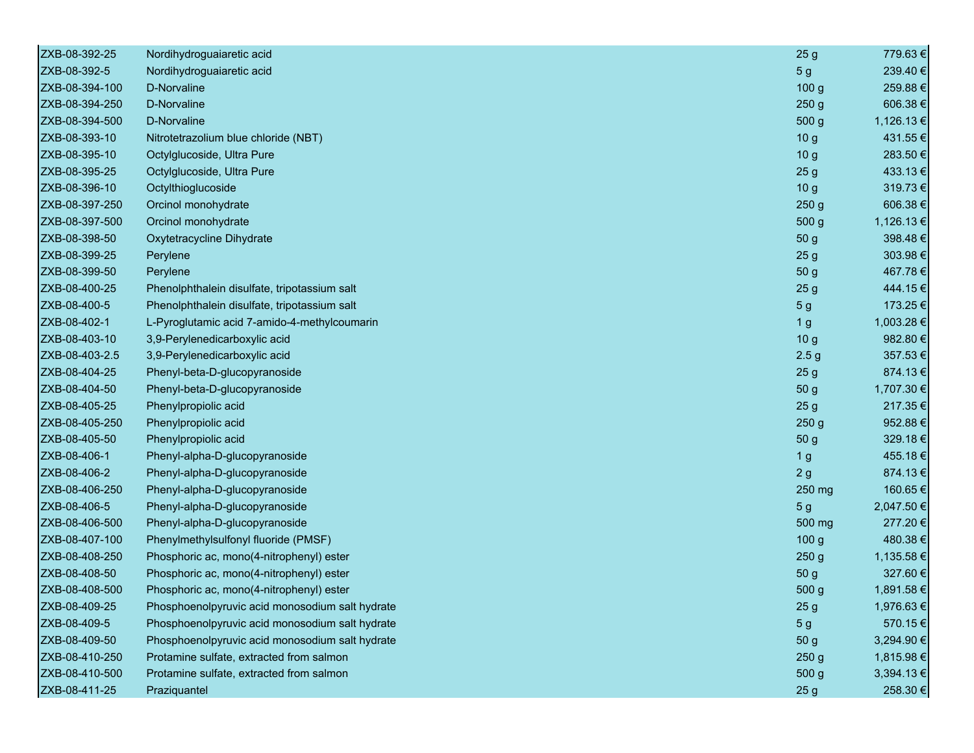| ZXB-08-392-25  | Nordihydroguaiaretic acid                       | 25 <sub>g</sub>  | 779.63€    |
|----------------|-------------------------------------------------|------------------|------------|
| ZXB-08-392-5   | Nordihydroguaiaretic acid                       | 5 <sub>g</sub>   | 239.40€    |
| ZXB-08-394-100 | D-Norvaline                                     | 100 g            | 259.88€    |
| ZXB-08-394-250 | D-Norvaline                                     | 250 <sub>g</sub> | 606.38€    |
| ZXB-08-394-500 | D-Norvaline                                     | 500 g            | 1,126.13 € |
| ZXB-08-393-10  | Nitrotetrazolium blue chloride (NBT)            | 10 <sub>g</sub>  | 431.55€    |
| ZXB-08-395-10  | Octylglucoside, Ultra Pure                      | 10 <sub>g</sub>  | 283.50€    |
| ZXB-08-395-25  | Octylglucoside, Ultra Pure                      | 25 <sub>g</sub>  | 433.13€    |
| ZXB-08-396-10  | Octylthioglucoside                              | 10 <sub>g</sub>  | 319.73€    |
| ZXB-08-397-250 | Orcinol monohydrate                             | 250 <sub>g</sub> | 606.38€    |
| ZXB-08-397-500 | Orcinol monohydrate                             | 500 g            | 1,126.13 € |
| ZXB-08-398-50  | Oxytetracycline Dihydrate                       | 50 <sub>g</sub>  | 398.48€    |
| ZXB-08-399-25  | Perylene                                        | 25 <sub>g</sub>  | 303.98€    |
| ZXB-08-399-50  | Perylene                                        | 50 g             | 467.78€    |
| ZXB-08-400-25  | Phenolphthalein disulfate, tripotassium salt    | 25 <sub>g</sub>  | 444.15€    |
| ZXB-08-400-5   | Phenolphthalein disulfate, tripotassium salt    | 5 <sub>g</sub>   | 173.25 €   |
| ZXB-08-402-1   | L-Pyroglutamic acid 7-amido-4-methylcoumarin    | 1 <sub>g</sub>   | 1,003.28 € |
| ZXB-08-403-10  | 3,9-Perylenedicarboxylic acid                   | 10 <sub>g</sub>  | 982.80€    |
| ZXB-08-403-2.5 | 3,9-Perylenedicarboxylic acid                   | 2.5 <sub>g</sub> | 357.53€    |
| ZXB-08-404-25  | Phenyl-beta-D-glucopyranoside                   | 25 <sub>g</sub>  | 874.13€    |
| ZXB-08-404-50  | Phenyl-beta-D-glucopyranoside                   | 50 g             | 1,707.30 € |
| ZXB-08-405-25  | Phenylpropiolic acid                            | 25 <sub>g</sub>  | 217.35€    |
| ZXB-08-405-250 | Phenylpropiolic acid                            | 250 <sub>g</sub> | 952.88€    |
| ZXB-08-405-50  | Phenylpropiolic acid                            | 50 g             | 329.18€    |
| ZXB-08-406-1   | Phenyl-alpha-D-glucopyranoside                  | 1 <sub>g</sub>   | 455.18€    |
| ZXB-08-406-2   | Phenyl-alpha-D-glucopyranoside                  | 2g               | 874.13€    |
| ZXB-08-406-250 | Phenyl-alpha-D-glucopyranoside                  | 250 mg           | 160.65€    |
| ZXB-08-406-5   | Phenyl-alpha-D-glucopyranoside                  | 5 <sub>g</sub>   | 2,047.50 € |
| ZXB-08-406-500 | Phenyl-alpha-D-glucopyranoside                  | 500 mg           | 277.20€    |
| ZXB-08-407-100 | Phenylmethylsulfonyl fluoride (PMSF)            | 100 <sub>g</sub> | 480.38€    |
| ZXB-08-408-250 | Phosphoric ac, mono(4-nitrophenyl) ester        | 250 <sub>g</sub> | 1,135.58€  |
| ZXB-08-408-50  | Phosphoric ac, mono(4-nitrophenyl) ester        | 50 g             | 327.60€    |
| ZXB-08-408-500 | Phosphoric ac, mono(4-nitrophenyl) ester        | 500 <sub>g</sub> | 1,891.58 € |
| ZXB-08-409-25  | Phosphoenolpyruvic acid monosodium salt hydrate | 25 <sub>g</sub>  | 1,976.63€  |
| ZXB-08-409-5   | Phosphoenolpyruvic acid monosodium salt hydrate | 5 <sub>g</sub>   | 570.15€    |
| ZXB-08-409-50  | Phosphoenolpyruvic acid monosodium salt hydrate | 50 g             | 3,294.90 € |
| ZXB-08-410-250 | Protamine sulfate, extracted from salmon        | 250g             | 1,815.98€  |
| ZXB-08-410-500 | Protamine sulfate, extracted from salmon        | 500 <sub>g</sub> | 3,394.13 € |
| ZXB-08-411-25  | Praziquantel                                    | 25 <sub>g</sub>  | 258.30€    |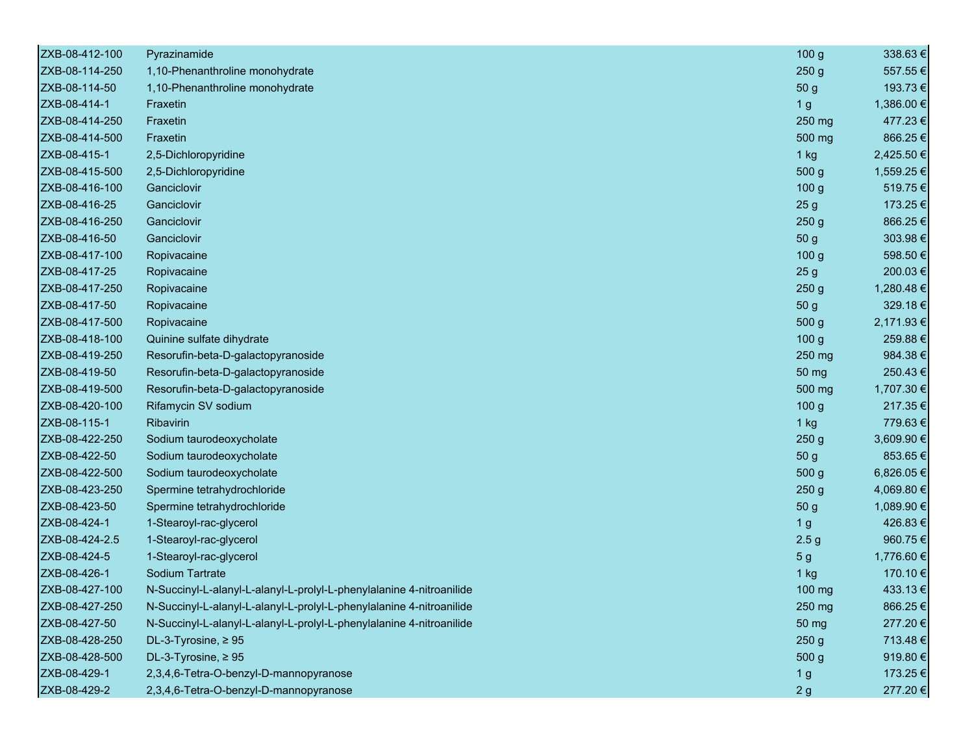| ZXB-08-412-100 | Pyrazinamide                                                         | 100 <sub>g</sub> | 338.63€    |
|----------------|----------------------------------------------------------------------|------------------|------------|
| ZXB-08-114-250 | 1,10-Phenanthroline monohydrate                                      | 250 <sub>g</sub> | 557.55€    |
| ZXB-08-114-50  | 1,10-Phenanthroline monohydrate                                      | 50 g             | 193.73€    |
| ZXB-08-414-1   | Fraxetin                                                             | 1 <sub>g</sub>   | 1,386.00€  |
| ZXB-08-414-250 | Fraxetin                                                             | 250 mg           | 477.23€    |
| ZXB-08-414-500 | Fraxetin                                                             | 500 mg           | 866.25€    |
| ZXB-08-415-1   | 2,5-Dichloropyridine                                                 | $1$ kg           | 2,425.50 € |
| ZXB-08-415-500 | 2,5-Dichloropyridine                                                 | 500 g            | 1,559.25 € |
| ZXB-08-416-100 | Ganciclovir                                                          | 100 <sub>g</sub> | 519.75€    |
| ZXB-08-416-25  | Ganciclovir                                                          | 25 <sub>g</sub>  | 173.25 €   |
| ZXB-08-416-250 | Ganciclovir                                                          | 250 <sub>g</sub> | 866.25€    |
| ZXB-08-416-50  | Ganciclovir                                                          | 50 <sub>g</sub>  | 303.98€    |
| ZXB-08-417-100 | Ropivacaine                                                          | 100 <sub>g</sub> | 598.50€    |
| ZXB-08-417-25  | Ropivacaine                                                          | 25 <sub>g</sub>  | 200.03€    |
| ZXB-08-417-250 | Ropivacaine                                                          | 250 <sub>g</sub> | 1,280.48€  |
| ZXB-08-417-50  | Ropivacaine                                                          | 50 <sub>g</sub>  | 329.18€    |
| ZXB-08-417-500 | Ropivacaine                                                          | 500 g            | 2,171.93 € |
| ZXB-08-418-100 | Quinine sulfate dihydrate                                            | 100 <sub>g</sub> | 259.88€    |
| ZXB-08-419-250 | Resorufin-beta-D-galactopyranoside                                   | 250 mg           | 984.38€    |
| ZXB-08-419-50  | Resorufin-beta-D-galactopyranoside                                   | 50 mg            | 250.43€    |
| ZXB-08-419-500 | Resorufin-beta-D-galactopyranoside                                   | 500 mg           | 1,707.30 € |
| ZXB-08-420-100 | Rifamycin SV sodium                                                  | 100 <sub>g</sub> | 217.35€    |
| ZXB-08-115-1   | Ribavirin                                                            | $1$ kg           | 779.63€    |
| ZXB-08-422-250 | Sodium taurodeoxycholate                                             | 250 <sub>g</sub> | 3,609.90 € |
| ZXB-08-422-50  | Sodium taurodeoxycholate                                             | 50 <sub>g</sub>  | 853.65€    |
| ZXB-08-422-500 | Sodium taurodeoxycholate                                             | 500 <sub>g</sub> | 6,826.05€  |
| ZXB-08-423-250 | Spermine tetrahydrochloride                                          | 250 <sub>g</sub> | 4,069.80 € |
| ZXB-08-423-50  | Spermine tetrahydrochloride                                          | 50 g             | 1,089.90 € |
| ZXB-08-424-1   | 1-Stearoyl-rac-glycerol                                              | 1 <sub>g</sub>   | 426.83€    |
| ZXB-08-424-2.5 | 1-Stearoyl-rac-glycerol                                              | 2.5 <sub>g</sub> | 960.75€    |
| ZXB-08-424-5   | 1-Stearoyl-rac-glycerol                                              | 5 <sub>g</sub>   | 1,776.60 € |
| ZXB-08-426-1   | <b>Sodium Tartrate</b>                                               | 1 kg             | 170.10€    |
| ZXB-08-427-100 | N-Succinyl-L-alanyl-L-alanyl-L-prolyl-L-phenylalanine 4-nitroanilide | $100 \text{ mg}$ | 433.13€    |
| ZXB-08-427-250 | N-Succinyl-L-alanyl-L-alanyl-L-prolyl-L-phenylalanine 4-nitroanilide | 250 mg           | 866.25€    |
| ZXB-08-427-50  | N-Succinyl-L-alanyl-L-alanyl-L-prolyl-L-phenylalanine 4-nitroanilide | 50 mg            | 277.20€    |
| ZXB-08-428-250 | DL-3-Tyrosine, $\geq 95$                                             | 250 <sub>g</sub> | 713.48€    |
| ZXB-08-428-500 | DL-3-Tyrosine, ≥95                                                   | 500 g            | 919.80€    |
| ZXB-08-429-1   | 2,3,4,6-Tetra-O-benzyl-D-mannopyranose                               | 1 <sub>g</sub>   | 173.25€    |
| ZXB-08-429-2   | 2,3,4,6-Tetra-O-benzyl-D-mannopyranose                               | 2g               | 277.20€    |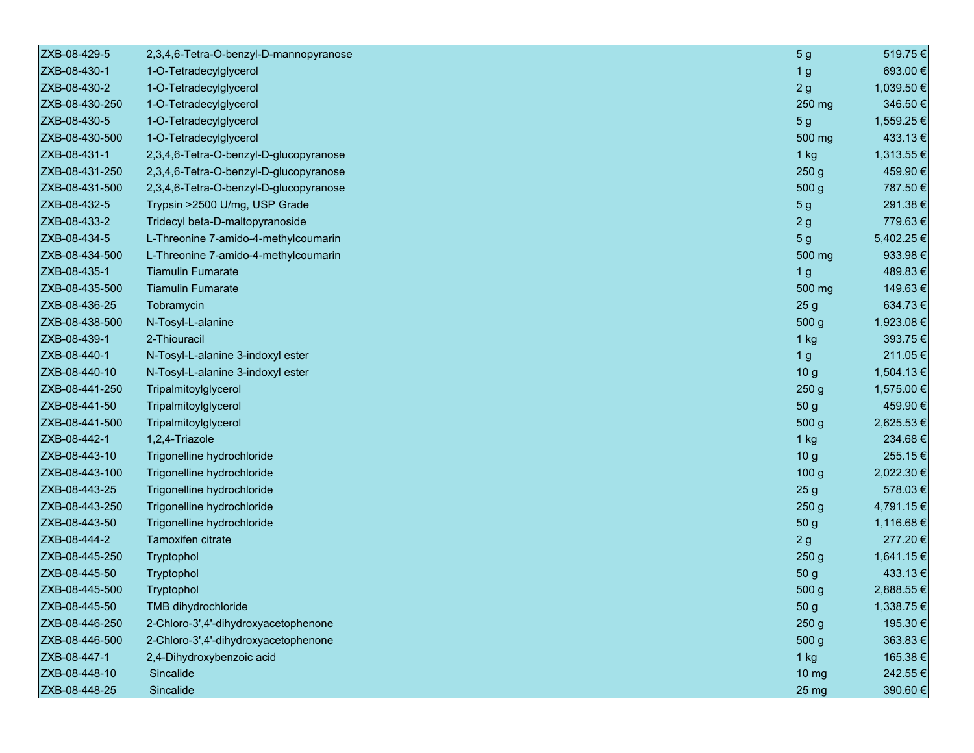| ZXB-08-429-5   | 2,3,4,6-Tetra-O-benzyl-D-mannopyranose | 5 <sub>g</sub>   | 519.75€    |
|----------------|----------------------------------------|------------------|------------|
| ZXB-08-430-1   | 1-O-Tetradecylglycerol                 | 1 <sub>g</sub>   | 693.00€    |
| ZXB-08-430-2   | 1-O-Tetradecylglycerol                 | 2g               | 1,039.50 € |
| ZXB-08-430-250 | 1-O-Tetradecylglycerol                 | 250 mg           | 346.50€    |
| ZXB-08-430-5   | 1-O-Tetradecylglycerol                 | 5 <sub>g</sub>   | 1,559.25 € |
| ZXB-08-430-500 | 1-O-Tetradecylglycerol                 | 500 mg           | 433.13€    |
| ZXB-08-431-1   | 2,3,4,6-Tetra-O-benzyl-D-glucopyranose | $1$ kg           | 1,313.55 € |
| ZXB-08-431-250 | 2,3,4,6-Tetra-O-benzyl-D-glucopyranose | 250 <sub>g</sub> | 459.90€    |
| ZXB-08-431-500 | 2,3,4,6-Tetra-O-benzyl-D-glucopyranose | 500 g            | 787.50€    |
| ZXB-08-432-5   | Trypsin >2500 U/mg, USP Grade          | 5 <sub>g</sub>   | 291.38€    |
| ZXB-08-433-2   | Tridecyl beta-D-maltopyranoside        | 2g               | 779.63€    |
| ZXB-08-434-5   | L-Threonine 7-amido-4-methylcoumarin   | 5 <sub>g</sub>   | 5,402.25 € |
| ZXB-08-434-500 | L-Threonine 7-amido-4-methylcoumarin   | 500 mg           | 933.98€    |
| ZXB-08-435-1   | <b>Tiamulin Fumarate</b>               | 1 <sub>g</sub>   | 489.83€    |
| ZXB-08-435-500 | <b>Tiamulin Fumarate</b>               | 500 mg           | 149.63€    |
| ZXB-08-436-25  | Tobramycin                             | 25 <sub>g</sub>  | 634.73€    |
| ZXB-08-438-500 | N-Tosyl-L-alanine                      | 500 g            | 1,923.08€  |
| ZXB-08-439-1   | 2-Thiouracil                           | $1$ kg           | 393.75€    |
| ZXB-08-440-1   | N-Tosyl-L-alanine 3-indoxyl ester      | 1 <sub>g</sub>   | 211.05€    |
| ZXB-08-440-10  | N-Tosyl-L-alanine 3-indoxyl ester      | 10 <sub>g</sub>  | 1,504.13 € |
| ZXB-08-441-250 | Tripalmitoylglycerol                   | 250 <sub>g</sub> | 1,575.00 € |
| ZXB-08-441-50  | Tripalmitoylglycerol                   | 50 <sub>g</sub>  | 459.90€    |
| ZXB-08-441-500 | Tripalmitoylglycerol                   | 500 g            | 2,625.53€  |
| ZXB-08-442-1   | 1,2,4-Triazole                         | $1$ kg           | 234.68€    |
| ZXB-08-443-10  | Trigonelline hydrochloride             | 10 <sub>g</sub>  | 255.15€    |
| ZXB-08-443-100 | Trigonelline hydrochloride             | 100 <sub>g</sub> | 2,022.30 € |
| ZXB-08-443-25  | Trigonelline hydrochloride             | 25 <sub>g</sub>  | 578.03€    |
| ZXB-08-443-250 | Trigonelline hydrochloride             | 250 <sub>g</sub> | 4,791.15€  |
| ZXB-08-443-50  | Trigonelline hydrochloride             | 50 g             | 1,116.68 € |
| ZXB-08-444-2   | Tamoxifen citrate                      | 2g               | 277.20€    |
| ZXB-08-445-250 | Tryptophol                             | 250 <sub>g</sub> | 1,641.15 € |
| ZXB-08-445-50  | Tryptophol                             | 50 g             | 433.13€    |
| ZXB-08-445-500 | Tryptophol                             | 500 <sub>g</sub> | 2,888.55 € |
| ZXB-08-445-50  | TMB dihydrochloride                    | 50 g             | 1,338.75 € |
| ZXB-08-446-250 | 2-Chloro-3',4'-dihydroxyacetophenone   | 250 <sub>g</sub> | 195.30€    |
| ZXB-08-446-500 | 2-Chloro-3',4'-dihydroxyacetophenone   | 500 g            | 363.83€    |
| ZXB-08-447-1   | 2,4-Dihydroxybenzoic acid              | $1$ kg           | 165.38€    |
| ZXB-08-448-10  | Sincalide                              | 10 mg            | 242.55€    |
| ZXB-08-448-25  | Sincalide                              | 25 mg            | 390.60€    |